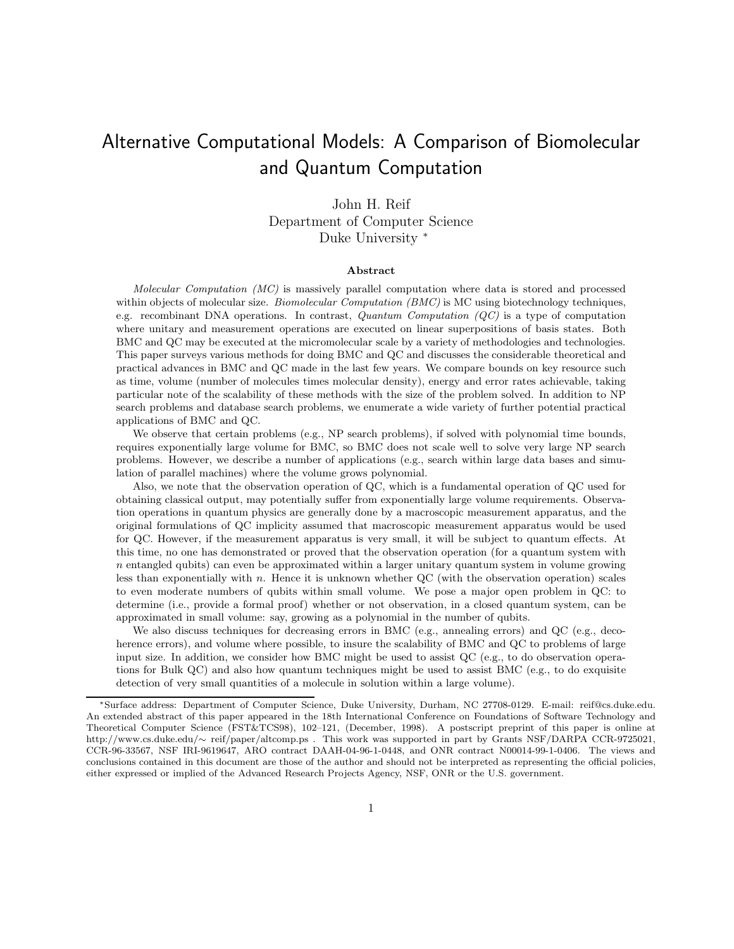# Alternative Computational Models: A Comparison of Biomolecular and Quantum Computation

John H. Reif Department of Computer Science Duke University <sup>∗</sup>

#### Abstract

Molecular Computation (MC) is massively parallel computation where data is stored and processed within objects of molecular size. Biomolecular Computation (BMC) is MC using biotechnology techniques, e.g. recombinant DNA operations. In contrast, Quantum Computation  $(QC)$  is a type of computation where unitary and measurement operations are executed on linear superpositions of basis states. Both BMC and QC may be executed at the micromolecular scale by a variety of methodologies and technologies. This paper surveys various methods for doing BMC and QC and discusses the considerable theoretical and practical advances in BMC and QC made in the last few years. We compare bounds on key resource such as time, volume (number of molecules times molecular density), energy and error rates achievable, taking particular note of the scalability of these methods with the size of the problem solved. In addition to NP search problems and database search problems, we enumerate a wide variety of further potential practical applications of BMC and QC.

We observe that certain problems (e.g., NP search problems), if solved with polynomial time bounds, requires exponentially large volume for BMC, so BMC does not scale well to solve very large NP search problems. However, we describe a number of applications (e.g., search within large data bases and simulation of parallel machines) where the volume grows polynomial.

Also, we note that the observation operation of QC, which is a fundamental operation of QC used for obtaining classical output, may potentially suffer from exponentially large volume requirements. Observation operations in quantum physics are generally done by a macroscopic measurement apparatus, and the original formulations of QC implicity assumed that macroscopic measurement apparatus would be used for QC. However, if the measurement apparatus is very small, it will be subject to quantum effects. At this time, no one has demonstrated or proved that the observation operation (for a quantum system with n entangled qubits) can even be approximated within a larger unitary quantum system in volume growing less than exponentially with n. Hence it is unknown whether QC (with the observation operation) scales to even moderate numbers of qubits within small volume. We pose a major open problem in QC: to determine (i.e., provide a formal proof) whether or not observation, in a closed quantum system, can be approximated in small volume: say, growing as a polynomial in the number of qubits.

We also discuss techniques for decreasing errors in BMC (e.g., annealing errors) and QC (e.g., decoherence errors), and volume where possible, to insure the scalability of BMC and QC to problems of large input size. In addition, we consider how BMC might be used to assist QC (e.g., to do observation operations for Bulk QC) and also how quantum techniques might be used to assist BMC (e.g., to do exquisite detection of very small quantities of a molecule in solution within a large volume).

<sup>∗</sup>Surface address: Department of Computer Science, Duke University, Durham, NC 27708-0129. E-mail: reif@cs.duke.edu. An extended abstract of this paper appeared in the 18th International Conference on Foundations of Software Technology and Theoretical Computer Science (FST&TCS98), 102–121, (December, 1998). A postscript preprint of this paper is online at http://www.cs.duke.edu/∼ reif/paper/altcomp.ps . This work was supported in part by Grants NSF/DARPA CCR-9725021, CCR-96-33567, NSF IRI-9619647, ARO contract DAAH-04-96-1-0448, and ONR contract N00014-99-1-0406. The views and conclusions contained in this document are those of the author and should not be interpreted as representing the official policies, either expressed or implied of the Advanced Research Projects Agency, NSF, ONR or the U.S. government.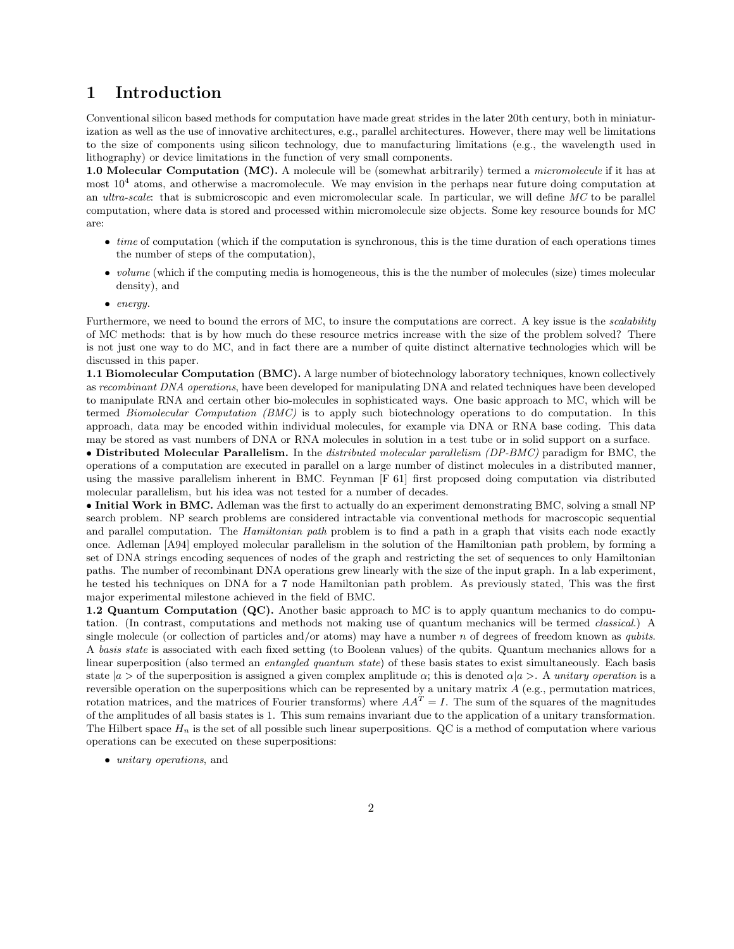## 1 Introduction

Conventional silicon based methods for computation have made great strides in the later 20th century, both in miniaturization as well as the use of innovative architectures, e.g., parallel architectures. However, there may well be limitations to the size of components using silicon technology, due to manufacturing limitations (e.g., the wavelength used in lithography) or device limitations in the function of very small components.

1.0 Molecular Computation (MC). A molecule will be (somewhat arbitrarily) termed a micromolecule if it has at most  $10<sup>4</sup>$  atoms, and otherwise a macromolecule. We may envision in the perhaps near future doing computation at an  $ultra-scale$ : that is submicroscopic and even micromolecular scale. In particular, we will define  $MC$  to be parallel computation, where data is stored and processed within micromolecule size objects. Some key resource bounds for MC are:

- $\bullet$  time of computation (which if the computation is synchronous, this is the time duration of each operations times the number of steps of the computation),
- volume (which if the computing media is homogeneous, this is the the number of molecules (size) times molecular density), and
- energy.

Furthermore, we need to bound the errors of MC, to insure the computations are correct. A key issue is the scalability of MC methods: that is by how much do these resource metrics increase with the size of the problem solved? There is not just one way to do MC, and in fact there are a number of quite distinct alternative technologies which will be discussed in this paper.

1.1 Biomolecular Computation (BMC). A large number of biotechnology laboratory techniques, known collectively as recombinant DNA operations, have been developed for manipulating DNA and related techniques have been developed to manipulate RNA and certain other bio-molecules in sophisticated ways. One basic approach to MC, which will be termed Biomolecular Computation (BMC) is to apply such biotechnology operations to do computation. In this approach, data may be encoded within individual molecules, for example via DNA or RNA base coding. This data may be stored as vast numbers of DNA or RNA molecules in solution in a test tube or in solid support on a surface.

• Distributed Molecular Parallelism. In the *distributed molecular parallelism (DP-BMC)* paradigm for BMC, the operations of a computation are executed in parallel on a large number of distinct molecules in a distributed manner, using the massive parallelism inherent in BMC. Feynman [F 61] first proposed doing computation via distributed molecular parallelism, but his idea was not tested for a number of decades.

• Initial Work in BMC. Adleman was the first to actually do an experiment demonstrating BMC, solving a small NP search problem. NP search problems are considered intractable via conventional methods for macroscopic sequential and parallel computation. The *Hamiltonian path* problem is to find a path in a graph that visits each node exactly once. Adleman [A94] employed molecular parallelism in the solution of the Hamiltonian path problem, by forming a set of DNA strings encoding sequences of nodes of the graph and restricting the set of sequences to only Hamiltonian paths. The number of recombinant DNA operations grew linearly with the size of the input graph. In a lab experiment, he tested his techniques on DNA for a 7 node Hamiltonian path problem. As previously stated, This was the first major experimental milestone achieved in the field of BMC.

1.2 Quantum Computation (QC). Another basic approach to MC is to apply quantum mechanics to do computation. (In contrast, computations and methods not making use of quantum mechanics will be termed classical.) A single molecule (or collection of particles and/or atoms) may have a number n of degrees of freedom known as qubits. A basis state is associated with each fixed setting (to Boolean values) of the qubits. Quantum mechanics allows for a linear superposition (also termed an *entangled quantum state*) of these basis states to exist simultaneously. Each basis state  $|a>$  of the superposition is assigned a given complex amplitude  $\alpha$ ; this is denoted  $\alpha|a>$ . A unitary operation is a reversible operation on the superpositions which can be represented by a unitary matrix  $A$  (e.g., permutation matrices, rotation matrices, and the matrices of Fourier transforms) where  $AA^T = I$ . The sum of the squares of the magnitudes of the amplitudes of all basis states is 1. This sum remains invariant due to the application of a unitary transformation. The Hilbert space  $H_n$  is the set of all possible such linear superpositions. QC is a method of computation where various operations can be executed on these superpositions:

• *unitary operations*, and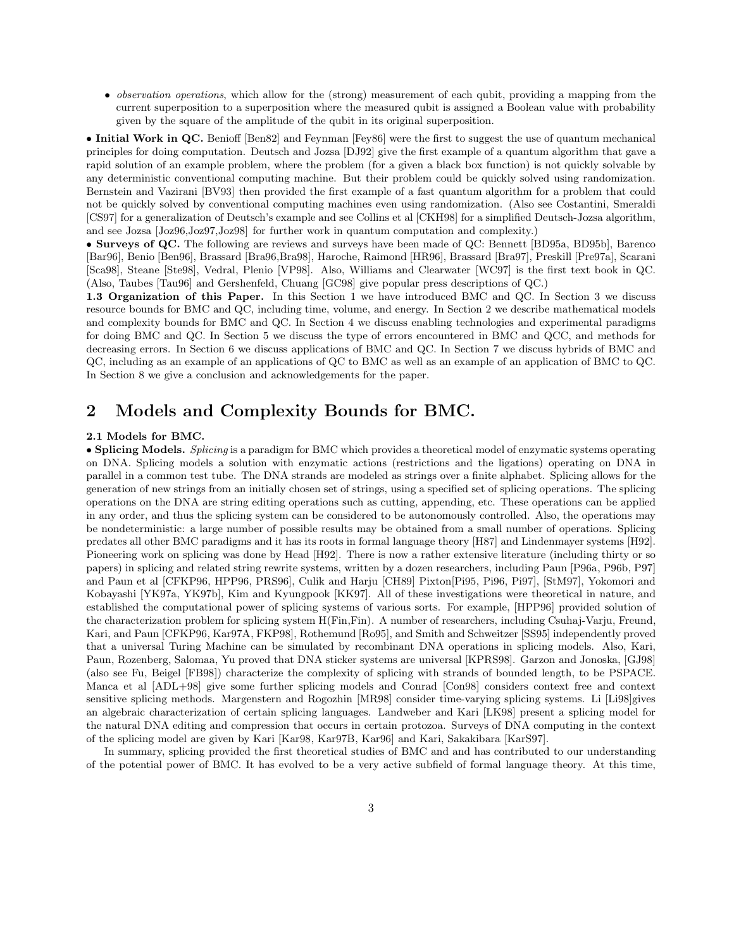• observation operations, which allow for the (strong) measurement of each qubit, providing a mapping from the current superposition to a superposition where the measured qubit is assigned a Boolean value with probability given by the square of the amplitude of the qubit in its original superposition.

• Initial Work in QC. Benioff [Ben82] and Feynman [Fey86] were the first to suggest the use of quantum mechanical principles for doing computation. Deutsch and Jozsa [DJ92] give the first example of a quantum algorithm that gave a rapid solution of an example problem, where the problem (for a given a black box function) is not quickly solvable by any deterministic conventional computing machine. But their problem could be quickly solved using randomization. Bernstein and Vazirani [BV93] then provided the first example of a fast quantum algorithm for a problem that could not be quickly solved by conventional computing machines even using randomization. (Also see Costantini, Smeraldi [CS97] for a generalization of Deutsch's example and see Collins et al [CKH98] for a simplified Deutsch-Jozsa algorithm, and see Jozsa [Joz96,Joz97,Joz98] for further work in quantum computation and complexity.)

• Surveys of QC. The following are reviews and surveys have been made of QC: Bennett [BD95a, BD95b], Barenco [Bar96], Benio [Ben96], Brassard [Bra96,Bra98], Haroche, Raimond [HR96], Brassard [Bra97], Preskill [Pre97a], Scarani [Sca98], Steane [Ste98], Vedral, Plenio [VP98]. Also, Williams and Clearwater [WC97] is the first text book in QC. (Also, Taubes [Tau96] and Gershenfeld, Chuang [GC98] give popular press descriptions of QC.)

1.3 Organization of this Paper. In this Section 1 we have introduced BMC and QC. In Section 3 we discuss resource bounds for BMC and QC, including time, volume, and energy. In Section 2 we describe mathematical models and complexity bounds for BMC and QC. In Section 4 we discuss enabling technologies and experimental paradigms for doing BMC and QC. In Section 5 we discuss the type of errors encountered in BMC and QCC, and methods for decreasing errors. In Section 6 we discuss applications of BMC and QC. In Section 7 we discuss hybrids of BMC and QC, including as an example of an applications of QC to BMC as well as an example of an application of BMC to QC. In Section 8 we give a conclusion and acknowledgements for the paper.

# 2 Models and Complexity Bounds for BMC.

### 2.1 Models for BMC.

• Splicing Models. Splicing is a paradigm for BMC which provides a theoretical model of enzymatic systems operating on DNA. Splicing models a solution with enzymatic actions (restrictions and the ligations) operating on DNA in parallel in a common test tube. The DNA strands are modeled as strings over a finite alphabet. Splicing allows for the generation of new strings from an initially chosen set of strings, using a specified set of splicing operations. The splicing operations on the DNA are string editing operations such as cutting, appending, etc. These operations can be applied in any order, and thus the splicing system can be considered to be autonomously controlled. Also, the operations may be nondeterministic: a large number of possible results may be obtained from a small number of operations. Splicing predates all other BMC paradigms and it has its roots in formal language theory [H87] and Lindenmayer systems [H92]. Pioneering work on splicing was done by Head [H92]. There is now a rather extensive literature (including thirty or so papers) in splicing and related string rewrite systems, written by a dozen researchers, including Paun [P96a, P96b, P97] and Paun et al [CFKP96, HPP96, PRS96], Culik and Harju [CH89] Pixton[Pi95, Pi96, Pi97], [StM97], Yokomori and Kobayashi [YK97a, YK97b], Kim and Kyungpook [KK97]. All of these investigations were theoretical in nature, and established the computational power of splicing systems of various sorts. For example, [HPP96] provided solution of the characterization problem for splicing system H(Fin,Fin). A number of researchers, including Csuhaj-Varju, Freund, Kari, and Paun [CFKP96, Kar97A, FKP98], Rothemund [Ro95], and Smith and Schweitzer [SS95] independently proved that a universal Turing Machine can be simulated by recombinant DNA operations in splicing models. Also, Kari, Paun, Rozenberg, Salomaa, Yu proved that DNA sticker systems are universal [KPRS98]. Garzon and Jonoska, [GJ98] (also see Fu, Beigel [FB98]) characterize the complexity of splicing with strands of bounded length, to be PSPACE. Manca et al [ADL+98] give some further splicing models and Conrad [Con98] considers context free and context sensitive splicing methods. Margenstern and Rogozhin [MR98] consider time-varying splicing systems. Li [Li98]gives an algebraic characterization of certain splicing languages. Landweber and Kari [LK98] present a splicing model for the natural DNA editing and compression that occurs in certain protozoa. Surveys of DNA computing in the context of the splicing model are given by Kari [Kar98, Kar97B, Kar96] and Kari, Sakakibara [KarS97].

In summary, splicing provided the first theoretical studies of BMC and and has contributed to our understanding of the potential power of BMC. It has evolved to be a very active subfield of formal language theory. At this time,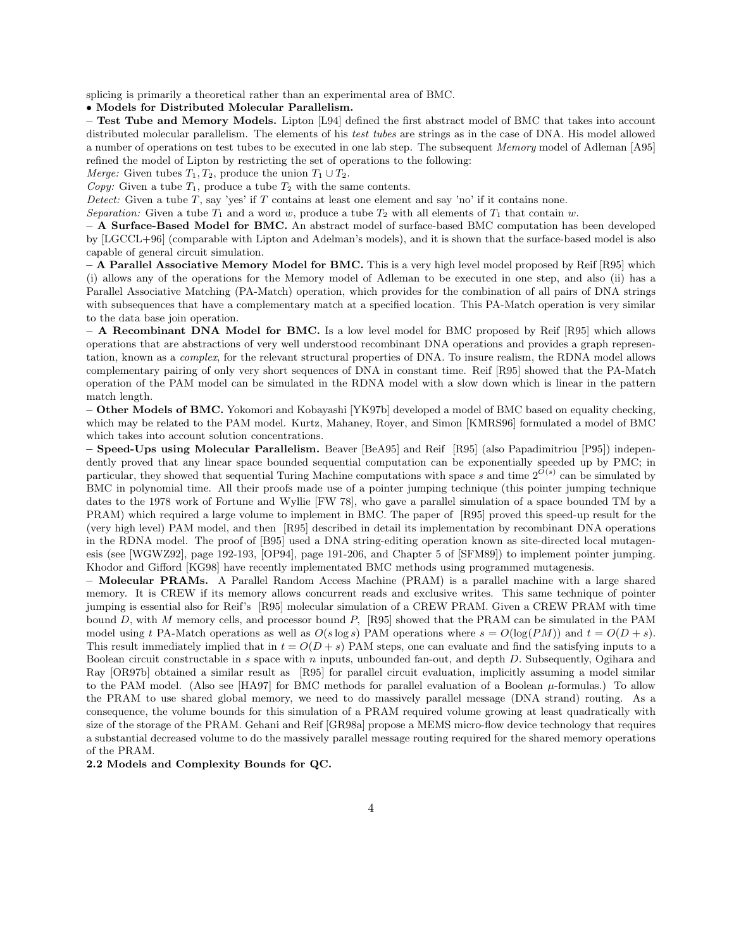splicing is primarily a theoretical rather than an experimental area of BMC.

• Models for Distributed Molecular Parallelism.

– Test Tube and Memory Models. Lipton [L94] defined the first abstract model of BMC that takes into account distributed molecular parallelism. The elements of his test tubes are strings as in the case of DNA. His model allowed a number of operations on test tubes to be executed in one lab step. The subsequent Memory model of Adleman [A95] refined the model of Lipton by restricting the set of operations to the following:

*Merge:* Given tubes  $T_1, T_2$ , produce the union  $T_1 \cup T_2$ .

Copy: Given a tube  $T_1$ , produce a tube  $T_2$  with the same contents.

Detect: Given a tube  $T$ , say 'yes' if  $T$  contains at least one element and say 'no' if it contains none.

Separation: Given a tube  $T_1$  and a word w, produce a tube  $T_2$  with all elements of  $T_1$  that contain w.

– A Surface-Based Model for BMC. An abstract model of surface-based BMC computation has been developed by [LGCCL+96] (comparable with Lipton and Adelman's models), and it is shown that the surface-based model is also capable of general circuit simulation.

 $-$  A Parallel Associative Memory Model for BMC. This is a very high level model proposed by Reif  $[R95]$  which (i) allows any of the operations for the Memory model of Adleman to be executed in one step, and also (ii) has a Parallel Associative Matching (PA-Match) operation, which provides for the combination of all pairs of DNA strings with subsequences that have a complementary match at a specified location. This PA-Match operation is very similar to the data base join operation.

 $-$  A Recombinant DNA Model for BMC. Is a low level model for BMC proposed by Reif  $[R95]$  which allows operations that are abstractions of very well understood recombinant DNA operations and provides a graph representation, known as a complex, for the relevant structural properties of DNA. To insure realism, the RDNA model allows complementary pairing of only very short sequences of DNA in constant time. Reif [R95] showed that the PA-Match operation of the PAM model can be simulated in the RDNA model with a slow down which is linear in the pattern match length.

– Other Models of BMC. Yokomori and Kobayashi [YK97b] developed a model of BMC based on equality checking, which may be related to the PAM model. Kurtz, Mahaney, Royer, and Simon [KMRS96] formulated a model of BMC which takes into account solution concentrations.

– Speed-Ups using Molecular Parallelism. Beaver [BeA95] and Reif [R95] (also Papadimitriou [P95]) independently proved that any linear space bounded sequential computation can be exponentially speeded up by PMC; in particular, they showed that sequential Turing Machine computations with space s and time  $2^{\hat{O}(s)}$  can be simulated by BMC in polynomial time. All their proofs made use of a pointer jumping technique (this pointer jumping technique dates to the 1978 work of Fortune and Wyllie [FW 78], who gave a parallel simulation of a space bounded TM by a PRAM) which required a large volume to implement in BMC. The paper of [R95] proved this speed-up result for the (very high level) PAM model, and then [R95] described in detail its implementation by recombinant DNA operations in the RDNA model. The proof of [B95] used a DNA string-editing operation known as site-directed local mutagenesis (see [WGWZ92], page 192-193, [OP94], page 191-206, and Chapter 5 of [SFM89]) to implement pointer jumping. Khodor and Gifford [KG98] have recently implementated BMC methods using programmed mutagenesis.

– Molecular PRAMs. A Parallel Random Access Machine (PRAM) is a parallel machine with a large shared memory. It is CREW if its memory allows concurrent reads and exclusive writes. This same technique of pointer jumping is essential also for Reif's [R95] molecular simulation of a CREW PRAM. Given a CREW PRAM with time bound D, with M memory cells, and processor bound P, [R95] showed that the PRAM can be simulated in the PAM model using t PA-Match operations as well as  $O(s \log s)$  PAM operations where  $s = O(\log(PM))$  and  $t = O(D + s)$ . This result immediately implied that in  $t = O(D + s)$  PAM steps, one can evaluate and find the satisfying inputs to a Boolean circuit constructable in  $s$  space with  $n$  inputs, unbounded fan-out, and depth  $D$ . Subsequently, Ogihara and Ray [OR97b] obtained a similar result as [R95] for parallel circuit evaluation, implicitly assuming a model similar to the PAM model. (Also see [HA97] for BMC methods for parallel evaluation of a Boolean  $\mu$ -formulas.) To allow the PRAM to use shared global memory, we need to do massively parallel message (DNA strand) routing. As a consequence, the volume bounds for this simulation of a PRAM required volume growing at least quadratically with size of the storage of the PRAM. Gehani and Reif [GR98a] propose a MEMS micro-flow device technology that requires a substantial decreased volume to do the massively parallel message routing required for the shared memory operations of the PRAM.

2.2 Models and Complexity Bounds for QC.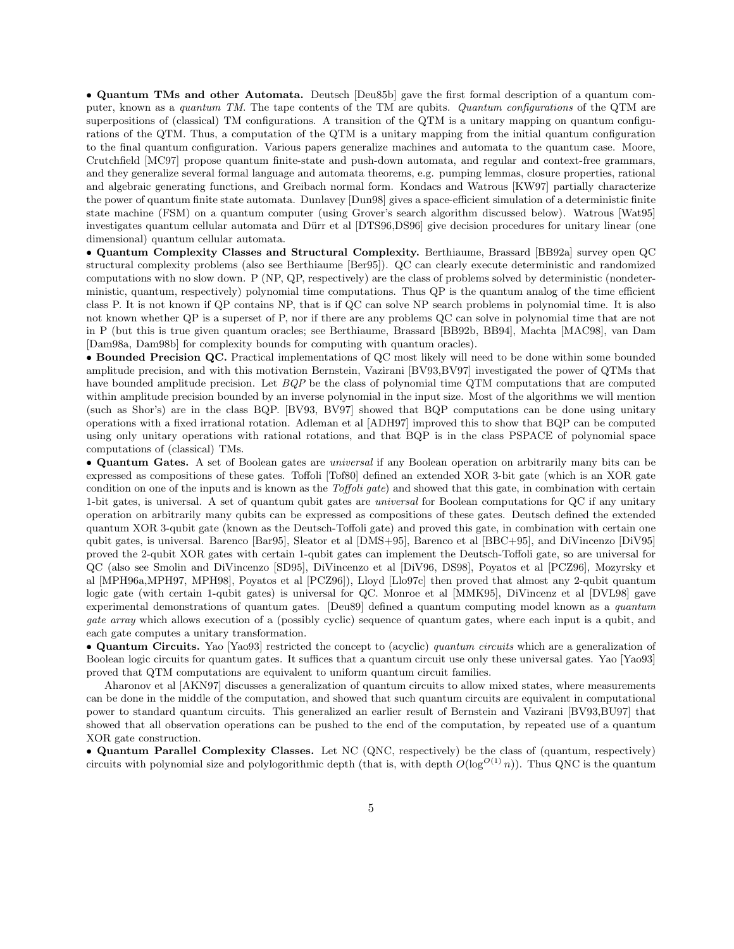• Quantum TMs and other Automata. Deutsch [Deu85b] gave the first formal description of a quantum computer, known as a *quantum TM*. The tape contents of the TM are qubits. *Quantum configurations* of the QTM are superpositions of (classical) TM configurations. A transition of the QTM is a unitary mapping on quantum configurations of the QTM. Thus, a computation of the QTM is a unitary mapping from the initial quantum configuration to the final quantum configuration. Various papers generalize machines and automata to the quantum case. Moore, Crutchfield [MC97] propose quantum finite-state and push-down automata, and regular and context-free grammars, and they generalize several formal language and automata theorems, e.g. pumping lemmas, closure properties, rational and algebraic generating functions, and Greibach normal form. Kondacs and Watrous [KW97] partially characterize the power of quantum finite state automata. Dunlavey [Dun98] gives a space-efficient simulation of a deterministic finite state machine (FSM) on a quantum computer (using Grover's search algorithm discussed below). Watrous [Wat95] investigates quantum cellular automata and Dürr et al [DTS96,DS96] give decision procedures for unitary linear (one dimensional) quantum cellular automata.

• Quantum Complexity Classes and Structural Complexity. Berthiaume, Brassard [BB92a] survey open QC structural complexity problems (also see Berthiaume [Ber95]). QC can clearly execute deterministic and randomized computations with no slow down. P (NP, QP, respectively) are the class of problems solved by deterministic (nondeterministic, quantum, respectively) polynomial time computations. Thus QP is the quantum analog of the time efficient class P. It is not known if QP contains NP, that is if QC can solve NP search problems in polynomial time. It is also not known whether QP is a superset of P, nor if there are any problems QC can solve in polynomial time that are not in P (but this is true given quantum oracles; see Berthiaume, Brassard [BB92b, BB94], Machta [MAC98], van Dam [Dam98a, Dam98b] for complexity bounds for computing with quantum oracles).

• Bounded Precision QC. Practical implementations of QC most likely will need to be done within some bounded amplitude precision, and with this motivation Bernstein, Vazirani [BV93,BV97] investigated the power of QTMs that have bounded amplitude precision. Let  $BQP$  be the class of polynomial time QTM computations that are computed within amplitude precision bounded by an inverse polynomial in the input size. Most of the algorithms we will mention (such as Shor's) are in the class BQP. [BV93, BV97] showed that BQP computations can be done using unitary operations with a fixed irrational rotation. Adleman et al [ADH97] improved this to show that BQP can be computed using only unitary operations with rational rotations, and that BQP is in the class PSPACE of polynomial space computations of (classical) TMs.

• Quantum Gates. A set of Boolean gates are universal if any Boolean operation on arbitrarily many bits can be expressed as compositions of these gates. Toffoli [Tof80] defined an extended XOR 3-bit gate (which is an XOR gate condition on one of the inputs and is known as the Toffoli gate) and showed that this gate, in combination with certain 1-bit gates, is universal. A set of quantum qubit gates are universal for Boolean computations for QC if any unitary operation on arbitrarily many qubits can be expressed as compositions of these gates. Deutsch defined the extended quantum XOR 3-qubit gate (known as the Deutsch-Toffoli gate) and proved this gate, in combination with certain one qubit gates, is universal. Barenco [Bar95], Sleator et al [DMS+95], Barenco et al [BBC+95], and DiVincenzo [DiV95] proved the 2-qubit XOR gates with certain 1-qubit gates can implement the Deutsch-Toffoli gate, so are universal for QC (also see Smolin and DiVincenzo [SD95], DiVincenzo et al [DiV96, DS98], Poyatos et al [PCZ96], Mozyrsky et al [MPH96a,MPH97, MPH98], Poyatos et al [PCZ96]), Lloyd [Llo97c] then proved that almost any 2-qubit quantum logic gate (with certain 1-qubit gates) is universal for QC. Monroe et al [MMK95], DiVincenz et al [DVL98] gave experimental demonstrations of quantum gates. [Deu89] defined a quantum computing model known as a quantum gate array which allows execution of a (possibly cyclic) sequence of quantum gates, where each input is a qubit, and each gate computes a unitary transformation.

• Quantum Circuits. Yao [Yao93] restricted the concept to (acyclic) quantum circuits which are a generalization of Boolean logic circuits for quantum gates. It suffices that a quantum circuit use only these universal gates. Yao [Yao93] proved that QTM computations are equivalent to uniform quantum circuit families.

Aharonov et al [AKN97] discusses a generalization of quantum circuits to allow mixed states, where measurements can be done in the middle of the computation, and showed that such quantum circuits are equivalent in computational power to standard quantum circuits. This generalized an earlier result of Bernstein and Vazirani [BV93,BU97] that showed that all observation operations can be pushed to the end of the computation, by repeated use of a quantum XOR gate construction.

• Quantum Parallel Complexity Classes. Let NC (QNC, respectively) be the class of (quantum, respectively) circuits with polynomial size and polylogorithmic depth (that is, with depth  $O(\log^{O(1)} n)$ ). Thus QNC is the quantum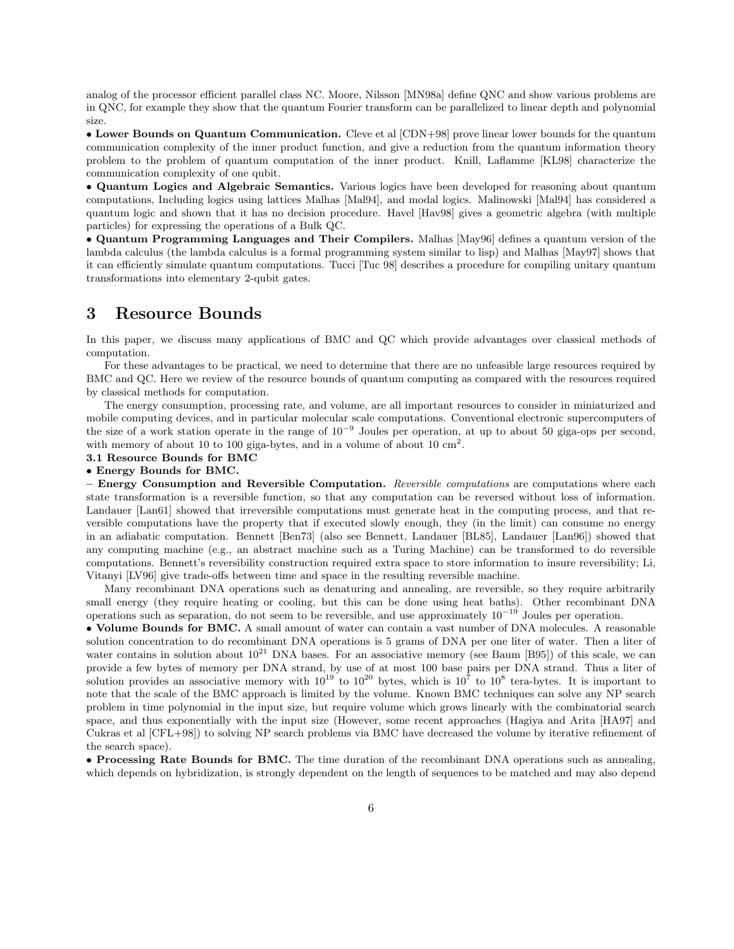analog of the processor efficient parallel class NC. Moore, Nilsson [MN98a] define QNC and show various problems are in QNC, for example they show that the quantum Fourier transform can be parallelized to linear depth and polynomial size.

• Lower Bounds on Quantum Communication. Cleve et al [CDN+98] prove linear lower bounds for the quantum communication complexity of the inner product function, and give a reduction from the quantum information theory problem to the problem of quantum computation of the inner product. Knill, Laflamme [KL98] characterize the communication complexity of one qubit.

• Quantum Logics and Algebraic Semantics. Various logics have been developed for reasoning about quantum computations, Including logics using lattices Malhas [Mal94], and modal logics. Malinowski [Mal94] has considered a quantum logic and shown that it has no decision procedure. Havel [Hav98] gives a geometric algebra (with multiple particles) for expressing the operations of a Bulk QC.

• Quantum Programming Languages and Their Compilers. Malhas [May96] defines a quantum version of the lambda calculus (the lambda calculus is a formal programming system similar to lisp) and Malhas [May97] shows that it can efficiently simulate quantum computations. Tucci [Tuc 98] describes a procedure for compiling unitary quantum transformations into elementary 2-qubit gates.

### 3 Resource Bounds

In this paper, we discuss many applications of BMC and QC which provide advantages over classical methods of computation.

For these advantages to be practical, we need to determine that there are no unfeasible large resources required by BMC and QC. Here we review of the resource bounds of quantum computing as compared with the resources required by classical methods for computation.

The energy consumption, processing rate, and volume, are all important resources to consider in miniaturized and mobile computing devices, and in particular molecular scale computations. Conventional electronic supercomputers of the size of a work station operate in the range of 10<sup>−</sup><sup>9</sup> Joules per operation, at up to about 50 giga-ops per second, with memory of about 10 to 100 giga-bytes, and in a volume of about 10  $\text{cm}^2$ .

## 3.1 Resource Bounds for BMC

### • Energy Bounds for BMC.

 $-$  **Energy Consumption and Reversible Computation.** Reversible computations are computations where each state transformation is a reversible function, so that any computation can be reversed without loss of information. Landauer [Lan61] showed that irreversible computations must generate heat in the computing process, and that reversible computations have the property that if executed slowly enough, they (in the limit) can consume no energy in an adiabatic computation. Bennett [Ben73] (also see Bennett, Landauer [BL85], Landauer [Lan96]) showed that any computing machine (e.g., an abstract machine such as a Turing Machine) can be transformed to do reversible computations. Bennett's reversibility construction required extra space to store information to insure reversibility; Li, Vitanyi [LV96] give trade-offs between time and space in the resulting reversible machine.

Many recombinant DNA operations such as denaturing and annealing, are reversible, so they require arbitrarily small energy (they require heating or cooling, but this can be done using heat baths). Other recombinant DNA operations such as separation, do not seem to be reversible, and use approximately  $10^{-19}$  Joules per operation.

• Volume Bounds for BMC. A small amount of water can contain a vast number of DNA molecules. A reasonable solution concentration to do recombinant DNA operations is 5 grams of DNA per one liter of water. Then a liter of water contains in solution about  $10^{21}$  DNA bases. For an associative memory (see Baum [B95]) of this scale, we can provide a few bytes of memory per DNA strand, by use of at most 100 base pairs per DNA strand. Thus a liter of solution provides an associative memory with  $10^{19}$  to  $10^{20}$  bytes, which is  $10^7$  to  $10^8$  tera-bytes. It is important to note that the scale of the BMC approach is limited by the volume. Known BMC techniques can solve any NP search problem in time polynomial in the input size, but require volume which grows linearly with the combinatorial search space, and thus exponentially with the input size (However, some recent approaches (Hagiya and Arita [HA97] and Cukras et al [CFL+98]) to solving NP search problems via BMC have decreased the volume by iterative refinement of the search space).

• Processing Rate Bounds for BMC. The time duration of the recombinant DNA operations such as annealing, which depends on hybridization, is strongly dependent on the length of sequences to be matched and may also depend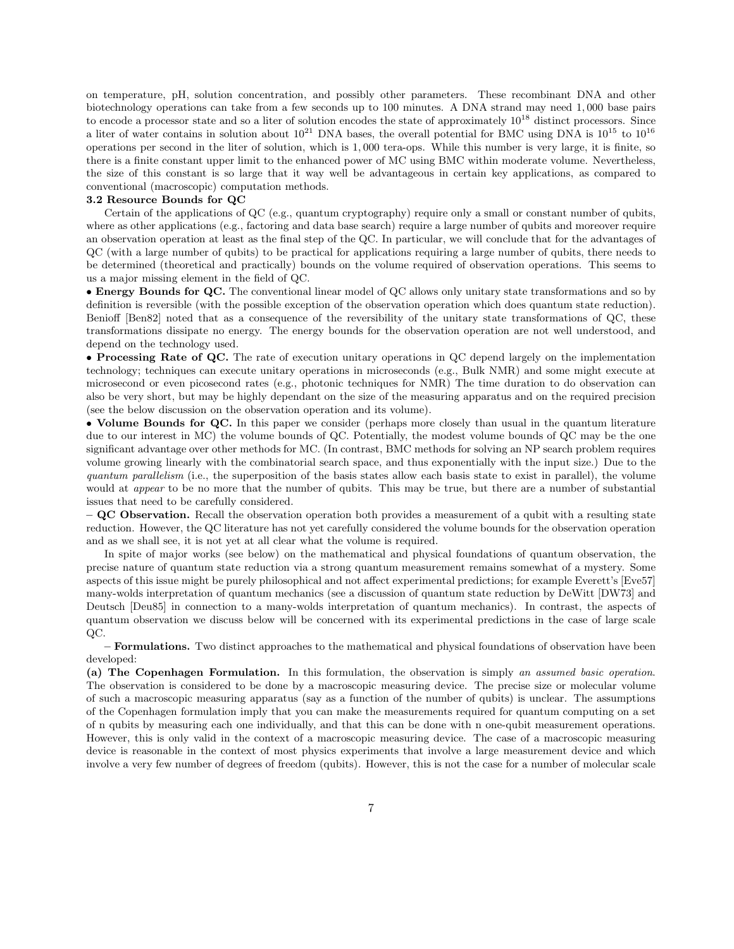on temperature, pH, solution concentration, and possibly other parameters. These recombinant DNA and other biotechnology operations can take from a few seconds up to 100 minutes. A DNA strand may need 1, 000 base pairs to encode a processor state and so a liter of solution encodes the state of approximately  $10^{18}$  distinct processors. Since a liter of water contains in solution about  $10^{21}$  DNA bases, the overall potential for BMC using DNA is  $10^{15}$  to  $10^{16}$ operations per second in the liter of solution, which is 1, 000 tera-ops. While this number is very large, it is finite, so there is a finite constant upper limit to the enhanced power of MC using BMC within moderate volume. Nevertheless, the size of this constant is so large that it way well be advantageous in certain key applications, as compared to conventional (macroscopic) computation methods.

### 3.2 Resource Bounds for QC

Certain of the applications of QC (e.g., quantum cryptography) require only a small or constant number of qubits, where as other applications (e.g., factoring and data base search) require a large number of qubits and moreover require an observation operation at least as the final step of the QC. In particular, we will conclude that for the advantages of QC (with a large number of qubits) to be practical for applications requiring a large number of qubits, there needs to be determined (theoretical and practically) bounds on the volume required of observation operations. This seems to us a major missing element in the field of QC.

• Energy Bounds for QC. The conventional linear model of QC allows only unitary state transformations and so by definition is reversible (with the possible exception of the observation operation which does quantum state reduction). Benioff [Ben82] noted that as a consequence of the reversibility of the unitary state transformations of QC, these transformations dissipate no energy. The energy bounds for the observation operation are not well understood, and depend on the technology used.

• Processing Rate of QC. The rate of execution unitary operations in QC depend largely on the implementation technology; techniques can execute unitary operations in microseconds (e.g., Bulk NMR) and some might execute at microsecond or even picosecond rates (e.g., photonic techniques for NMR) The time duration to do observation can also be very short, but may be highly dependant on the size of the measuring apparatus and on the required precision (see the below discussion on the observation operation and its volume).

• Volume Bounds for QC. In this paper we consider (perhaps more closely than usual in the quantum literature due to our interest in MC) the volume bounds of QC. Potentially, the modest volume bounds of QC may be the one significant advantage over other methods for MC. (In contrast, BMC methods for solving an NP search problem requires volume growing linearly with the combinatorial search space, and thus exponentially with the input size.) Due to the quantum parallelism (i.e., the superposition of the basis states allow each basis state to exist in parallel), the volume would at *appear* to be no more that the number of qubits. This may be true, but there are a number of substantial issues that need to be carefully considered.

 $-$  QC Observation. Recall the observation operation both provides a measurement of a qubit with a resulting state reduction. However, the QC literature has not yet carefully considered the volume bounds for the observation operation and as we shall see, it is not yet at all clear what the volume is required.

In spite of major works (see below) on the mathematical and physical foundations of quantum observation, the precise nature of quantum state reduction via a strong quantum measurement remains somewhat of a mystery. Some aspects of this issue might be purely philosophical and not affect experimental predictions; for example Everett's [Eve57] many-wolds interpretation of quantum mechanics (see a discussion of quantum state reduction by DeWitt [DW73] and Deutsch [Deu85] in connection to a many-wolds interpretation of quantum mechanics). In contrast, the aspects of quantum observation we discuss below will be concerned with its experimental predictions in the case of large scale QC.

– Formulations. Two distinct approaches to the mathematical and physical foundations of observation have been developed:

(a) The Copenhagen Formulation. In this formulation, the observation is simply an assumed basic operation. The observation is considered to be done by a macroscopic measuring device. The precise size or molecular volume of such a macroscopic measuring apparatus (say as a function of the number of qubits) is unclear. The assumptions of the Copenhagen formulation imply that you can make the measurements required for quantum computing on a set of n qubits by measuring each one individually, and that this can be done with n one-qubit measurement operations. However, this is only valid in the context of a macroscopic measuring device. The case of a macroscopic measuring device is reasonable in the context of most physics experiments that involve a large measurement device and which involve a very few number of degrees of freedom (qubits). However, this is not the case for a number of molecular scale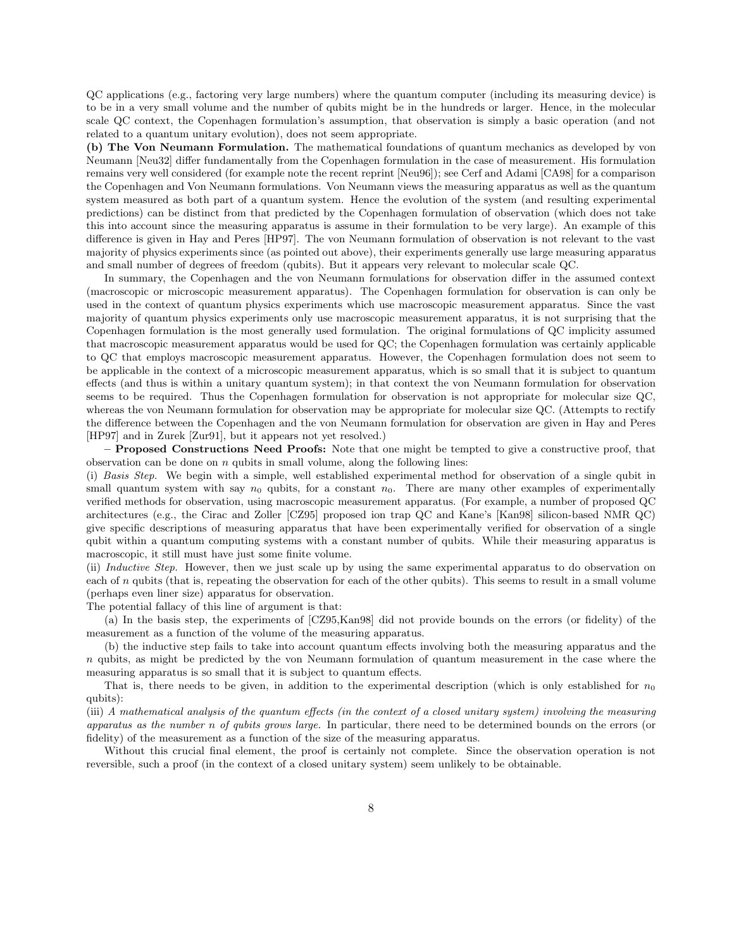QC applications (e.g., factoring very large numbers) where the quantum computer (including its measuring device) is to be in a very small volume and the number of qubits might be in the hundreds or larger. Hence, in the molecular scale QC context, the Copenhagen formulation's assumption, that observation is simply a basic operation (and not related to a quantum unitary evolution), does not seem appropriate.

(b) The Von Neumann Formulation. The mathematical foundations of quantum mechanics as developed by von Neumann [Neu32] differ fundamentally from the Copenhagen formulation in the case of measurement. His formulation remains very well considered (for example note the recent reprint [Neu96]); see Cerf and Adami [CA98] for a comparison the Copenhagen and Von Neumann formulations. Von Neumann views the measuring apparatus as well as the quantum system measured as both part of a quantum system. Hence the evolution of the system (and resulting experimental predictions) can be distinct from that predicted by the Copenhagen formulation of observation (which does not take this into account since the measuring apparatus is assume in their formulation to be very large). An example of this difference is given in Hay and Peres [HP97]. The von Neumann formulation of observation is not relevant to the vast majority of physics experiments since (as pointed out above), their experiments generally use large measuring apparatus and small number of degrees of freedom (qubits). But it appears very relevant to molecular scale QC.

In summary, the Copenhagen and the von Neumann formulations for observation differ in the assumed context (macroscopic or microscopic measurement apparatus). The Copenhagen formulation for observation is can only be used in the context of quantum physics experiments which use macroscopic measurement apparatus. Since the vast majority of quantum physics experiments only use macroscopic measurement apparatus, it is not surprising that the Copenhagen formulation is the most generally used formulation. The original formulations of QC implicity assumed that macroscopic measurement apparatus would be used for QC; the Copenhagen formulation was certainly applicable to QC that employs macroscopic measurement apparatus. However, the Copenhagen formulation does not seem to be applicable in the context of a microscopic measurement apparatus, which is so small that it is subject to quantum effects (and thus is within a unitary quantum system); in that context the von Neumann formulation for observation seems to be required. Thus the Copenhagen formulation for observation is not appropriate for molecular size QC, whereas the von Neumann formulation for observation may be appropriate for molecular size QC. (Attempts to rectify the difference between the Copenhagen and the von Neumann formulation for observation are given in Hay and Peres [HP97] and in Zurek [Zur91], but it appears not yet resolved.)

– Proposed Constructions Need Proofs: Note that one might be tempted to give a constructive proof, that observation can be done on  $n$  qubits in small volume, along the following lines:

(i) Basis Step. We begin with a simple, well established experimental method for observation of a single qubit in small quantum system with say  $n_0$  qubits, for a constant  $n_0$ . There are many other examples of experimentally verified methods for observation, using macroscopic measurement apparatus. (For example, a number of proposed QC architectures (e.g., the Cirac and Zoller [CZ95] proposed ion trap QC and Kane's [Kan98] silicon-based NMR QC) give specific descriptions of measuring apparatus that have been experimentally verified for observation of a single qubit within a quantum computing systems with a constant number of qubits. While their measuring apparatus is macroscopic, it still must have just some finite volume.

(ii) Inductive Step. However, then we just scale up by using the same experimental apparatus to do observation on each of  $n$  qubits (that is, repeating the observation for each of the other qubits). This seems to result in a small volume (perhaps even liner size) apparatus for observation.

The potential fallacy of this line of argument is that:

(a) In the basis step, the experiments of [CZ95,Kan98] did not provide bounds on the errors (or fidelity) of the measurement as a function of the volume of the measuring apparatus.

(b) the inductive step fails to take into account quantum effects involving both the measuring apparatus and the  $n$  qubits, as might be predicted by the von Neumann formulation of quantum measurement in the case where the measuring apparatus is so small that it is subject to quantum effects.

That is, there needs to be given, in addition to the experimental description (which is only established for  $n_0$ qubits):

(iii) A mathematical analysis of the quantum effects (in the context of a closed unitary system) involving the measuring apparatus as the number n of qubits grows large. In particular, there need to be determined bounds on the errors (or fidelity) of the measurement as a function of the size of the measuring apparatus.

Without this crucial final element, the proof is certainly not complete. Since the observation operation is not reversible, such a proof (in the context of a closed unitary system) seem unlikely to be obtainable.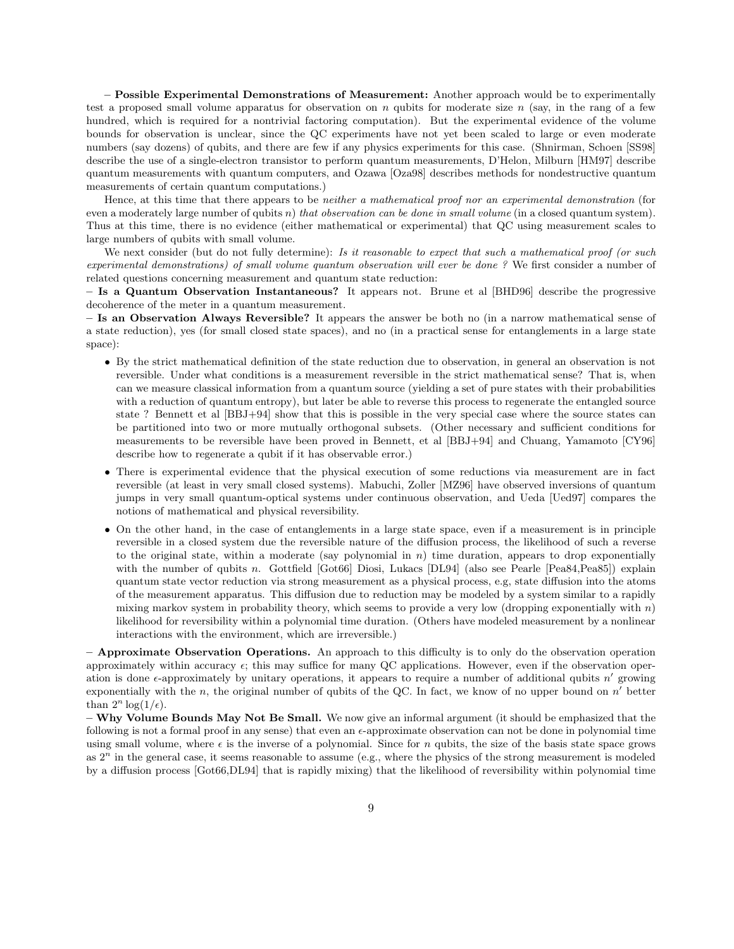– Possible Experimental Demonstrations of Measurement: Another approach would be to experimentally test a proposed small volume apparatus for observation on n qubits for moderate size n (say, in the rang of a few hundred, which is required for a nontrivial factoring computation). But the experimental evidence of the volume bounds for observation is unclear, since the QC experiments have not yet been scaled to large or even moderate numbers (say dozens) of qubits, and there are few if any physics experiments for this case. (Shnirman, Schoen [SS98] describe the use of a single-electron transistor to perform quantum measurements, D'Helon, Milburn [HM97] describe quantum measurements with quantum computers, and Ozawa [Oza98] describes methods for nondestructive quantum measurements of certain quantum computations.)

Hence, at this time that there appears to be *neither a mathematical proof nor an experimental demonstration* (for even a moderately large number of qubits n) that observation can be done in small volume (in a closed quantum system). Thus at this time, there is no evidence (either mathematical or experimental) that QC using measurement scales to large numbers of qubits with small volume.

We next consider (but do not fully determine): Is it reasonable to expect that such a mathematical proof (or such experimental demonstrations) of small volume quantum observation will ever be done ? We first consider a number of related questions concerning measurement and quantum state reduction:

– Is a Quantum Observation Instantaneous? It appears not. Brune et al [BHD96] describe the progressive decoherence of the meter in a quantum measurement.

– Is an Observation Always Reversible? It appears the answer be both no (in a narrow mathematical sense of a state reduction), yes (for small closed state spaces), and no (in a practical sense for entanglements in a large state space):

- By the strict mathematical definition of the state reduction due to observation, in general an observation is not reversible. Under what conditions is a measurement reversible in the strict mathematical sense? That is, when can we measure classical information from a quantum source (yielding a set of pure states with their probabilities with a reduction of quantum entropy), but later be able to reverse this process to regenerate the entangled source state ? Bennett et al [BBJ+94] show that this is possible in the very special case where the source states can be partitioned into two or more mutually orthogonal subsets. (Other necessary and sufficient conditions for measurements to be reversible have been proved in Bennett, et al [BBJ+94] and Chuang, Yamamoto [CY96] describe how to regenerate a qubit if it has observable error.)
- There is experimental evidence that the physical execution of some reductions via measurement are in fact reversible (at least in very small closed systems). Mabuchi, Zoller [MZ96] have observed inversions of quantum jumps in very small quantum-optical systems under continuous observation, and Ueda [Ued97] compares the notions of mathematical and physical reversibility.
- On the other hand, in the case of entanglements in a large state space, even if a measurement is in principle reversible in a closed system due the reversible nature of the diffusion process, the likelihood of such a reverse to the original state, within a moderate (say polynomial in  $n$ ) time duration, appears to drop exponentially with the number of qubits n. Gottfield [Got66] Diosi, Lukacs [DL94] (also see Pearle [Pea84, Pea85]) explain quantum state vector reduction via strong measurement as a physical process, e.g, state diffusion into the atoms of the measurement apparatus. This diffusion due to reduction may be modeled by a system similar to a rapidly mixing markov system in probability theory, which seems to provide a very low (dropping exponentially with  $n$ ) likelihood for reversibility within a polynomial time duration. (Others have modeled measurement by a nonlinear interactions with the environment, which are irreversible.)

– Approximate Observation Operations. An approach to this difficulty is to only do the observation operation approximately within accuracy  $\epsilon$ ; this may suffice for many QC applications. However, even if the observation operation is done  $\epsilon$ -approximately by unitary operations, it appears to require a number of additional qubits n' growing exponentially with the n, the original number of qubits of the QC. In fact, we know of no upper bound on  $n'$  better than  $2^n \log(1/\epsilon)$ .

– Why Volume Bounds May Not Be Small. We now give an informal argument (it should be emphasized that the following is not a formal proof in any sense) that even an  $\epsilon$ -approximate observation can not be done in polynomial time using small volume, where  $\epsilon$  is the inverse of a polynomial. Since for n qubits, the size of the basis state space grows as  $2^n$  in the general case, it seems reasonable to assume (e.g., where the physics of the strong measurement is modeled by a diffusion process [Got66,DL94] that is rapidly mixing) that the likelihood of reversibility within polynomial time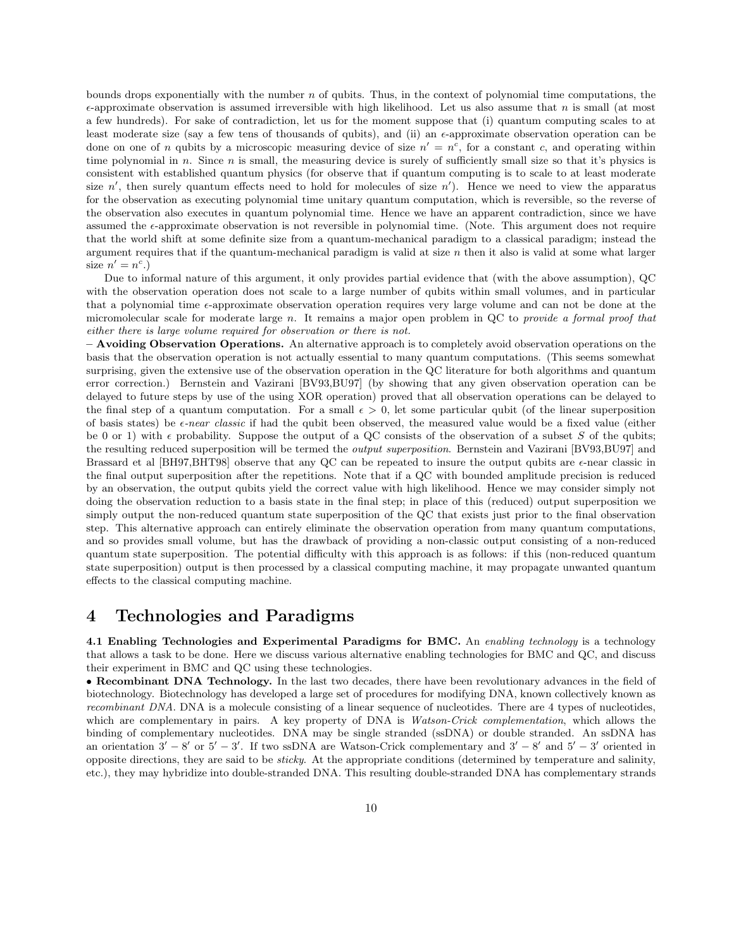bounds drops exponentially with the number  $n$  of qubits. Thus, in the context of polynomial time computations, the  $\epsilon$ -approximate observation is assumed irreversible with high likelihood. Let us also assume that n is small (at most a few hundreds). For sake of contradiction, let us for the moment suppose that (i) quantum computing scales to at least moderate size (say a few tens of thousands of qubits), and (ii) an  $\epsilon$ -approximate observation operation can be done on one of n qubits by a microscopic measuring device of size  $n' = n^c$ , for a constant c, and operating within time polynomial in n. Since n is small, the measuring device is surely of sufficiently small size so that it's physics is consistent with established quantum physics (for observe that if quantum computing is to scale to at least moderate size  $n'$ , then surely quantum effects need to hold for molecules of size  $n'$ ). Hence we need to view the apparatus for the observation as executing polynomial time unitary quantum computation, which is reversible, so the reverse of the observation also executes in quantum polynomial time. Hence we have an apparent contradiction, since we have assumed the  $\epsilon$ -approximate observation is not reversible in polynomial time. (Note. This argument does not require that the world shift at some definite size from a quantum-mechanical paradigm to a classical paradigm; instead the argument requires that if the quantum-mechanical paradigm is valid at size  $n$  then it also is valid at some what larger size  $n' = n^c$ .)

Due to informal nature of this argument, it only provides partial evidence that (with the above assumption), QC with the observation operation does not scale to a large number of qubits within small volumes, and in particular that a polynomial time  $\epsilon$ -approximate observation operation requires very large volume and can not be done at the micromolecular scale for moderate large n. It remains a major open problem in QC to provide a formal proof that either there is large volume required for observation or there is not.

– Avoiding Observation Operations. An alternative approach is to completely avoid observation operations on the basis that the observation operation is not actually essential to many quantum computations. (This seems somewhat surprising, given the extensive use of the observation operation in the QC literature for both algorithms and quantum error correction.) Bernstein and Vazirani [BV93,BU97] (by showing that any given observation operation can be delayed to future steps by use of the using XOR operation) proved that all observation operations can be delayed to the final step of a quantum computation. For a small  $\epsilon > 0$ , let some particular qubit (of the linear superposition of basis states) be  $\epsilon$ -near classic if had the qubit been observed, the measured value would be a fixed value (either be 0 or 1) with  $\epsilon$  probability. Suppose the output of a QC consists of the observation of a subset S of the qubits; the resulting reduced superposition will be termed the *output superposition*. Bernstein and Vazirani [BV93,BU97] and Brassard et al [BH97,BHT98] observe that any QC can be repeated to insure the output qubits are  $\epsilon$ -near classic in the final output superposition after the repetitions. Note that if a QC with bounded amplitude precision is reduced by an observation, the output qubits yield the correct value with high likelihood. Hence we may consider simply not doing the observation reduction to a basis state in the final step; in place of this (reduced) output superposition we simply output the non-reduced quantum state superposition of the QC that exists just prior to the final observation step. This alternative approach can entirely eliminate the observation operation from many quantum computations, and so provides small volume, but has the drawback of providing a non-classic output consisting of a non-reduced quantum state superposition. The potential difficulty with this approach is as follows: if this (non-reduced quantum state superposition) output is then processed by a classical computing machine, it may propagate unwanted quantum effects to the classical computing machine.

# 4 Technologies and Paradigms

4.1 Enabling Technologies and Experimental Paradigms for BMC. An enabling technology is a technology that allows a task to be done. Here we discuss various alternative enabling technologies for BMC and QC, and discuss their experiment in BMC and QC using these technologies.

• Recombinant DNA Technology. In the last two decades, there have been revolutionary advances in the field of biotechnology. Biotechnology has developed a large set of procedures for modifying DNA, known collectively known as recombinant DNA. DNA is a molecule consisting of a linear sequence of nucleotides. There are 4 types of nucleotides, which are complementary in pairs. A key property of DNA is *Watson-Crick complementation*, which allows the binding of complementary nucleotides. DNA may be single stranded (ssDNA) or double stranded. An ssDNA has an orientation  $3' - 8'$  or  $5' - 3'$ . If two ssDNA are Watson-Crick complementary and  $3' - 8'$  and  $5' - 3'$  oriented in opposite directions, they are said to be sticky. At the appropriate conditions (determined by temperature and salinity, etc.), they may hybridize into double-stranded DNA. This resulting double-stranded DNA has complementary strands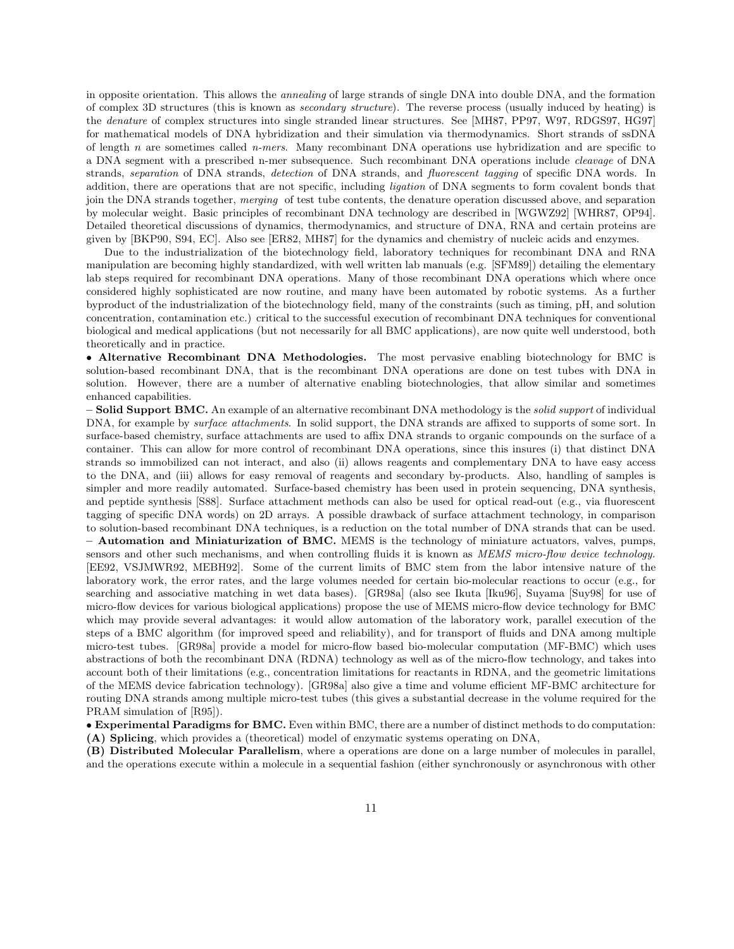in opposite orientation. This allows the annealing of large strands of single DNA into double DNA, and the formation of complex 3D structures (this is known as secondary structure). The reverse process (usually induced by heating) is the denature of complex structures into single stranded linear structures. See [MH87, PP97, W97, RDGS97, HG97] for mathematical models of DNA hybridization and their simulation via thermodynamics. Short strands of ssDNA of length n are sometimes called n-mers. Many recombinant DNA operations use hybridization and are specific to a DNA segment with a prescribed n-mer subsequence. Such recombinant DNA operations include cleavage of DNA strands, separation of DNA strands, detection of DNA strands, and fluorescent tagging of specific DNA words. In addition, there are operations that are not specific, including ligation of DNA segments to form covalent bonds that join the DNA strands together, merging of test tube contents, the denature operation discussed above, and separation by molecular weight. Basic principles of recombinant DNA technology are described in [WGWZ92] [WHR87, OP94]. Detailed theoretical discussions of dynamics, thermodynamics, and structure of DNA, RNA and certain proteins are given by [BKP90, S94, EC]. Also see [ER82, MH87] for the dynamics and chemistry of nucleic acids and enzymes.

Due to the industrialization of the biotechnology field, laboratory techniques for recombinant DNA and RNA manipulation are becoming highly standardized, with well written lab manuals (e.g. [SFM89]) detailing the elementary lab steps required for recombinant DNA operations. Many of those recombinant DNA operations which where once considered highly sophisticated are now routine, and many have been automated by robotic systems. As a further byproduct of the industrialization of the biotechnology field, many of the constraints (such as timing, pH, and solution concentration, contamination etc.) critical to the successful execution of recombinant DNA techniques for conventional biological and medical applications (but not necessarily for all BMC applications), are now quite well understood, both theoretically and in practice.

• Alternative Recombinant DNA Methodologies. The most pervasive enabling biotechnology for BMC is solution-based recombinant DNA, that is the recombinant DNA operations are done on test tubes with DNA in solution. However, there are a number of alternative enabling biotechnologies, that allow similar and sometimes enhanced capabilities.

**– Solid Support BMC.** An example of an alternative recombinant DNA methodology is the *solid support* of individual DNA, for example by *surface attachments*. In solid support, the DNA strands are affixed to supports of some sort. In surface-based chemistry, surface attachments are used to affix DNA strands to organic compounds on the surface of a container. This can allow for more control of recombinant DNA operations, since this insures (i) that distinct DNA strands so immobilized can not interact, and also (ii) allows reagents and complementary DNA to have easy access to the DNA, and (iii) allows for easy removal of reagents and secondary by-products. Also, handling of samples is simpler and more readily automated. Surface-based chemistry has been used in protein sequencing, DNA synthesis, and peptide synthesis [S88]. Surface attachment methods can also be used for optical read-out (e.g., via fluorescent tagging of specific DNA words) on 2D arrays. A possible drawback of surface attachment technology, in comparison to solution-based recombinant DNA techniques, is a reduction on the total number of DNA strands that can be used. – Automation and Miniaturization of BMC. MEMS is the technology of miniature actuators, valves, pumps, sensors and other such mechanisms, and when controlling fluids it is known as MEMS micro-flow device technology. [EE92, VSJMWR92, MEBH92]. Some of the current limits of BMC stem from the labor intensive nature of the laboratory work, the error rates, and the large volumes needed for certain bio-molecular reactions to occur (e.g., for searching and associative matching in wet data bases). [GR98a] (also see Ikuta [Iku96], Suyama [Suy98] for use of micro-flow devices for various biological applications) propose the use of MEMS micro-flow device technology for BMC which may provide several advantages: it would allow automation of the laboratory work, parallel execution of the steps of a BMC algorithm (for improved speed and reliability), and for transport of fluids and DNA among multiple micro-test tubes. [GR98a] provide a model for micro-flow based bio-molecular computation (MF-BMC) which uses abstractions of both the recombinant DNA (RDNA) technology as well as of the micro-flow technology, and takes into account both of their limitations (e.g., concentration limitations for reactants in RDNA, and the geometric limitations of the MEMS device fabrication technology). [GR98a] also give a time and volume efficient MF-BMC architecture for routing DNA strands among multiple micro-test tubes (this gives a substantial decrease in the volume required for the PRAM simulation of [R95]).

• Experimental Paradigms for BMC. Even within BMC, there are a number of distinct methods to do computation: (A) Splicing, which provides a (theoretical) model of enzymatic systems operating on DNA,

(B) Distributed Molecular Parallelism, where a operations are done on a large number of molecules in parallel, and the operations execute within a molecule in a sequential fashion (either synchronously or asynchronous with other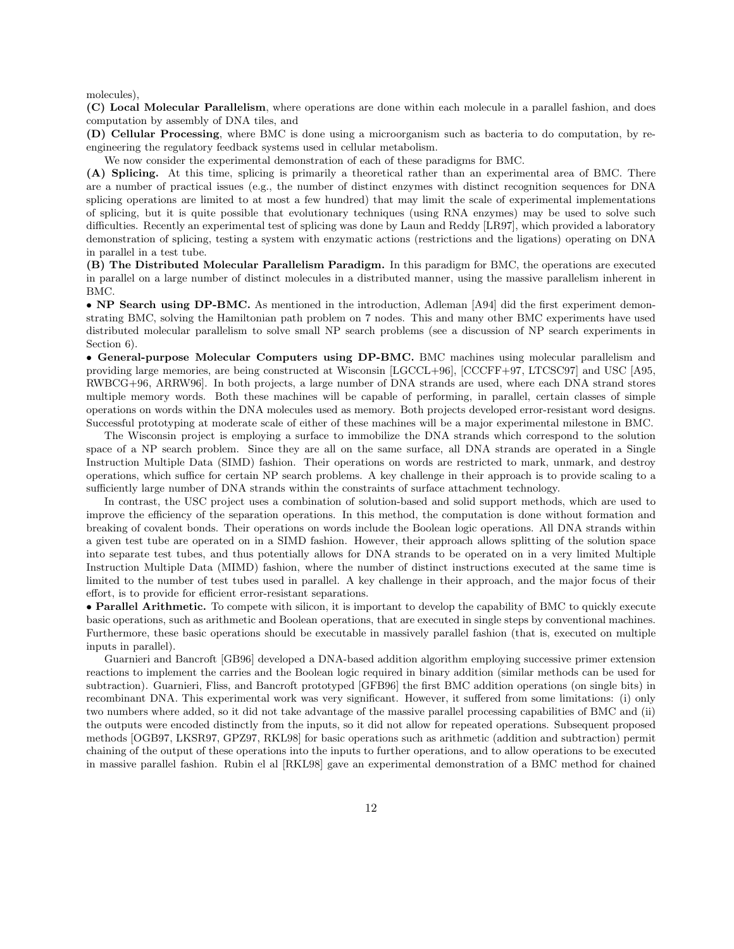molecules),

(C) Local Molecular Parallelism, where operations are done within each molecule in a parallel fashion, and does computation by assembly of DNA tiles, and

(D) Cellular Processing, where BMC is done using a microorganism such as bacteria to do computation, by reengineering the regulatory feedback systems used in cellular metabolism.

We now consider the experimental demonstration of each of these paradigms for BMC.

(A) Splicing. At this time, splicing is primarily a theoretical rather than an experimental area of BMC. There are a number of practical issues (e.g., the number of distinct enzymes with distinct recognition sequences for DNA splicing operations are limited to at most a few hundred) that may limit the scale of experimental implementations of splicing, but it is quite possible that evolutionary techniques (using RNA enzymes) may be used to solve such difficulties. Recently an experimental test of splicing was done by Laun and Reddy [LR97], which provided a laboratory demonstration of splicing, testing a system with enzymatic actions (restrictions and the ligations) operating on DNA in parallel in a test tube.

(B) The Distributed Molecular Parallelism Paradigm. In this paradigm for BMC, the operations are executed in parallel on a large number of distinct molecules in a distributed manner, using the massive parallelism inherent in BMC.

• NP Search using DP-BMC. As mentioned in the introduction, Adleman [A94] did the first experiment demonstrating BMC, solving the Hamiltonian path problem on 7 nodes. This and many other BMC experiments have used distributed molecular parallelism to solve small NP search problems (see a discussion of NP search experiments in Section 6).

• General-purpose Molecular Computers using DP-BMC. BMC machines using molecular parallelism and providing large memories, are being constructed at Wisconsin [LGCCL+96], [CCCFF+97, LTCSC97] and USC [A95, RWBCG+96, ARRW96]. In both projects, a large number of DNA strands are used, where each DNA strand stores multiple memory words. Both these machines will be capable of performing, in parallel, certain classes of simple operations on words within the DNA molecules used as memory. Both projects developed error-resistant word designs. Successful prototyping at moderate scale of either of these machines will be a major experimental milestone in BMC.

The Wisconsin project is employing a surface to immobilize the DNA strands which correspond to the solution space of a NP search problem. Since they are all on the same surface, all DNA strands are operated in a Single Instruction Multiple Data (SIMD) fashion. Their operations on words are restricted to mark, unmark, and destroy operations, which suffice for certain NP search problems. A key challenge in their approach is to provide scaling to a sufficiently large number of DNA strands within the constraints of surface attachment technology.

In contrast, the USC project uses a combination of solution-based and solid support methods, which are used to improve the efficiency of the separation operations. In this method, the computation is done without formation and breaking of covalent bonds. Their operations on words include the Boolean logic operations. All DNA strands within a given test tube are operated on in a SIMD fashion. However, their approach allows splitting of the solution space into separate test tubes, and thus potentially allows for DNA strands to be operated on in a very limited Multiple Instruction Multiple Data (MIMD) fashion, where the number of distinct instructions executed at the same time is limited to the number of test tubes used in parallel. A key challenge in their approach, and the major focus of their effort, is to provide for efficient error-resistant separations.

• Parallel Arithmetic. To compete with silicon, it is important to develop the capability of BMC to quickly execute basic operations, such as arithmetic and Boolean operations, that are executed in single steps by conventional machines. Furthermore, these basic operations should be executable in massively parallel fashion (that is, executed on multiple inputs in parallel).

Guarnieri and Bancroft [GB96] developed a DNA-based addition algorithm employing successive primer extension reactions to implement the carries and the Boolean logic required in binary addition (similar methods can be used for subtraction). Guarnieri, Fliss, and Bancroft prototyped [GFB96] the first BMC addition operations (on single bits) in recombinant DNA. This experimental work was very significant. However, it suffered from some limitations: (i) only two numbers where added, so it did not take advantage of the massive parallel processing capabilities of BMC and (ii) the outputs were encoded distinctly from the inputs, so it did not allow for repeated operations. Subsequent proposed methods [OGB97, LKSR97, GPZ97, RKL98] for basic operations such as arithmetic (addition and subtraction) permit chaining of the output of these operations into the inputs to further operations, and to allow operations to be executed in massive parallel fashion. Rubin el al [RKL98] gave an experimental demonstration of a BMC method for chained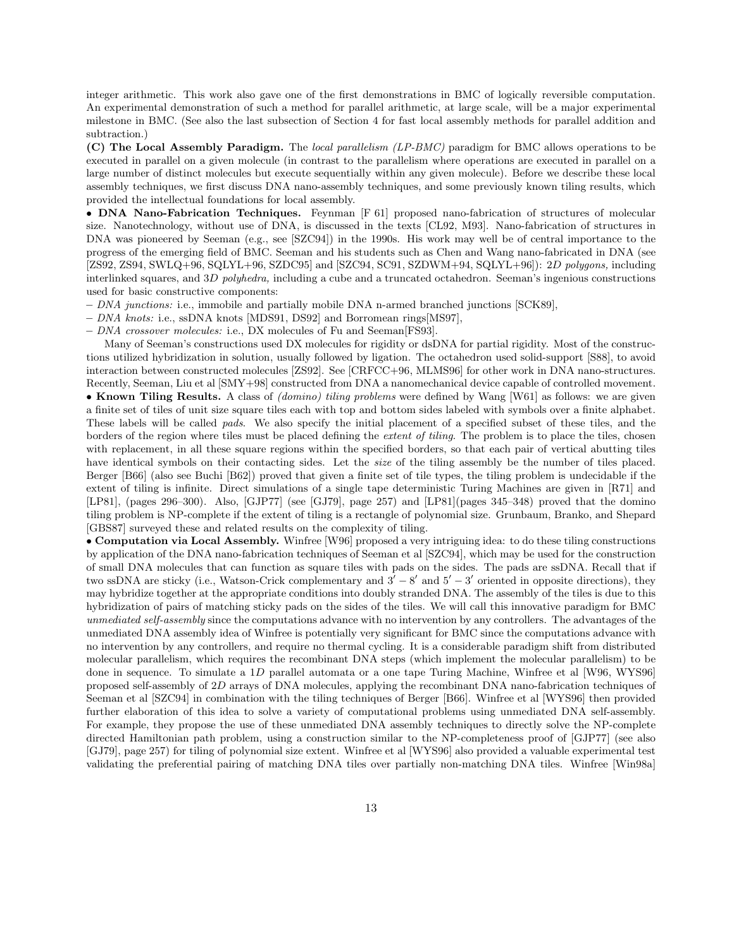integer arithmetic. This work also gave one of the first demonstrations in BMC of logically reversible computation. An experimental demonstration of such a method for parallel arithmetic, at large scale, will be a major experimental milestone in BMC. (See also the last subsection of Section 4 for fast local assembly methods for parallel addition and subtraction.)

(C) The Local Assembly Paradigm. The local parallelism (LP-BMC) paradigm for BMC allows operations to be executed in parallel on a given molecule (in contrast to the parallelism where operations are executed in parallel on a large number of distinct molecules but execute sequentially within any given molecule). Before we describe these local assembly techniques, we first discuss DNA nano-assembly techniques, and some previously known tiling results, which provided the intellectual foundations for local assembly.

• DNA Nano-Fabrication Techniques. Feynman [F 61] proposed nano-fabrication of structures of molecular size. Nanotechnology, without use of DNA, is discussed in the texts [CL92, M93]. Nano-fabrication of structures in DNA was pioneered by Seeman (e.g., see [SZC94]) in the 1990s. His work may well be of central importance to the progress of the emerging field of BMC. Seeman and his students such as Chen and Wang nano-fabricated in DNA (see [ZS92, ZS94, SWLQ+96, SQLYL+96, SZDC95] and [SZC94, SC91, SZDWM+94, SQLYL+96]): 2D polygons, including interlinked squares, and 3D polyhedra, including a cube and a truncated octahedron. Seeman's ingenious constructions used for basic constructive components:

– DNA junctions: i.e., immobile and partially mobile DNA n-armed branched junctions [SCK89],

 $-$  DNA knots: i.e., ssDNA knots [MDS91, DS92] and Borromean rings[MS97],

– DNA crossover molecules: i.e., DX molecules of Fu and Seeman[FS93].

Many of Seeman's constructions used DX molecules for rigidity or dsDNA for partial rigidity. Most of the constructions utilized hybridization in solution, usually followed by ligation. The octahedron used solid-support [S88], to avoid interaction between constructed molecules [ZS92]. See [CRFCC+96, MLMS96] for other work in DNA nano-structures. Recently, Seeman, Liu et al [SMY+98] constructed from DNA a nanomechanical device capable of controlled movement. • Known Tiling Results. A class of (domino) tiling problems were defined by Wang [W61] as follows: we are given a finite set of tiles of unit size square tiles each with top and bottom sides labeled with symbols over a finite alphabet. These labels will be called pads. We also specify the initial placement of a specified subset of these tiles, and the borders of the region where tiles must be placed defining the extent of tiling. The problem is to place the tiles, chosen with replacement, in all these square regions within the specified borders, so that each pair of vertical abutting tiles have identical symbols on their contacting sides. Let the *size* of the tiling assembly be the number of tiles placed. Berger [B66] (also see Buchi [B62]) proved that given a finite set of tile types, the tiling problem is undecidable if the extent of tiling is infinite. Direct simulations of a single tape deterministic Turing Machines are given in [R71] and [LP81], (pages 296–300). Also, [GJP77] (see [GJ79], page 257) and [LP81](pages 345–348) proved that the domino tiling problem is NP-complete if the extent of tiling is a rectangle of polynomial size. Grunbaum, Branko, and Shepard

[GBS87] surveyed these and related results on the complexity of tiling.

• Computation via Local Assembly. Winfree [W96] proposed a very intriguing idea: to do these tiling constructions by application of the DNA nano-fabrication techniques of Seeman et al [SZC94], which may be used for the construction of small DNA molecules that can function as square tiles with pads on the sides. The pads are ssDNA. Recall that if two ssDNA are sticky (i.e., Watson-Crick complementary and  $3' - 8'$  and  $5' - 3'$  oriented in opposite directions), they may hybridize together at the appropriate conditions into doubly stranded DNA. The assembly of the tiles is due to this hybridization of pairs of matching sticky pads on the sides of the tiles. We will call this innovative paradigm for BMC unmediated self-assembly since the computations advance with no intervention by any controllers. The advantages of the unmediated DNA assembly idea of Winfree is potentially very significant for BMC since the computations advance with no intervention by any controllers, and require no thermal cycling. It is a considerable paradigm shift from distributed molecular parallelism, which requires the recombinant DNA steps (which implement the molecular parallelism) to be done in sequence. To simulate a 1D parallel automata or a one tape Turing Machine, Winfree et al [W96, WYS96] proposed self-assembly of 2D arrays of DNA molecules, applying the recombinant DNA nano-fabrication techniques of Seeman et al [SZC94] in combination with the tiling techniques of Berger [B66]. Winfree et al [WYS96] then provided further elaboration of this idea to solve a variety of computational problems using unmediated DNA self-assembly. For example, they propose the use of these unmediated DNA assembly techniques to directly solve the NP-complete directed Hamiltonian path problem, using a construction similar to the NP-completeness proof of [GJP77] (see also [GJ79], page 257) for tiling of polynomial size extent. Winfree et al [WYS96] also provided a valuable experimental test validating the preferential pairing of matching DNA tiles over partially non-matching DNA tiles. Winfree [Win98a]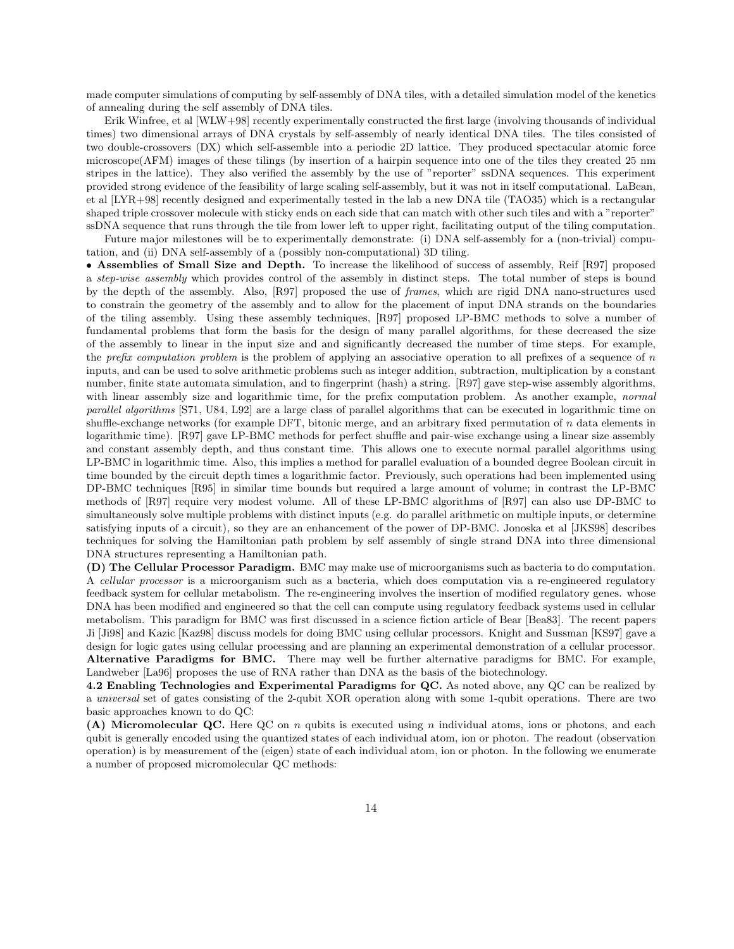made computer simulations of computing by self-assembly of DNA tiles, with a detailed simulation model of the kenetics of annealing during the self assembly of DNA tiles.

Erik Winfree, et al [WLW+98] recently experimentally constructed the first large (involving thousands of individual times) two dimensional arrays of DNA crystals by self-assembly of nearly identical DNA tiles. The tiles consisted of two double-crossovers (DX) which self-assemble into a periodic 2D lattice. They produced spectacular atomic force microscope(AFM) images of these tilings (by insertion of a hairpin sequence into one of the tiles they created 25 nm stripes in the lattice). They also verified the assembly by the use of "reporter" ssDNA sequences. This experiment provided strong evidence of the feasibility of large scaling self-assembly, but it was not in itself computational. LaBean, et al [LYR+98] recently designed and experimentally tested in the lab a new DNA tile (TAO35) which is a rectangular shaped triple crossover molecule with sticky ends on each side that can match with other such tiles and with a "reporter" ssDNA sequence that runs through the tile from lower left to upper right, facilitating output of the tiling computation.

Future major milestones will be to experimentally demonstrate: (i) DNA self-assembly for a (non-trivial) computation, and (ii) DNA self-assembly of a (possibly non-computational) 3D tiling.

• Assemblies of Small Size and Depth. To increase the likelihood of success of assembly, Reif [R97] proposed a step-wise assembly which provides control of the assembly in distinct steps. The total number of steps is bound by the depth of the assembly. Also, [R97] proposed the use of frames, which are rigid DNA nano-structures used to constrain the geometry of the assembly and to allow for the placement of input DNA strands on the boundaries of the tiling assembly. Using these assembly techniques, [R97] proposed LP-BMC methods to solve a number of fundamental problems that form the basis for the design of many parallel algorithms, for these decreased the size of the assembly to linear in the input size and and significantly decreased the number of time steps. For example, the prefix computation problem is the problem of applying an associative operation to all prefixes of a sequence of n inputs, and can be used to solve arithmetic problems such as integer addition, subtraction, multiplication by a constant number, finite state automata simulation, and to fingerprint (hash) a string. [R97] gave step-wise assembly algorithms, with linear assembly size and logarithmic time, for the prefix computation problem. As another example, normal parallel algorithms [S71, U84, L92] are a large class of parallel algorithms that can be executed in logarithmic time on shuffle-exchange networks (for example DFT, bitonic merge, and an arbitrary fixed permutation of  $n$  data elements in logarithmic time). [R97] gave LP-BMC methods for perfect shuffle and pair-wise exchange using a linear size assembly and constant assembly depth, and thus constant time. This allows one to execute normal parallel algorithms using LP-BMC in logarithmic time. Also, this implies a method for parallel evaluation of a bounded degree Boolean circuit in time bounded by the circuit depth times a logarithmic factor. Previously, such operations had been implemented using DP-BMC techniques [R95] in similar time bounds but required a large amount of volume; in contrast the LP-BMC methods of [R97] require very modest volume. All of these LP-BMC algorithms of [R97] can also use DP-BMC to simultaneously solve multiple problems with distinct inputs (e.g. do parallel arithmetic on multiple inputs, or determine satisfying inputs of a circuit), so they are an enhancement of the power of DP-BMC. Jonoska et al [JKS98] describes techniques for solving the Hamiltonian path problem by self assembly of single strand DNA into three dimensional DNA structures representing a Hamiltonian path.

(D) The Cellular Processor Paradigm. BMC may make use of microorganisms such as bacteria to do computation. A cellular processor is a microorganism such as a bacteria, which does computation via a re-engineered regulatory feedback system for cellular metabolism. The re-engineering involves the insertion of modified regulatory genes. whose DNA has been modified and engineered so that the cell can compute using regulatory feedback systems used in cellular metabolism. This paradigm for BMC was first discussed in a science fiction article of Bear [Bea83]. The recent papers Ji [Ji98] and Kazic [Kaz98] discuss models for doing BMC using cellular processors. Knight and Sussman [KS97] gave a design for logic gates using cellular processing and are planning an experimental demonstration of a cellular processor. Alternative Paradigms for BMC. There may well be further alternative paradigms for BMC. For example, Landweber [La96] proposes the use of RNA rather than DNA as the basis of the biotechnology.

4.2 Enabling Technologies and Experimental Paradigms for QC. As noted above, any QC can be realized by a universal set of gates consisting of the 2-qubit XOR operation along with some 1-qubit operations. There are two basic approaches known to do QC:

(A) Micromolecular QC. Here QC on n qubits is executed using n individual atoms, ions or photons, and each qubit is generally encoded using the quantized states of each individual atom, ion or photon. The readout (observation operation) is by measurement of the (eigen) state of each individual atom, ion or photon. In the following we enumerate a number of proposed micromolecular QC methods: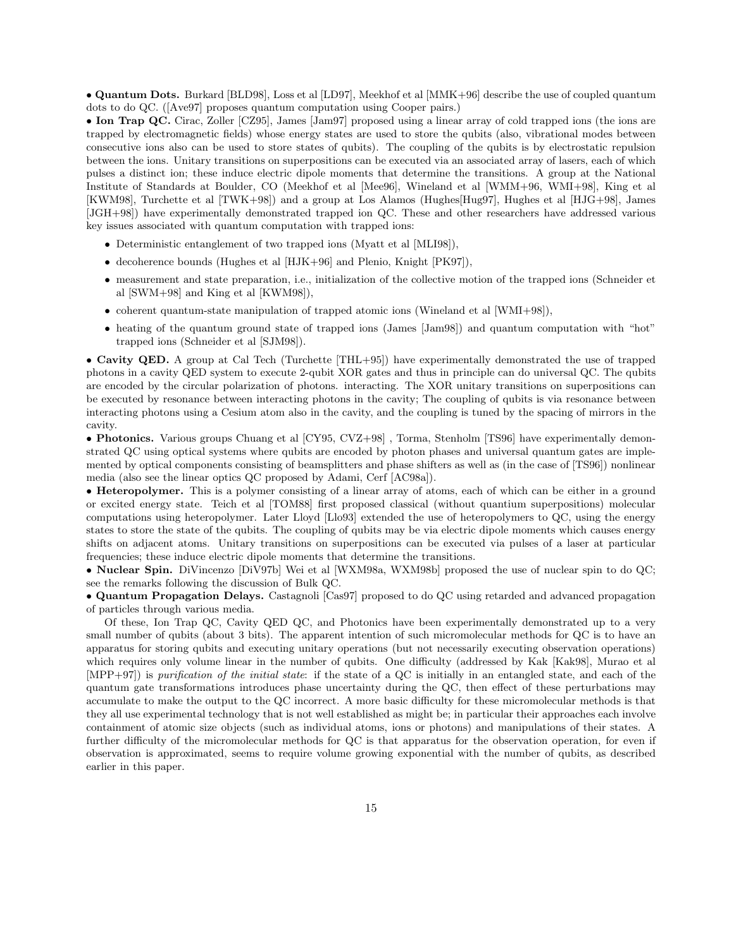• Quantum Dots. Burkard [BLD98], Loss et al [LD97], Meekhof et al [MMK+96] describe the use of coupled quantum dots to do QC. ([Ave97] proposes quantum computation using Cooper pairs.)

• Ion Trap QC. Cirac, Zoller [CZ95], James [Jam97] proposed using a linear array of cold trapped ions (the ions are trapped by electromagnetic fields) whose energy states are used to store the qubits (also, vibrational modes between consecutive ions also can be used to store states of qubits). The coupling of the qubits is by electrostatic repulsion between the ions. Unitary transitions on superpositions can be executed via an associated array of lasers, each of which pulses a distinct ion; these induce electric dipole moments that determine the transitions. A group at the National Institute of Standards at Boulder, CO (Meekhof et al [Mee96], Wineland et al [WMM+96, WMI+98], King et al [KWM98], Turchette et al [TWK+98]) and a group at Los Alamos (Hughes[Hug97], Hughes et al [HJG+98], James [JGH+98]) have experimentally demonstrated trapped ion QC. These and other researchers have addressed various key issues associated with quantum computation with trapped ions:

- Deterministic entanglement of two trapped ions (Myatt et al [MLI98]),
- decoherence bounds (Hughes et al [HJK+96] and Plenio, Knight [PK97]),
- measurement and state preparation, i.e., initialization of the collective motion of the trapped ions (Schneider et al [SWM+98] and King et al [KWM98]),
- coherent quantum-state manipulation of trapped atomic ions (Wineland et al [WMI+98]),
- heating of the quantum ground state of trapped ions (James [Jam98]) and quantum computation with "hot" trapped ions (Schneider et al [SJM98]).

• Cavity QED. A group at Cal Tech (Turchette [THL+95]) have experimentally demonstrated the use of trapped photons in a cavity QED system to execute 2-qubit XOR gates and thus in principle can do universal QC. The qubits are encoded by the circular polarization of photons. interacting. The XOR unitary transitions on superpositions can be executed by resonance between interacting photons in the cavity; The coupling of qubits is via resonance between interacting photons using a Cesium atom also in the cavity, and the coupling is tuned by the spacing of mirrors in the cavity.

• Photonics. Various groups Chuang et al [CY95, CVZ+98], Torma, Stenholm [TS96] have experimentally demonstrated QC using optical systems where qubits are encoded by photon phases and universal quantum gates are implemented by optical components consisting of beamsplitters and phase shifters as well as (in the case of [TS96]) nonlinear media (also see the linear optics QC proposed by Adami, Cerf [AC98a]).

• Heteropolymer. This is a polymer consisting of a linear array of atoms, each of which can be either in a ground or excited energy state. Teich et al [TOM88] first proposed classical (without quantium superpositions) molecular computations using heteropolymer. Later Lloyd [Llo93] extended the use of heteropolymers to QC, using the energy states to store the state of the qubits. The coupling of qubits may be via electric dipole moments which causes energy shifts on adjacent atoms. Unitary transitions on superpositions can be executed via pulses of a laser at particular frequencies; these induce electric dipole moments that determine the transitions.

• Nuclear Spin. DiVincenzo [DiV97b] Wei et al [WXM98a, WXM98b] proposed the use of nuclear spin to do QC; see the remarks following the discussion of Bulk QC.

• Quantum Propagation Delays. Castagnoli [Cas97] proposed to do QC using retarded and advanced propagation of particles through various media.

Of these, Ion Trap QC, Cavity QED QC, and Photonics have been experimentally demonstrated up to a very small number of qubits (about 3 bits). The apparent intention of such micromolecular methods for QC is to have an apparatus for storing qubits and executing unitary operations (but not necessarily executing observation operations) which requires only volume linear in the number of qubits. One difficulty (addressed by Kak [Kak98], Murao et al [MPP+97]) is *purification of the initial state*: if the state of a QC is initially in an entangled state, and each of the quantum gate transformations introduces phase uncertainty during the QC, then effect of these perturbations may accumulate to make the output to the QC incorrect. A more basic difficulty for these micromolecular methods is that they all use experimental technology that is not well established as might be; in particular their approaches each involve containment of atomic size objects (such as individual atoms, ions or photons) and manipulations of their states. A further difficulty of the micromolecular methods for QC is that apparatus for the observation operation, for even if observation is approximated, seems to require volume growing exponential with the number of qubits, as described earlier in this paper.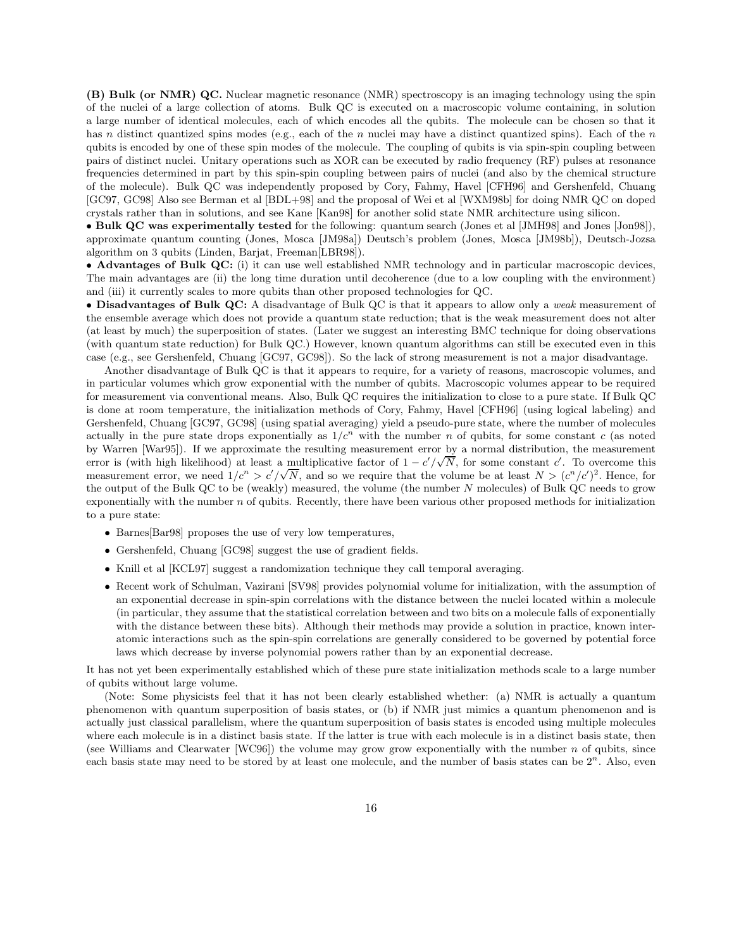(B) Bulk (or NMR) QC. Nuclear magnetic resonance (NMR) spectroscopy is an imaging technology using the spin of the nuclei of a large collection of atoms. Bulk QC is executed on a macroscopic volume containing, in solution a large number of identical molecules, each of which encodes all the qubits. The molecule can be chosen so that it has n distinct quantized spins modes (e.g., each of the n nuclei may have a distinct quantized spins). Each of the  $n$ qubits is encoded by one of these spin modes of the molecule. The coupling of qubits is via spin-spin coupling between pairs of distinct nuclei. Unitary operations such as XOR can be executed by radio frequency (RF) pulses at resonance frequencies determined in part by this spin-spin coupling between pairs of nuclei (and also by the chemical structure of the molecule). Bulk QC was independently proposed by Cory, Fahmy, Havel [CFH96] and Gershenfeld, Chuang [GC97, GC98] Also see Berman et al [BDL+98] and the proposal of Wei et al [WXM98b] for doing NMR QC on doped crystals rather than in solutions, and see Kane [Kan98] for another solid state NMR architecture using silicon.

• Bulk QC was experimentally tested for the following: quantum search (Jones et al [JMH98] and Jones [Jon98]), approximate quantum counting (Jones, Mosca [JM98a]) Deutsch's problem (Jones, Mosca [JM98b]), Deutsch-Jozsa algorithm on 3 qubits (Linden, Barjat, Freeman[LBR98]).

• Advantages of Bulk QC: (i) it can use well established NMR technology and in particular macroscopic devices, The main advantages are (ii) the long time duration until decoherence (due to a low coupling with the environment) and (iii) it currently scales to more qubits than other proposed technologies for QC.

• Disadvantages of Bulk QC: A disadvantage of Bulk QC is that it appears to allow only a weak measurement of the ensemble average which does not provide a quantum state reduction; that is the weak measurement does not alter (at least by much) the superposition of states. (Later we suggest an interesting BMC technique for doing observations (with quantum state reduction) for Bulk QC.) However, known quantum algorithms can still be executed even in this case (e.g., see Gershenfeld, Chuang [GC97, GC98]). So the lack of strong measurement is not a major disadvantage.

Another disadvantage of Bulk QC is that it appears to require, for a variety of reasons, macroscopic volumes, and in particular volumes which grow exponential with the number of qubits. Macroscopic volumes appear to be required for measurement via conventional means. Also, Bulk QC requires the initialization to close to a pure state. If Bulk QC is done at room temperature, the initialization methods of Cory, Fahmy, Havel [CFH96] (using logical labeling) and Gershenfeld, Chuang [GC97, GC98] (using spatial averaging) yield a pseudo-pure state, where the number of molecules actually in the pure state drops exponentially as  $1/c^n$  with the number n of qubits, for some constant c (as noted by Warren [War95]). If we approximate the resulting measurement error by a normal distribution, the measurement error is (with high likelihood) at least a multiplicative factor of  $1 - c'/\sqrt{N}$ , for some constant c'. To overcome this measurement error, we need  $1/c^n > c'/\sqrt{N}$ , and so we require that the volume be at least  $N > (c^n/c')^2$ . Hence, for the output of the Bulk QC to be (weakly) measured, the volume (the number N molecules) of Bulk QC needs to grow exponentially with the number  $n$  of qubits. Recently, there have been various other proposed methods for initialization to a pure state:

- Barnes[Bar98] proposes the use of very low temperatures,
- Gershenfeld, Chuang [GC98] suggest the use of gradient fields.
- Knill et al [KCL97] suggest a randomization technique they call temporal averaging.
- Recent work of Schulman, Vazirani [SV98] provides polynomial volume for initialization, with the assumption of an exponential decrease in spin-spin correlations with the distance between the nuclei located within a molecule (in particular, they assume that the statistical correlation between and two bits on a molecule falls of exponentially with the distance between these bits). Although their methods may provide a solution in practice, known interatomic interactions such as the spin-spin correlations are generally considered to be governed by potential force laws which decrease by inverse polynomial powers rather than by an exponential decrease.

It has not yet been experimentally established which of these pure state initialization methods scale to a large number of qubits without large volume.

(Note: Some physicists feel that it has not been clearly established whether: (a) NMR is actually a quantum phenomenon with quantum superposition of basis states, or (b) if NMR just mimics a quantum phenomenon and is actually just classical parallelism, where the quantum superposition of basis states is encoded using multiple molecules where each molecule is in a distinct basis state. If the latter is true with each molecule is in a distinct basis state, then (see Williams and Clearwater [WC96]) the volume may grow grow exponentially with the number  $n$  of qubits, since each basis state may need to be stored by at least one molecule, and the number of basis states can be  $2^n$ . Also, even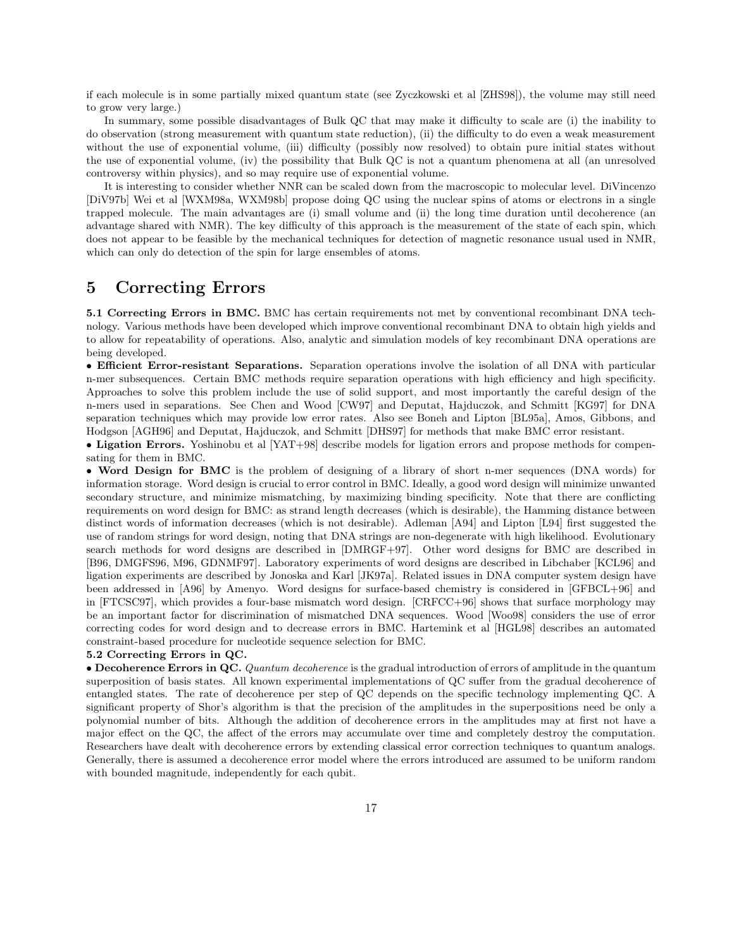if each molecule is in some partially mixed quantum state (see Zyczkowski et al [ZHS98]), the volume may still need to grow very large.)

In summary, some possible disadvantages of Bulk QC that may make it difficulty to scale are (i) the inability to do observation (strong measurement with quantum state reduction), (ii) the difficulty to do even a weak measurement without the use of exponential volume, (iii) difficulty (possibly now resolved) to obtain pure initial states without the use of exponential volume, (iv) the possibility that Bulk QC is not a quantum phenomena at all (an unresolved controversy within physics), and so may require use of exponential volume.

It is interesting to consider whether NNR can be scaled down from the macroscopic to molecular level. DiVincenzo [DiV97b] Wei et al [WXM98a, WXM98b] propose doing QC using the nuclear spins of atoms or electrons in a single trapped molecule. The main advantages are (i) small volume and (ii) the long time duration until decoherence (an advantage shared with NMR). The key difficulty of this approach is the measurement of the state of each spin, which does not appear to be feasible by the mechanical techniques for detection of magnetic resonance usual used in NMR, which can only do detection of the spin for large ensembles of atoms.

### 5 Correcting Errors

5.1 Correcting Errors in BMC. BMC has certain requirements not met by conventional recombinant DNA technology. Various methods have been developed which improve conventional recombinant DNA to obtain high yields and to allow for repeatability of operations. Also, analytic and simulation models of key recombinant DNA operations are being developed.

• Efficient Error-resistant Separations. Separation operations involve the isolation of all DNA with particular n-mer subsequences. Certain BMC methods require separation operations with high efficiency and high specificity. Approaches to solve this problem include the use of solid support, and most importantly the careful design of the n-mers used in separations. See Chen and Wood [CW97] and Deputat, Hajduczok, and Schmitt [KG97] for DNA separation techniques which may provide low error rates. Also see Boneh and Lipton [BL95a], Amos, Gibbons, and Hodgson [AGH96] and Deputat, Hajduczok, and Schmitt [DHS97] for methods that make BMC error resistant.

• Ligation Errors. Yoshinobu et al [YAT+98] describe models for ligation errors and propose methods for compensating for them in BMC.

• Word Design for BMC is the problem of designing of a library of short n-mer sequences (DNA words) for information storage. Word design is crucial to error control in BMC. Ideally, a good word design will minimize unwanted secondary structure, and minimize mismatching, by maximizing binding specificity. Note that there are conflicting requirements on word design for BMC: as strand length decreases (which is desirable), the Hamming distance between distinct words of information decreases (which is not desirable). Adleman [A94] and Lipton [L94] first suggested the use of random strings for word design, noting that DNA strings are non-degenerate with high likelihood. Evolutionary search methods for word designs are described in [DMRGF+97]. Other word designs for BMC are described in [B96, DMGFS96, M96, GDNMF97]. Laboratory experiments of word designs are described in Libchaber [KCL96] and ligation experiments are described by Jonoska and Karl [JK97a]. Related issues in DNA computer system design have been addressed in [A96] by Amenyo. Word designs for surface-based chemistry is considered in [GFBCL+96] and in [FTCSC97], which provides a four-base mismatch word design. [CRFCC+96] shows that surface morphology may be an important factor for discrimination of mismatched DNA sequences. Wood [Woo98] considers the use of error correcting codes for word design and to decrease errors in BMC. Hartemink et al [HGL98] describes an automated constraint-based procedure for nucleotide sequence selection for BMC.

#### 5.2 Correcting Errors in QC.

• Decoherence Errors in QC. Quantum decoherence is the gradual introduction of errors of amplitude in the quantum superposition of basis states. All known experimental implementations of QC suffer from the gradual decoherence of entangled states. The rate of decoherence per step of QC depends on the specific technology implementing QC. A significant property of Shor's algorithm is that the precision of the amplitudes in the superpositions need be only a polynomial number of bits. Although the addition of decoherence errors in the amplitudes may at first not have a major effect on the QC, the affect of the errors may accumulate over time and completely destroy the computation. Researchers have dealt with decoherence errors by extending classical error correction techniques to quantum analogs. Generally, there is assumed a decoherence error model where the errors introduced are assumed to be uniform random with bounded magnitude, independently for each qubit.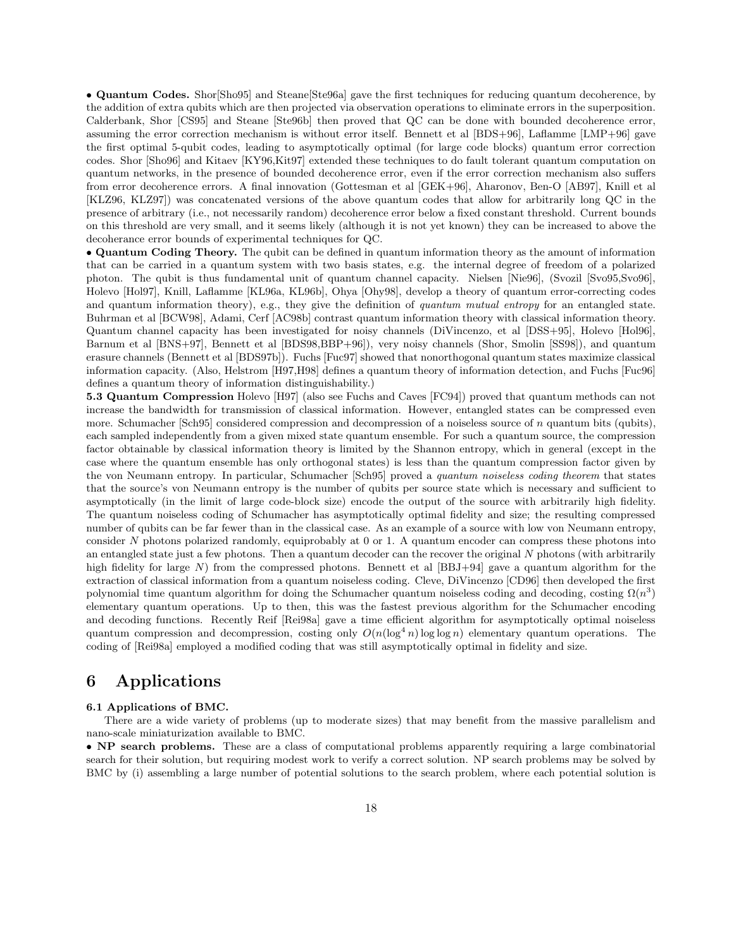• Quantum Codes. Shor[Sho95] and Steane[Ste96a] gave the first techniques for reducing quantum decoherence, by the addition of extra qubits which are then projected via observation operations to eliminate errors in the superposition. Calderbank, Shor [CS95] and Steane [Ste96b] then proved that QC can be done with bounded decoherence error, assuming the error correction mechanism is without error itself. Bennett et al [BDS+96], Laflamme [LMP+96] gave the first optimal 5-qubit codes, leading to asymptotically optimal (for large code blocks) quantum error correction codes. Shor [Sho96] and Kitaev [KY96,Kit97] extended these techniques to do fault tolerant quantum computation on quantum networks, in the presence of bounded decoherence error, even if the error correction mechanism also suffers from error decoherence errors. A final innovation (Gottesman et al [GEK+96], Aharonov, Ben-O [AB97], Knill et al [KLZ96, KLZ97]) was concatenated versions of the above quantum codes that allow for arbitrarily long QC in the presence of arbitrary (i.e., not necessarily random) decoherence error below a fixed constant threshold. Current bounds on this threshold are very small, and it seems likely (although it is not yet known) they can be increased to above the decoherance error bounds of experimental techniques for QC.

• Quantum Coding Theory. The qubit can be defined in quantum information theory as the amount of information that can be carried in a quantum system with two basis states, e.g. the internal degree of freedom of a polarized photon. The qubit is thus fundamental unit of quantum channel capacity. Nielsen [Nie96], (Svozil [Svo95,Svo96], Holevo [Hol97], Knill, Laflamme [KL96a, KL96b], Ohya [Ohy98], develop a theory of quantum error-correcting codes and quantum information theory), e.g., they give the definition of quantum mutual entropy for an entangled state. Buhrman et al [BCW98], Adami, Cerf [AC98b] contrast quantum information theory with classical information theory. Quantum channel capacity has been investigated for noisy channels (DiVincenzo, et al [DSS+95], Holevo [Hol96], Barnum et al [BNS+97], Bennett et al [BDS98,BBP+96]), very noisy channels (Shor, Smolin [SS98]), and quantum erasure channels (Bennett et al [BDS97b]). Fuchs [Fuc97] showed that nonorthogonal quantum states maximize classical information capacity. (Also, Helstrom [H97,H98] defines a quantum theory of information detection, and Fuchs [Fuc96] defines a quantum theory of information distinguishability.)

5.3 Quantum Compression Holevo [H97] (also see Fuchs and Caves [FC94]) proved that quantum methods can not increase the bandwidth for transmission of classical information. However, entangled states can be compressed even more. Schumacher [Sch95] considered compression and decompression of a noiseless source of n quantum bits (qubits), each sampled independently from a given mixed state quantum ensemble. For such a quantum source, the compression factor obtainable by classical information theory is limited by the Shannon entropy, which in general (except in the case where the quantum ensemble has only orthogonal states) is less than the quantum compression factor given by the von Neumann entropy. In particular, Schumacher [Sch95] proved a quantum noiseless coding theorem that states that the source's von Neumann entropy is the number of qubits per source state which is necessary and sufficient to asymptotically (in the limit of large code-block size) encode the output of the source with arbitrarily high fidelity. The quantum noiseless coding of Schumacher has asymptotically optimal fidelity and size; the resulting compressed number of qubits can be far fewer than in the classical case. As an example of a source with low von Neumann entropy, consider N photons polarized randomly, equiprobably at 0 or 1. A quantum encoder can compress these photons into an entangled state just a few photons. Then a quantum decoder can the recover the original N photons (with arbitrarily high fidelity for large N) from the compressed photons. Bennett et al [BBJ+94] gave a quantum algorithm for the extraction of classical information from a quantum noiseless coding. Cleve, DiVincenzo [CD96] then developed the first polynomial time quantum algorithm for doing the Schumacher quantum noiseless coding and decoding, costing  $\Omega(n^3)$ elementary quantum operations. Up to then, this was the fastest previous algorithm for the Schumacher encoding and decoding functions. Recently Reif [Rei98a] gave a time efficient algorithm for asymptotically optimal noiseless quantum compression and decompression, costing only  $O(n(\log^4 n) \log \log n)$  elementary quantum operations. The coding of [Rei98a] employed a modified coding that was still asymptotically optimal in fidelity and size.

# 6 Applications

#### 6.1 Applications of BMC.

There are a wide variety of problems (up to moderate sizes) that may benefit from the massive parallelism and nano-scale miniaturization available to BMC.

• NP search problems. These are a class of computational problems apparently requiring a large combinatorial search for their solution, but requiring modest work to verify a correct solution. NP search problems may be solved by BMC by (i) assembling a large number of potential solutions to the search problem, where each potential solution is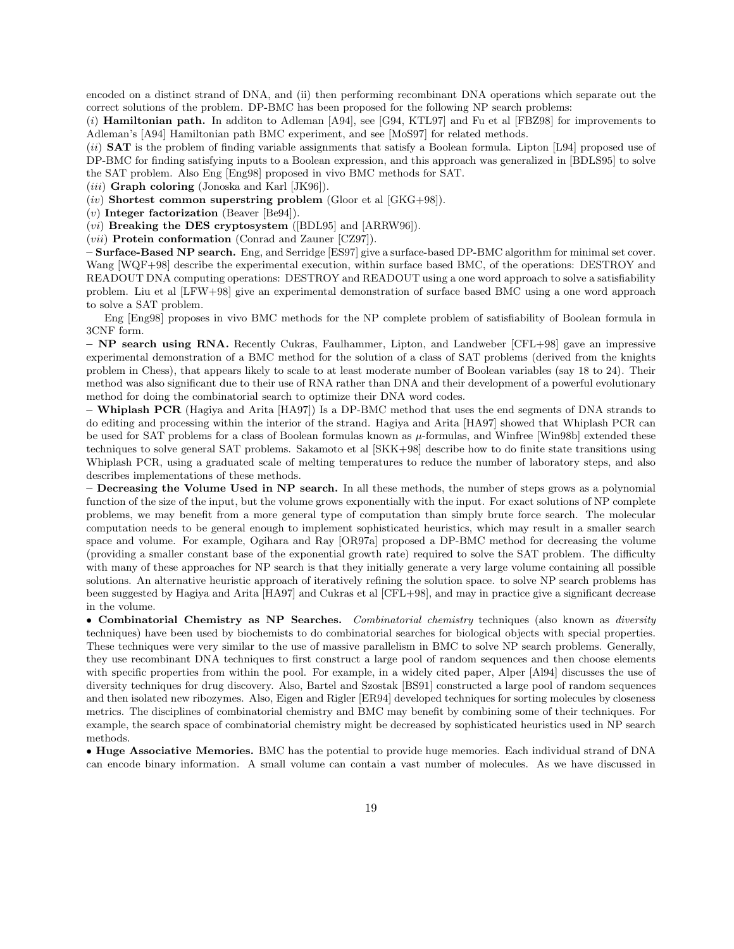encoded on a distinct strand of DNA, and (ii) then performing recombinant DNA operations which separate out the correct solutions of the problem. DP-BMC has been proposed for the following NP search problems:

(i) Hamiltonian path. In additon to Adleman [A94], see [G94, KTL97] and Fu et al [FBZ98] for improvements to Adleman's [A94] Hamiltonian path BMC experiment, and see [MoS97] for related methods.

(*ii*) **SAT** is the problem of finding variable assignments that satisfy a Boolean formula. Lipton [L94] proposed use of DP-BMC for finding satisfying inputs to a Boolean expression, and this approach was generalized in [BDLS95] to solve the SAT problem. Also Eng [Eng98] proposed in vivo BMC methods for SAT.

 $(iii)$  Graph coloring (Jonoska and Karl [JK96]).

 $(iv)$  Shortest common superstring problem (Gloor et al  $[GKG+98]$ ).

 $(v)$  Integer factorization (Beaver [Be94]).

(vi) Breaking the DES cryptosystem ([BDL95] and [ARRW96]).

(vii) Protein conformation (Conrad and Zauner [CZ97]).

– Surface-Based NP search. Eng, and Serridge [ES97] give a surface-based DP-BMC algorithm for minimal set cover. Wang [WQF+98] describe the experimental execution, within surface based BMC, of the operations: DESTROY and READOUT DNA computing operations: DESTROY and READOUT using a one word approach to solve a satisfiability problem. Liu et al [LFW+98] give an experimental demonstration of surface based BMC using a one word approach to solve a SAT problem.

Eng [Eng98] proposes in vivo BMC methods for the NP complete problem of satisfiability of Boolean formula in 3CNF form.

 $-$  NP search using RNA. Recently Cukras, Faulhammer, Lipton, and Landweber [CFL+98] gave an impressive experimental demonstration of a BMC method for the solution of a class of SAT problems (derived from the knights problem in Chess), that appears likely to scale to at least moderate number of Boolean variables (say 18 to 24). Their method was also significant due to their use of RNA rather than DNA and their development of a powerful evolutionary method for doing the combinatorial search to optimize their DNA word codes.

– Whiplash PCR (Hagiya and Arita [HA97]) Is a DP-BMC method that uses the end segments of DNA strands to do editing and processing within the interior of the strand. Hagiya and Arita [HA97] showed that Whiplash PCR can be used for SAT problems for a class of Boolean formulas known as  $\mu$ -formulas, and Winfree [Win98b] extended these techniques to solve general SAT problems. Sakamoto et al [SKK+98] describe how to do finite state transitions using Whiplash PCR, using a graduated scale of melting temperatures to reduce the number of laboratory steps, and also describes implementations of these methods.

 $-$  Decreasing the Volume Used in NP search. In all these methods, the number of steps grows as a polynomial function of the size of the input, but the volume grows exponentially with the input. For exact solutions of NP complete problems, we may benefit from a more general type of computation than simply brute force search. The molecular computation needs to be general enough to implement sophisticated heuristics, which may result in a smaller search space and volume. For example, Ogihara and Ray [OR97a] proposed a DP-BMC method for decreasing the volume (providing a smaller constant base of the exponential growth rate) required to solve the SAT problem. The difficulty with many of these approaches for NP search is that they initially generate a very large volume containing all possible solutions. An alternative heuristic approach of iteratively refining the solution space. to solve NP search problems has been suggested by Hagiya and Arita [HA97] and Cukras et al [CFL+98], and may in practice give a significant decrease in the volume.

• Combinatorial Chemistry as NP Searches. Combinatorial chemistry techniques (also known as diversity techniques) have been used by biochemists to do combinatorial searches for biological objects with special properties. These techniques were very similar to the use of massive parallelism in BMC to solve NP search problems. Generally, they use recombinant DNA techniques to first construct a large pool of random sequences and then choose elements with specific properties from within the pool. For example, in a widely cited paper, Alper [Al94] discusses the use of diversity techniques for drug discovery. Also, Bartel and Szostak [BS91] constructed a large pool of random sequences and then isolated new ribozymes. Also, Eigen and Rigler [ER94] developed techniques for sorting molecules by closeness metrics. The disciplines of combinatorial chemistry and BMC may benefit by combining some of their techniques. For example, the search space of combinatorial chemistry might be decreased by sophisticated heuristics used in NP search methods.

• Huge Associative Memories. BMC has the potential to provide huge memories. Each individual strand of DNA can encode binary information. A small volume can contain a vast number of molecules. As we have discussed in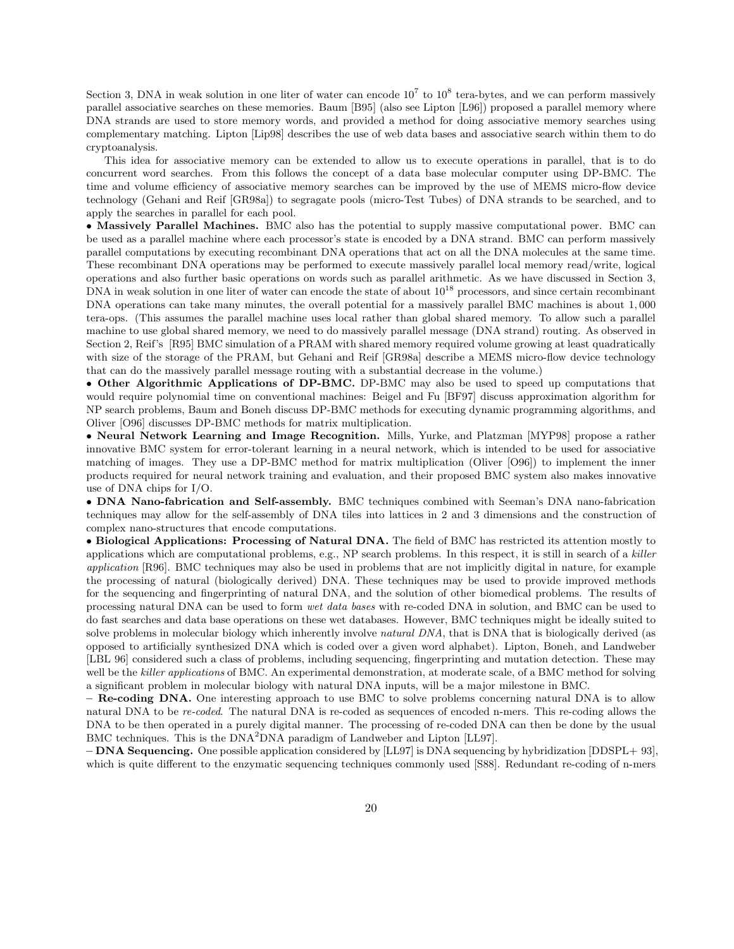Section 3, DNA in weak solution in one liter of water can encode  $10^7$  to  $10^8$  tera-bytes, and we can perform massively parallel associative searches on these memories. Baum [B95] (also see Lipton [L96]) proposed a parallel memory where DNA strands are used to store memory words, and provided a method for doing associative memory searches using complementary matching. Lipton [Lip98] describes the use of web data bases and associative search within them to do cryptoanalysis.

This idea for associative memory can be extended to allow us to execute operations in parallel, that is to do concurrent word searches. From this follows the concept of a data base molecular computer using DP-BMC. The time and volume efficiency of associative memory searches can be improved by the use of MEMS micro-flow device technology (Gehani and Reif [GR98a]) to segragate pools (micro-Test Tubes) of DNA strands to be searched, and to apply the searches in parallel for each pool.

• Massively Parallel Machines. BMC also has the potential to supply massive computational power. BMC can be used as a parallel machine where each processor's state is encoded by a DNA strand. BMC can perform massively parallel computations by executing recombinant DNA operations that act on all the DNA molecules at the same time. These recombinant DNA operations may be performed to execute massively parallel local memory read/write, logical operations and also further basic operations on words such as parallel arithmetic. As we have discussed in Section 3, DNA in weak solution in one liter of water can encode the state of about  $10^{18}$  processors, and since certain recombinant DNA operations can take many minutes, the overall potential for a massively parallel BMC machines is about 1, 000 tera-ops. (This assumes the parallel machine uses local rather than global shared memory. To allow such a parallel machine to use global shared memory, we need to do massively parallel message (DNA strand) routing. As observed in Section 2, Reif's [R95] BMC simulation of a PRAM with shared memory required volume growing at least quadratically with size of the storage of the PRAM, but Gehani and Reif [GR98a] describe a MEMS micro-flow device technology that can do the massively parallel message routing with a substantial decrease in the volume.)

• Other Algorithmic Applications of DP-BMC. DP-BMC may also be used to speed up computations that would require polynomial time on conventional machines: Beigel and Fu [BF97] discuss approximation algorithm for NP search problems, Baum and Boneh discuss DP-BMC methods for executing dynamic programming algorithms, and Oliver [O96] discusses DP-BMC methods for matrix multiplication.

• Neural Network Learning and Image Recognition. Mills, Yurke, and Platzman [MYP98] propose a rather innovative BMC system for error-tolerant learning in a neural network, which is intended to be used for associative matching of images. They use a DP-BMC method for matrix multiplication (Oliver [O96]) to implement the inner products required for neural network training and evaluation, and their proposed BMC system also makes innovative use of DNA chips for I/O.

• DNA Nano-fabrication and Self-assembly. BMC techniques combined with Seeman's DNA nano-fabrication techniques may allow for the self-assembly of DNA tiles into lattices in 2 and 3 dimensions and the construction of complex nano-structures that encode computations.

• Biological Applications: Processing of Natural DNA. The field of BMC has restricted its attention mostly to applications which are computational problems, e.g., NP search problems. In this respect, it is still in search of a killer application [R96]. BMC techniques may also be used in problems that are not implicitly digital in nature, for example the processing of natural (biologically derived) DNA. These techniques may be used to provide improved methods for the sequencing and fingerprinting of natural DNA, and the solution of other biomedical problems. The results of processing natural DNA can be used to form wet data bases with re-coded DNA in solution, and BMC can be used to do fast searches and data base operations on these wet databases. However, BMC techniques might be ideally suited to solve problems in molecular biology which inherently involve *natural DNA*, that is DNA that is biologically derived (as opposed to artificially synthesized DNA which is coded over a given word alphabet). Lipton, Boneh, and Landweber [LBL 96] considered such a class of problems, including sequencing, fingerprinting and mutation detection. These may well be the killer applications of BMC. An experimental demonstration, at moderate scale, of a BMC method for solving a significant problem in molecular biology with natural DNA inputs, will be a major milestone in BMC.

– Re-coding DNA. One interesting approach to use BMC to solve problems concerning natural DNA is to allow natural DNA to be re-coded. The natural DNA is re-coded as sequences of encoded n-mers. This re-coding allows the DNA to be then operated in a purely digital manner. The processing of re-coded DNA can then be done by the usual BMC techniques. This is the DNA<sup>2</sup>DNA paradigm of Landweber and Lipton [LL97].

– DNA Sequencing. One possible application considered by [LL97] is DNA sequencing by hybridization [DDSPL+ 93], which is quite different to the enzymatic sequencing techniques commonly used [S88]. Redundant re-coding of n-mers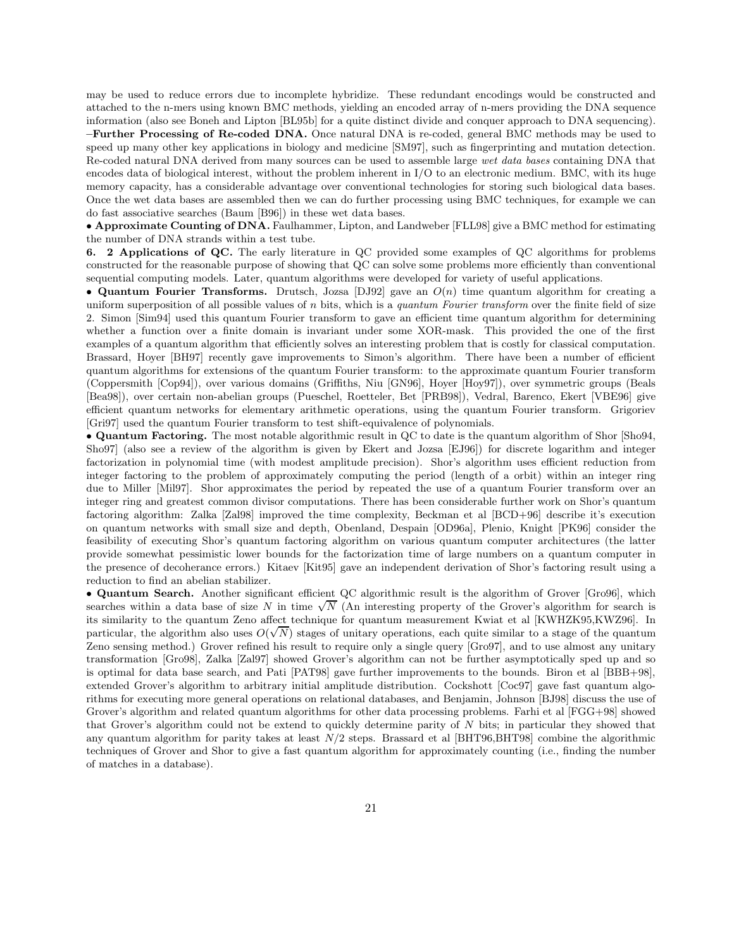may be used to reduce errors due to incomplete hybridize. These redundant encodings would be constructed and attached to the n-mers using known BMC methods, yielding an encoded array of n-mers providing the DNA sequence information (also see Boneh and Lipton [BL95b] for a quite distinct divide and conquer approach to DNA sequencing). –Further Processing of Re-coded DNA. Once natural DNA is re-coded, general BMC methods may be used to speed up many other key applications in biology and medicine [SM97], such as fingerprinting and mutation detection. Re-coded natural DNA derived from many sources can be used to assemble large wet data bases containing DNA that encodes data of biological interest, without the problem inherent in I/O to an electronic medium. BMC, with its huge memory capacity, has a considerable advantage over conventional technologies for storing such biological data bases. Once the wet data bases are assembled then we can do further processing using BMC techniques, for example we can do fast associative searches (Baum [B96]) in these wet data bases.

• Approximate Counting of DNA. Faulhammer, Lipton, and Landweber [FLL98] give a BMC method for estimating the number of DNA strands within a test tube.

6. 2 Applications of QC. The early literature in QC provided some examples of QC algorithms for problems constructed for the reasonable purpose of showing that QC can solve some problems more efficiently than conventional sequential computing models. Later, quantum algorithms were developed for variety of useful applications.

• Quantum Fourier Transforms. Drutsch, Jozsa [DJ92] gave an  $O(n)$  time quantum algorithm for creating a uniform superposition of all possible values of n bits, which is a quantum Fourier transform over the finite field of size 2. Simon [Sim94] used this quantum Fourier transform to gave an efficient time quantum algorithm for determining whether a function over a finite domain is invariant under some XOR-mask. This provided the one of the first examples of a quantum algorithm that efficiently solves an interesting problem that is costly for classical computation. Brassard, Hoyer [BH97] recently gave improvements to Simon's algorithm. There have been a number of efficient quantum algorithms for extensions of the quantum Fourier transform: to the approximate quantum Fourier transform (Coppersmith [Cop94]), over various domains (Griffiths, Niu [GN96], Hoyer [Hoy97]), over symmetric groups (Beals [Bea98]), over certain non-abelian groups (Pueschel, Roetteler, Bet [PRB98]), Vedral, Barenco, Ekert [VBE96] give efficient quantum networks for elementary arithmetic operations, using the quantum Fourier transform. Grigoriev [Gri97] used the quantum Fourier transform to test shift-equivalence of polynomials.

• Quantum Factoring. The most notable algorithmic result in QC to date is the quantum algorithm of Shor [Sho94, Sho97] (also see a review of the algorithm is given by Ekert and Jozsa [EJ96]) for discrete logarithm and integer factorization in polynomial time (with modest amplitude precision). Shor's algorithm uses efficient reduction from integer factoring to the problem of approximately computing the period (length of a orbit) within an integer ring due to Miller [Mil97]. Shor approximates the period by repeated the use of a quantum Fourier transform over an integer ring and greatest common divisor computations. There has been considerable further work on Shor's quantum factoring algorithm: Zalka [Zal98] improved the time complexity, Beckman et al [BCD+96] describe it's execution on quantum networks with small size and depth, Obenland, Despain [OD96a], Plenio, Knight [PK96] consider the feasibility of executing Shor's quantum factoring algorithm on various quantum computer architectures (the latter provide somewhat pessimistic lower bounds for the factorization time of large numbers on a quantum computer in the presence of decoherance errors.) Kitaev [Kit95] gave an independent derivation of Shor's factoring result using a reduction to find an abelian stabilizer.

• Quantum Search. Another significant efficient QC algorithmic result is the algorithm of Grover [Gro96], which searches within a data base of size N in time  $\sqrt{N}$  (An interesting property of the Grover's algorithm for search is its similarity to the quantum Zeno affect technique for quantum measurement Kwiat et al [KWHZK95,KWZ96]. In particular, the algorithm also uses  $O(\sqrt{N})$  stages of unitary operations, each quite similar to a stage of the quantum Zeno sensing method.) Grover refined his result to require only a single query [Gro97], and to use almost any unitary transformation [Gro98], Zalka [Zal97] showed Grover's algorithm can not be further asymptotically sped up and so is optimal for data base search, and Pati [PAT98] gave further improvements to the bounds. Biron et al [BBB+98], extended Grover's algorithm to arbitrary initial amplitude distribution. Cockshott [Coc97] gave fast quantum algorithms for executing more general operations on relational databases, and Benjamin, Johnson [BJ98] discuss the use of Grover's algorithm and related quantum algorithms for other data processing problems. Farhi et al [FGG+98] showed that Grover's algorithm could not be extend to quickly determine parity of N bits; in particular they showed that any quantum algorithm for parity takes at least  $N/2$  steps. Brassard et al [BHT96,BHT98] combine the algorithmic techniques of Grover and Shor to give a fast quantum algorithm for approximately counting (i.e., finding the number of matches in a database).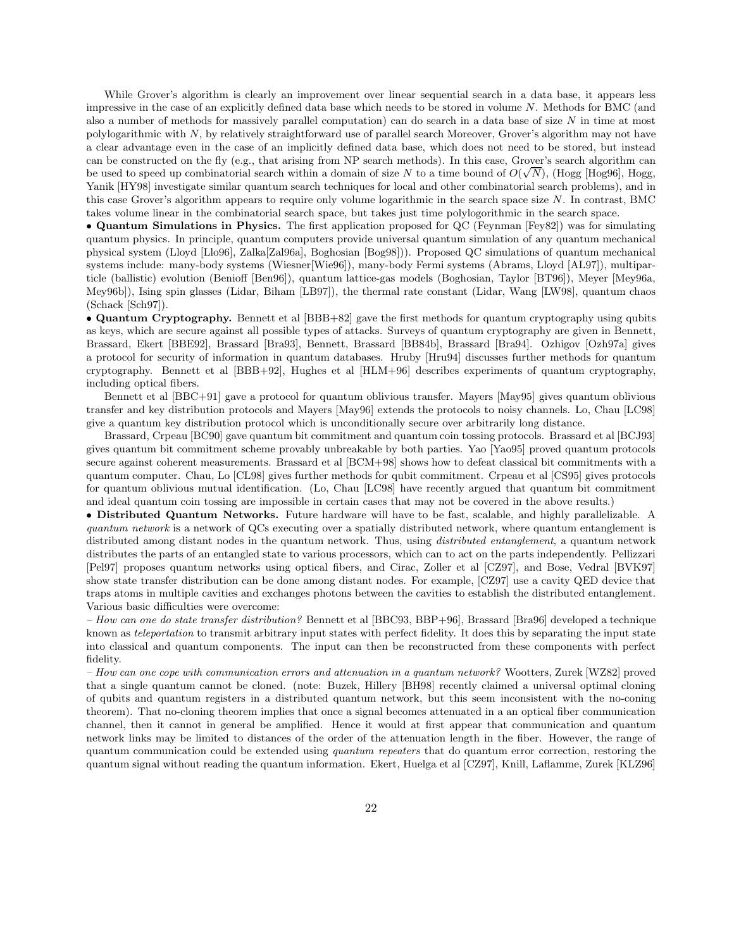While Grover's algorithm is clearly an improvement over linear sequential search in a data base, it appears less impressive in the case of an explicitly defined data base which needs to be stored in volume N. Methods for BMC (and also a number of methods for massively parallel computation) can do search in a data base of size  $N$  in time at most polylogarithmic with N, by relatively straightforward use of parallel search Moreover, Grover's algorithm may not have a clear advantage even in the case of an implicitly defined data base, which does not need to be stored, but instead can be constructed on the fly (e.g., that arising from NP search methods). In this case, Grover's search algorithm can be used to speed up combinatorial search within a domain of size N to a time bound of  $O(\sqrt{N})$ , (Hogg [Hog96], Hogg, Yanik [HY98] investigate similar quantum search techniques for local and other combinatorial search problems), and in this case Grover's algorithm appears to require only volume logarithmic in the search space size N. In contrast, BMC takes volume linear in the combinatorial search space, but takes just time polylogorithmic in the search space.

• Quantum Simulations in Physics. The first application proposed for QC (Feynman [Fey82]) was for simulating quantum physics. In principle, quantum computers provide universal quantum simulation of any quantum mechanical physical system (Lloyd [Llo96], Zalka[Zal96a], Boghosian [Bog98])). Proposed QC simulations of quantum mechanical systems include: many-body systems (Wiesner[Wie96]), many-body Fermi systems (Abrams, Lloyd [AL97]), multiparticle (ballistic) evolution (Benioff [Ben96]), quantum lattice-gas models (Boghosian, Taylor [BT96]), Meyer [Mey96a, Mey96b]), Ising spin glasses (Lidar, Biham [LB97]), the thermal rate constant (Lidar, Wang [LW98], quantum chaos (Schack [Sch97]).

• Quantum Cryptography. Bennett et al [BBB+82] gave the first methods for quantum cryptography using qubits as keys, which are secure against all possible types of attacks. Surveys of quantum cryptography are given in Bennett, Brassard, Ekert [BBE92], Brassard [Bra93], Bennett, Brassard [BB84b], Brassard [Bra94]. Ozhigov [Ozh97a] gives a protocol for security of information in quantum databases. Hruby [Hru94] discusses further methods for quantum cryptography. Bennett et al [BBB+92], Hughes et al [HLM+96] describes experiments of quantum cryptography, including optical fibers.

Bennett et al [BBC+91] gave a protocol for quantum oblivious transfer. Mayers [May95] gives quantum oblivious transfer and key distribution protocols and Mayers [May96] extends the protocols to noisy channels. Lo, Chau [LC98] give a quantum key distribution protocol which is unconditionally secure over arbitrarily long distance.

Brassard, Crpeau [BC90] gave quantum bit commitment and quantum coin tossing protocols. Brassard et al [BCJ93] gives quantum bit commitment scheme provably unbreakable by both parties. Yao [Yao95] proved quantum protocols secure against coherent measurements. Brassard et al [BCM+98] shows how to defeat classical bit commitments with a quantum computer. Chau, Lo [CL98] gives further methods for qubit commitment. Crpeau et al [CS95] gives protocols for quantum oblivious mutual identification. (Lo, Chau [LC98] have recently argued that quantum bit commitment and ideal quantum coin tossing are impossible in certain cases that may not be covered in the above results.)

• Distributed Quantum Networks. Future hardware will have to be fast, scalable, and highly parallelizable. A quantum network is a network of QCs executing over a spatially distributed network, where quantum entanglement is distributed among distant nodes in the quantum network. Thus, using *distributed entanglement*, a quantum network distributes the parts of an entangled state to various processors, which can to act on the parts independently. Pellizzari [Pel97] proposes quantum networks using optical fibers, and Cirac, Zoller et al [CZ97], and Bose, Vedral [BVK97] show state transfer distribution can be done among distant nodes. For example, [CZ97] use a cavity QED device that traps atoms in multiple cavities and exchanges photons between the cavities to establish the distributed entanglement. Various basic difficulties were overcome:

– How can one do state transfer distribution? Bennett et al [BBC93, BBP+96], Brassard [Bra96] developed a technique known as teleportation to transmit arbitrary input states with perfect fidelity. It does this by separating the input state into classical and quantum components. The input can then be reconstructed from these components with perfect fidelity.

– How can one cope with communication errors and attenuation in a quantum network? Wootters, Zurek [WZ82] proved that a single quantum cannot be cloned. (note: Buzek, Hillery [BH98] recently claimed a universal optimal cloning of qubits and quantum registers in a distributed quantum network, but this seem inconsistent with the no-coning theorem). That no-cloning theorem implies that once a signal becomes attenuated in a an optical fiber communication channel, then it cannot in general be amplified. Hence it would at first appear that communication and quantum network links may be limited to distances of the order of the attenuation length in the fiber. However, the range of quantum communication could be extended using quantum repeaters that do quantum error correction, restoring the quantum signal without reading the quantum information. Ekert, Huelga et al [CZ97], Knill, Laflamme, Zurek [KLZ96]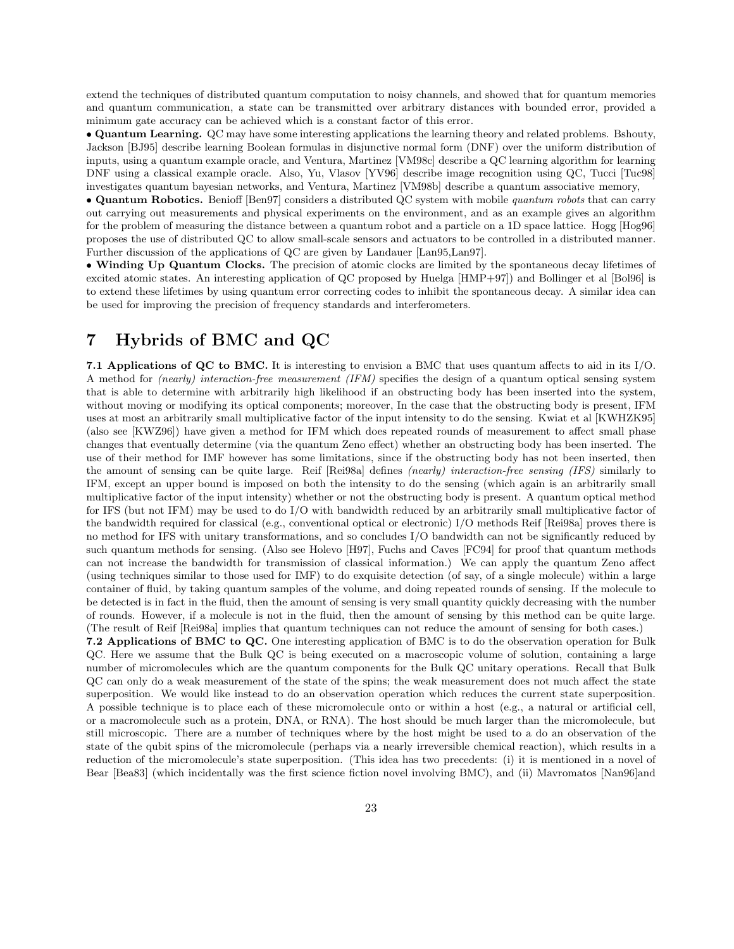extend the techniques of distributed quantum computation to noisy channels, and showed that for quantum memories and quantum communication, a state can be transmitted over arbitrary distances with bounded error, provided a minimum gate accuracy can be achieved which is a constant factor of this error.

• Quantum Learning. QC may have some interesting applications the learning theory and related problems. Bshouty, Jackson [BJ95] describe learning Boolean formulas in disjunctive normal form (DNF) over the uniform distribution of inputs, using a quantum example oracle, and Ventura, Martinez [VM98c] describe a QC learning algorithm for learning DNF using a classical example oracle. Also, Yu, Vlasov [YV96] describe image recognition using QC, Tucci [Tuc98] investigates quantum bayesian networks, and Ventura, Martinez [VM98b] describe a quantum associative memory,

• Quantum Robotics. Benioff [Ben97] considers a distributed QC system with mobile quantum robots that can carry out carrying out measurements and physical experiments on the environment, and as an example gives an algorithm for the problem of measuring the distance between a quantum robot and a particle on a 1D space lattice. Hogg [Hog96] proposes the use of distributed QC to allow small-scale sensors and actuators to be controlled in a distributed manner. Further discussion of the applications of QC are given by Landauer [Lan95,Lan97].

• Winding Up Quantum Clocks. The precision of atomic clocks are limited by the spontaneous decay lifetimes of excited atomic states. An interesting application of QC proposed by Huelga [HMP+97]) and Bollinger et al [Bol96] is to extend these lifetimes by using quantum error correcting codes to inhibit the spontaneous decay. A similar idea can be used for improving the precision of frequency standards and interferometers.

# 7 Hybrids of BMC and QC

7.1 Applications of QC to BMC. It is interesting to envision a BMC that uses quantum affects to aid in its I/O. A method for (nearly) interaction-free measurement (IFM) specifies the design of a quantum optical sensing system that is able to determine with arbitrarily high likelihood if an obstructing body has been inserted into the system, without moving or modifying its optical components; moreover, In the case that the obstructing body is present, IFM uses at most an arbitrarily small multiplicative factor of the input intensity to do the sensing. Kwiat et al [KWHZK95] (also see [KWZ96]) have given a method for IFM which does repeated rounds of measurement to affect small phase changes that eventually determine (via the quantum Zeno effect) whether an obstructing body has been inserted. The use of their method for IMF however has some limitations, since if the obstructing body has not been inserted, then the amount of sensing can be quite large. Reif [Rei98a] defines (nearly) interaction-free sensing (IFS) similarly to IFM, except an upper bound is imposed on both the intensity to do the sensing (which again is an arbitrarily small multiplicative factor of the input intensity) whether or not the obstructing body is present. A quantum optical method for IFS (but not IFM) may be used to do I/O with bandwidth reduced by an arbitrarily small multiplicative factor of the bandwidth required for classical (e.g., conventional optical or electronic) I/O methods Reif [Rei98a] proves there is no method for IFS with unitary transformations, and so concludes I/O bandwidth can not be significantly reduced by such quantum methods for sensing. (Also see Holevo [H97], Fuchs and Caves [FC94] for proof that quantum methods can not increase the bandwidth for transmission of classical information.) We can apply the quantum Zeno affect (using techniques similar to those used for IMF) to do exquisite detection (of say, of a single molecule) within a large container of fluid, by taking quantum samples of the volume, and doing repeated rounds of sensing. If the molecule to be detected is in fact in the fluid, then the amount of sensing is very small quantity quickly decreasing with the number of rounds. However, if a molecule is not in the fluid, then the amount of sensing by this method can be quite large. (The result of Reif [Rei98a] implies that quantum techniques can not reduce the amount of sensing for both cases.)

7.2 Applications of BMC to QC. One interesting application of BMC is to do the observation operation for Bulk QC. Here we assume that the Bulk QC is being executed on a macroscopic volume of solution, containing a large number of micromolecules which are the quantum components for the Bulk QC unitary operations. Recall that Bulk QC can only do a weak measurement of the state of the spins; the weak measurement does not much affect the state superposition. We would like instead to do an observation operation which reduces the current state superposition. A possible technique is to place each of these micromolecule onto or within a host (e.g., a natural or artificial cell, or a macromolecule such as a protein, DNA, or RNA). The host should be much larger than the micromolecule, but still microscopic. There are a number of techniques where by the host might be used to a do an observation of the state of the qubit spins of the micromolecule (perhaps via a nearly irreversible chemical reaction), which results in a reduction of the micromolecule's state superposition. (This idea has two precedents: (i) it is mentioned in a novel of Bear [Bea83] (which incidentally was the first science fiction novel involving BMC), and (ii) Mavromatos [Nan96]and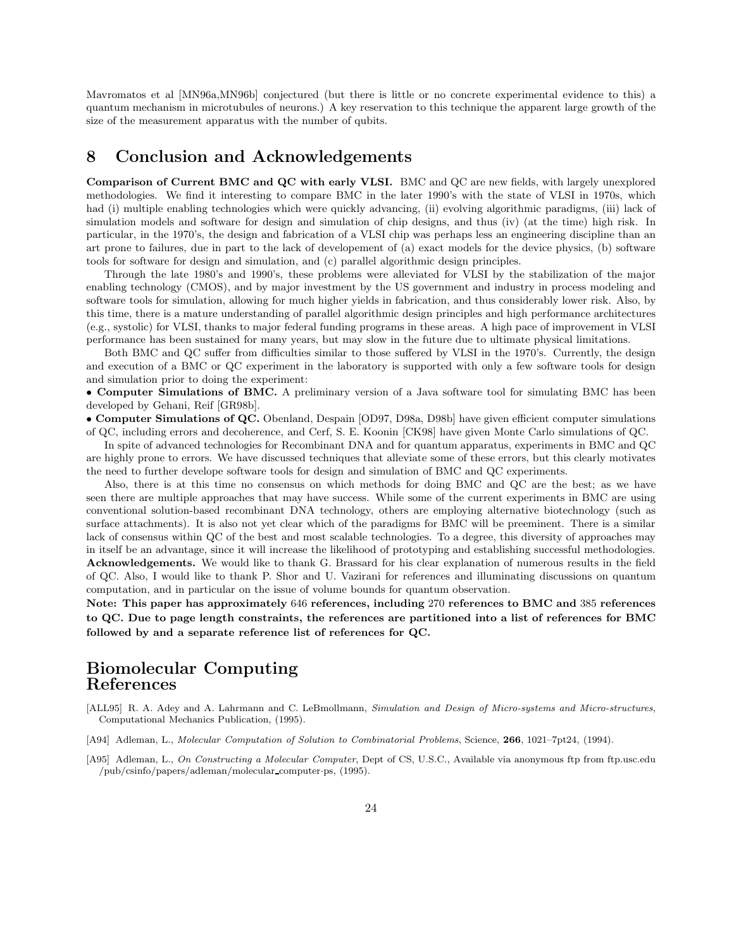Mavromatos et al [MN96a,MN96b] conjectured (but there is little or no concrete experimental evidence to this) a quantum mechanism in microtubules of neurons.) A key reservation to this technique the apparent large growth of the size of the measurement apparatus with the number of qubits.

### 8 Conclusion and Acknowledgements

Comparison of Current BMC and QC with early VLSI. BMC and QC are new fields, with largely unexplored methodologies. We find it interesting to compare BMC in the later 1990's with the state of VLSI in 1970s, which had (i) multiple enabling technologies which were quickly advancing, (ii) evolving algorithmic paradigms, (iii) lack of simulation models and software for design and simulation of chip designs, and thus (iv) (at the time) high risk. In particular, in the 1970's, the design and fabrication of a VLSI chip was perhaps less an engineering discipline than an art prone to failures, due in part to the lack of developement of (a) exact models for the device physics, (b) software tools for software for design and simulation, and (c) parallel algorithmic design principles.

Through the late 1980's and 1990's, these problems were alleviated for VLSI by the stabilization of the major enabling technology (CMOS), and by major investment by the US government and industry in process modeling and software tools for simulation, allowing for much higher yields in fabrication, and thus considerably lower risk. Also, by this time, there is a mature understanding of parallel algorithmic design principles and high performance architectures (e.g., systolic) for VLSI, thanks to major federal funding programs in these areas. A high pace of improvement in VLSI performance has been sustained for many years, but may slow in the future due to ultimate physical limitations.

Both BMC and QC suffer from difficulties similar to those suffered by VLSI in the 1970's. Currently, the design and execution of a BMC or QC experiment in the laboratory is supported with only a few software tools for design and simulation prior to doing the experiment:

• Computer Simulations of BMC. A preliminary version of a Java software tool for simulating BMC has been developed by Gehani, Reif [GR98b].

• Computer Simulations of QC. Obenland, Despain [OD97, D98a, D98b] have given efficient computer simulations of QC, including errors and decoherence, and Cerf, S. E. Koonin [CK98] have given Monte Carlo simulations of QC.

In spite of advanced technologies for Recombinant DNA and for quantum apparatus, experiments in BMC and QC are highly prone to errors. We have discussed techniques that alleviate some of these errors, but this clearly motivates the need to further develope software tools for design and simulation of BMC and QC experiments.

Also, there is at this time no consensus on which methods for doing BMC and QC are the best; as we have seen there are multiple approaches that may have success. While some of the current experiments in BMC are using conventional solution-based recombinant DNA technology, others are employing alternative biotechnology (such as surface attachments). It is also not yet clear which of the paradigms for BMC will be preeminent. There is a similar lack of consensus within QC of the best and most scalable technologies. To a degree, this diversity of approaches may in itself be an advantage, since it will increase the likelihood of prototyping and establishing successful methodologies. Acknowledgements. We would like to thank G. Brassard for his clear explanation of numerous results in the field of QC. Also, I would like to thank P. Shor and U. Vazirani for references and illuminating discussions on quantum computation, and in particular on the issue of volume bounds for quantum observation.

Note: This paper has approximately 646 references, including 270 references to BMC and 385 references to QC. Due to page length constraints, the references are partitioned into a list of references for BMC followed by and a separate reference list of references for QC.

# Biomolecular Computing References

[ALL95] R. A. Adey and A. Lahrmann and C. LeBmollmann, Simulation and Design of Micro-systems and Micro-structures, Computational Mechanics Publication, (1995).

[A94] Adleman, L., Molecular Computation of Solution to Combinatorial Problems, Science, 266, 1021–7pt24, (1994).

[A95] Adleman, L., On Constructing a Molecular Computer, Dept of CS, U.S.C., Available via anonymous ftp from ftp.usc.edu /pub/csinfo/papers/adleman/molecular computer·ps, (1995).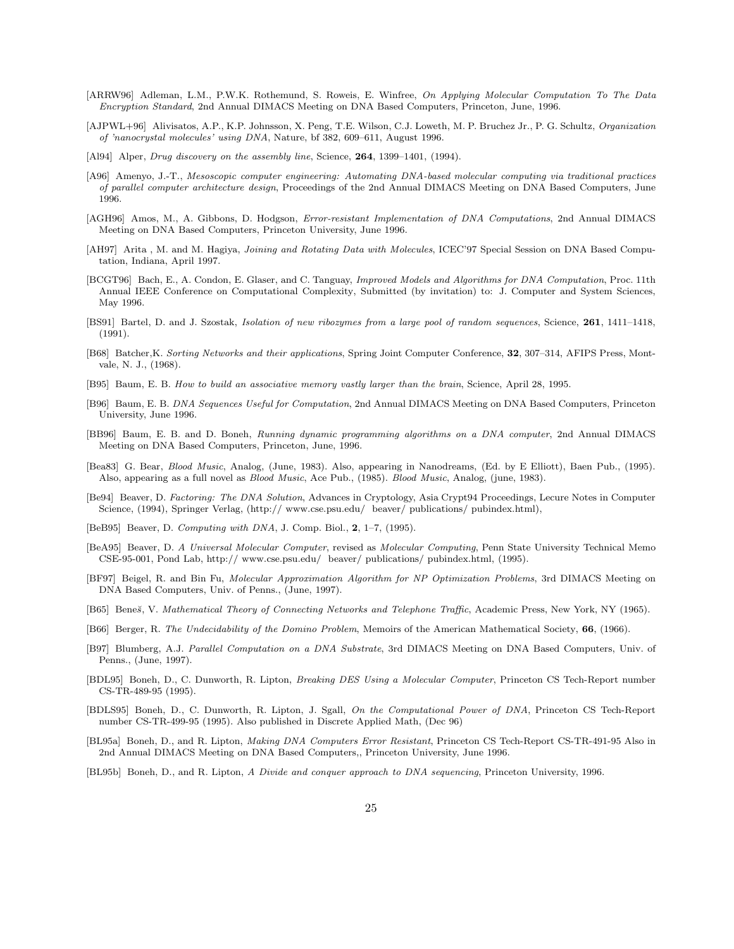- [ARRW96] Adleman, L.M., P.W.K. Rothemund, S. Roweis, E. Winfree, On Applying Molecular Computation To The Data Encryption Standard, 2nd Annual DIMACS Meeting on DNA Based Computers, Princeton, June, 1996.
- [AJPWL+96] Alivisatos, A.P., K.P. Johnsson, X. Peng, T.E. Wilson, C.J. Loweth, M. P. Bruchez Jr., P. G. Schultz, Organization of 'nanocrystal molecules' using DNA, Nature, bf 382, 609–611, August 1996.
- [Al94] Alper, Drug discovery on the assembly line, Science, 264, 1399–1401, (1994).
- [A96] Amenyo, J.-T., Mesoscopic computer engineering: Automating DNA-based molecular computing via traditional practices of parallel computer architecture design, Proceedings of the 2nd Annual DIMACS Meeting on DNA Based Computers, June 1996.
- [AGH96] Amos, M., A. Gibbons, D. Hodgson, Error-resistant Implementation of DNA Computations, 2nd Annual DIMACS Meeting on DNA Based Computers, Princeton University, June 1996.
- [AH97] Arita , M. and M. Hagiya, Joining and Rotating Data with Molecules, ICEC'97 Special Session on DNA Based Computation, Indiana, April 1997.
- [BCGT96] Bach, E., A. Condon, E. Glaser, and C. Tanguay, Improved Models and Algorithms for DNA Computation, Proc. 11th Annual IEEE Conference on Computational Complexity, Submitted (by invitation) to: J. Computer and System Sciences, May 1996.
- [BS91] Bartel, D. and J. Szostak, Isolation of new ribozymes from a large pool of random sequences, Science, 261, 1411-1418, (1991).
- [B68] Batcher,K. Sorting Networks and their applications, Spring Joint Computer Conference, 32, 307–314, AFIPS Press, Montvale, N. J., (1968).
- [B95] Baum, E. B. How to build an associative memory vastly larger than the brain, Science, April 28, 1995.
- [B96] Baum, E. B. DNA Sequences Useful for Computation, 2nd Annual DIMACS Meeting on DNA Based Computers, Princeton University, June 1996.
- [BB96] Baum, E. B. and D. Boneh, Running dynamic programming algorithms on a DNA computer, 2nd Annual DIMACS Meeting on DNA Based Computers, Princeton, June, 1996.
- [Bea83] G. Bear, Blood Music, Analog, (June, 1983). Also, appearing in Nanodreams, (Ed. by E Elliott), Baen Pub., (1995). Also, appearing as a full novel as Blood Music, Ace Pub., (1985). Blood Music, Analog, (june, 1983).
- [Be94] Beaver, D. Factoring: The DNA Solution, Advances in Cryptology, Asia Crypt94 Proceedings, Lecure Notes in Computer Science, (1994), Springer Verlag, (http:// www.cse.psu.edu/ beaver/ publications/ pubindex.html),
- [BeB95] Beaver, D. Computing with DNA, J. Comp. Biol., 2, 1-7, (1995).
- [BeA95] Beaver, D. A Universal Molecular Computer, revised as Molecular Computing, Penn State University Technical Memo CSE-95-001, Pond Lab, http:// www.cse.psu.edu/ beaver/ publications/ pubindex.html, (1995).
- [BF97] Beigel, R. and Bin Fu, Molecular Approximation Algorithm for NP Optimization Problems, 3rd DIMACS Meeting on DNA Based Computers, Univ. of Penns., (June, 1997).
- [B65] Beneš, V. Mathematical Theory of Connecting Networks and Telephone Traffic, Academic Press, New York, NY (1965).
- [B66] Berger, R. The Undecidability of the Domino Problem, Memoirs of the American Mathematical Society, 66, (1966).
- [B97] Blumberg, A.J. Parallel Computation on a DNA Substrate, 3rd DIMACS Meeting on DNA Based Computers, Univ. of Penns., (June, 1997).
- [BDL95] Boneh, D., C. Dunworth, R. Lipton, Breaking DES Using a Molecular Computer, Princeton CS Tech-Report number CS-TR-489-95 (1995).
- [BDLS95] Boneh, D., C. Dunworth, R. Lipton, J. Sgall, On the Computational Power of DNA, Princeton CS Tech-Report number CS-TR-499-95 (1995). Also published in Discrete Applied Math, (Dec 96)
- [BL95a] Boneh, D., and R. Lipton, Making DNA Computers Error Resistant, Princeton CS Tech-Report CS-TR-491-95 Also in 2nd Annual DIMACS Meeting on DNA Based Computers,, Princeton University, June 1996.
- [BL95b] Boneh, D., and R. Lipton, A Divide and conquer approach to DNA sequencing, Princeton University, 1996.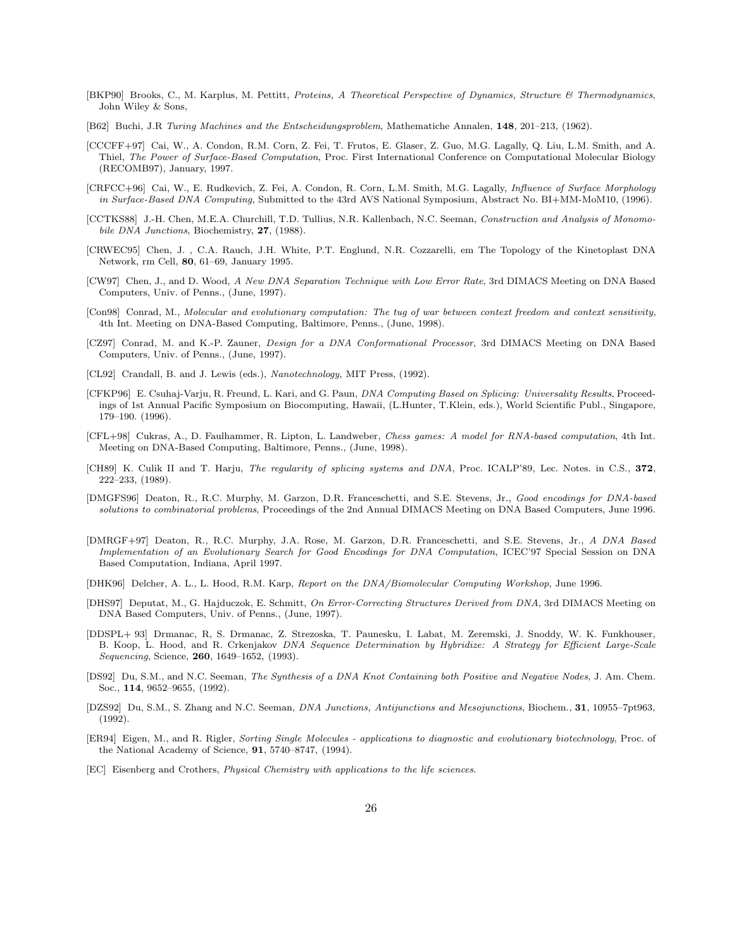- [BKP90] Brooks, C., M. Karplus, M. Pettitt, Proteins, A Theoretical Perspective of Dynamics, Structure & Thermodynamics, John Wiley & Sons,
- [B62] Buchi, J.R Turing Machines and the Entscheidungsproblem, Mathematiche Annalen, 148, 201–213, (1962).
- [CCCFF+97] Cai, W., A. Condon, R.M. Corn, Z. Fei, T. Frutos, E. Glaser, Z. Guo, M.G. Lagally, Q. Liu, L.M. Smith, and A. Thiel, The Power of Surface-Based Computation, Proc. First International Conference on Computational Molecular Biology (RECOMB97), January, 1997.
- [CRFCC+96] Cai, W., E. Rudkevich, Z. Fei, A. Condon, R. Corn, L.M. Smith, M.G. Lagally, Influence of Surface Morphology in Surface-Based DNA Computing, Submitted to the 43rd AVS National Symposium, Abstract No. BI+MM-MoM10, (1996).
- [CCTKS88] J.-H. Chen, M.E.A. Churchill, T.D. Tullius, N.R. Kallenbach, N.C. Seeman, Construction and Analysis of Monomobile DNA Junctions, Biochemistry, 27, (1988).
- [CRWEC95] Chen, J. , C.A. Rauch, J.H. White, P.T. Englund, N.R. Cozzarelli, em The Topology of the Kinetoplast DNA Network, rm Cell, 80, 61–69, January 1995.
- [CW97] Chen, J., and D. Wood, A New DNA Separation Technique with Low Error Rate, 3rd DIMACS Meeting on DNA Based Computers, Univ. of Penns., (June, 1997).
- [Con98] Conrad, M., Molecular and evolutionary computation: The tug of war between context freedom and context sensitivity, 4th Int. Meeting on DNA-Based Computing, Baltimore, Penns., (June, 1998).
- [CZ97] Conrad, M. and K.-P. Zauner, Design for a DNA Conformational Processor, 3rd DIMACS Meeting on DNA Based Computers, Univ. of Penns., (June, 1997).
- [CL92] Crandall, B. and J. Lewis (eds.), Nanotechnology, MIT Press, (1992).
- [CFKP96] E. Csuhaj-Varju, R. Freund, L. Kari, and G. Paun, DNA Computing Based on Splicing: Universality Results, Proceedings of 1st Annual Pacific Symposium on Biocomputing, Hawaii, (L.Hunter, T.Klein, eds.), World Scientific Publ., Singapore, 179–190. (1996).
- [CFL+98] Cukras, A., D. Faulhammer, R. Lipton, L. Landweber, Chess games: A model for RNA-based computation, 4th Int. Meeting on DNA-Based Computing, Baltimore, Penns., (June, 1998).
- [CH89] K. Culik II and T. Harju, The regularity of splicing systems and DNA, Proc. ICALP'89, Lec. Notes. in C.S., 372, 222–233, (1989).
- [DMGFS96] Deaton, R., R.C. Murphy, M. Garzon, D.R. Franceschetti, and S.E. Stevens, Jr., Good encodings for DNA-based solutions to combinatorial problems, Proceedings of the 2nd Annual DIMACS Meeting on DNA Based Computers, June 1996.
- [DMRGF+97] Deaton, R., R.C. Murphy, J.A. Rose, M. Garzon, D.R. Franceschetti, and S.E. Stevens, Jr., A DNA Based Implementation of an Evolutionary Search for Good Encodings for DNA Computation, ICEC'97 Special Session on DNA Based Computation, Indiana, April 1997.
- [DHK96] Delcher, A. L., L. Hood, R.M. Karp, Report on the DNA/Biomolecular Computing Workshop, June 1996.
- [DHS97] Deputat, M., G. Hajduczok, E. Schmitt, On Error-Correcting Structures Derived from DNA, 3rd DIMACS Meeting on DNA Based Computers, Univ. of Penns., (June, 1997).
- [DDSPL+ 93] Drmanac, R, S. Drmanac, Z. Strezoska, T. Paunesku, I. Labat, M. Zeremski, J. Snoddy, W. K. Funkhouser, B. Koop, L. Hood, and R. Crkenjakov DNA Sequence Determination by Hybridize: A Strategy for Efficient Large-Scale Sequencing, Science, 260, 1649–1652, (1993).
- [DS92] Du, S.M., and N.C. Seeman, The Synthesis of a DNA Knot Containing both Positive and Negative Nodes, J. Am. Chem. Soc., 114, 9652–9655, (1992).
- [DZS92] Du, S.M., S. Zhang and N.C. Seeman, DNA Junctions, Antijunctions and Mesojunctions, Biochem., 31, 10955–7pt963, (1992).
- [ER94] Eigen, M., and R. Rigler, Sorting Single Molecules applications to diagnostic and evolutionary biotechnology, Proc. of the National Academy of Science, 91, 5740–8747, (1994).
- [EC] Eisenberg and Crothers, Physical Chemistry with applications to the life sciences.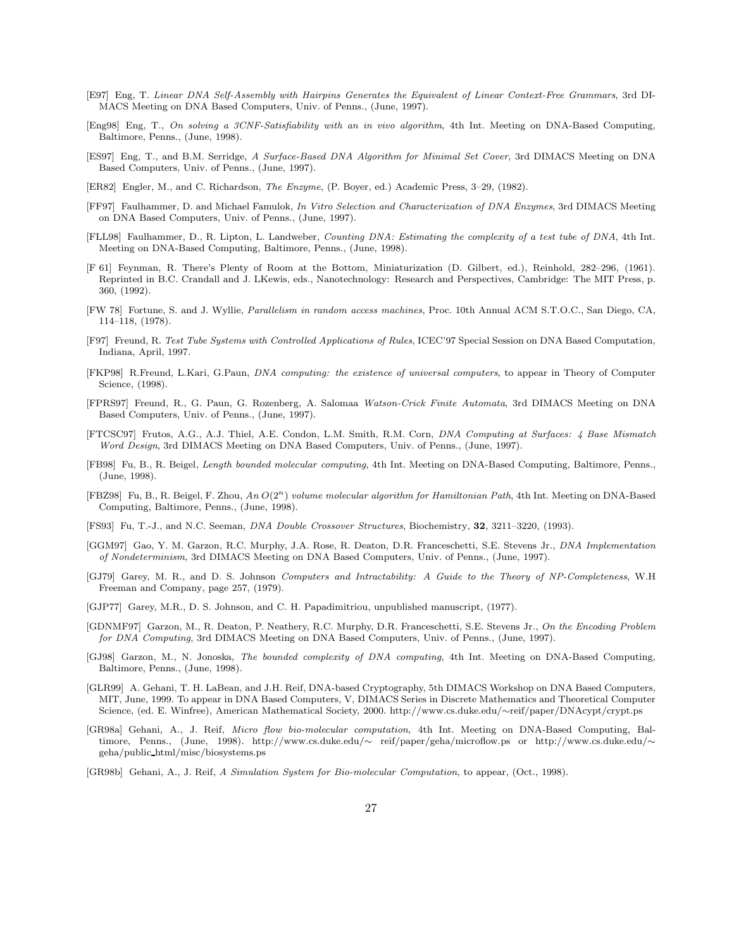- [E97] Eng, T. Linear DNA Self-Assembly with Hairpins Generates the Equivalent of Linear Context-Free Grammars, 3rd DI-MACS Meeting on DNA Based Computers, Univ. of Penns., (June, 1997).
- [Eng98] Eng, T., On solving a 3CNF-Satisfiability with an in vivo algorithm, 4th Int. Meeting on DNA-Based Computing, Baltimore, Penns., (June, 1998).
- [ES97] Eng, T., and B.M. Serridge, A Surface-Based DNA Algorithm for Minimal Set Cover, 3rd DIMACS Meeting on DNA Based Computers, Univ. of Penns., (June, 1997).
- [ER82] Engler, M., and C. Richardson, The Enzyme, (P. Boyer, ed.) Academic Press, 3–29, (1982).
- [FF97] Faulhammer, D. and Michael Famulok, In Vitro Selection and Characterization of DNA Enzymes, 3rd DIMACS Meeting on DNA Based Computers, Univ. of Penns., (June, 1997).
- [FLL98] Faulhammer, D., R. Lipton, L. Landweber, Counting DNA: Estimating the complexity of a test tube of DNA, 4th Int. Meeting on DNA-Based Computing, Baltimore, Penns., (June, 1998).
- [F 61] Feynman, R. There's Plenty of Room at the Bottom, Miniaturization (D. Gilbert, ed.), Reinhold, 282–296, (1961). Reprinted in B.C. Crandall and J. LKewis, eds., Nanotechnology: Research and Perspectives, Cambridge: The MIT Press, p. 360, (1992).
- [FW 78] Fortune, S. and J. Wyllie, Parallelism in random access machines, Proc. 10th Annual ACM S.T.O.C., San Diego, CA, 114–118, (1978).
- [F97] Freund, R. Test Tube Systems with Controlled Applications of Rules, ICEC'97 Special Session on DNA Based Computation, Indiana, April, 1997.
- [FKP98] R.Freund, L.Kari, G.Paun, DNA computing: the existence of universal computers, to appear in Theory of Computer Science, (1998).
- [FPRS97] Freund, R., G. Paun, G. Rozenberg, A. Salomaa Watson-Crick Finite Automata, 3rd DIMACS Meeting on DNA Based Computers, Univ. of Penns., (June, 1997).
- [FTCSC97] Frutos, A.G., A.J. Thiel, A.E. Condon, L.M. Smith, R.M. Corn, DNA Computing at Surfaces: 4 Base Mismatch Word Design, 3rd DIMACS Meeting on DNA Based Computers, Univ. of Penns., (June, 1997).
- [FB98] Fu, B., R. Beigel, Length bounded molecular computing, 4th Int. Meeting on DNA-Based Computing, Baltimore, Penns., (June, 1998).
- [FBZ98] Fu, B., R. Beigel, F. Zhou, An  $O(2^n)$  volume molecular algorithm for Hamiltonian Path, 4th Int. Meeting on DNA-Based Computing, Baltimore, Penns., (June, 1998).
- [FS93] Fu, T.-J., and N.C. Seeman, DNA Double Crossover Structures, Biochemistry, 32, 3211–3220, (1993).
- [GGM97] Gao, Y. M. Garzon, R.C. Murphy, J.A. Rose, R. Deaton, D.R. Franceschetti, S.E. Stevens Jr., DNA Implementation of Nondeterminism, 3rd DIMACS Meeting on DNA Based Computers, Univ. of Penns., (June, 1997).
- [GJ79] Garey, M. R., and D. S. Johnson Computers and Intractability: A Guide to the Theory of NP-Completeness, W.H Freeman and Company, page 257, (1979).
- [GJP77] Garey, M.R., D. S. Johnson, and C. H. Papadimitriou, unpublished manuscript, (1977).
- [GDNMF97] Garzon, M., R. Deaton, P. Neathery, R.C. Murphy, D.R. Franceschetti, S.E. Stevens Jr., On the Encoding Problem for DNA Computing, 3rd DIMACS Meeting on DNA Based Computers, Univ. of Penns., (June, 1997).
- [GJ98] Garzon, M., N. Jonoska, The bounded complexity of DNA computing, 4th Int. Meeting on DNA-Based Computing, Baltimore, Penns., (June, 1998).
- [GLR99] A. Gehani, T. H. LaBean, and J.H. Reif, DNA-based Cryptography, 5th DIMACS Workshop on DNA Based Computers, MIT, June, 1999. To appear in DNA Based Computers, V, DIMACS Series in Discrete Mathematics and Theoretical Computer Science, (ed. E. Winfree), American Mathematical Society, 2000. http://www.cs.duke.edu/∼reif/paper/DNAcypt/crypt.ps
- [GR98a] Gehani, A., J. Reif, Micro flow bio-molecular computation, 4th Int. Meeting on DNA-Based Computing, Baltimore, Penns., (June, 1998). http://www.cs.duke.edu/∼ reif/paper/geha/microflow.ps or http://www.cs.duke.edu/∼ geha/public html/misc/biosystems.ps
- [GR98b] Gehani, A., J. Reif, A Simulation System for Bio-molecular Computation, to appear, (Oct., 1998).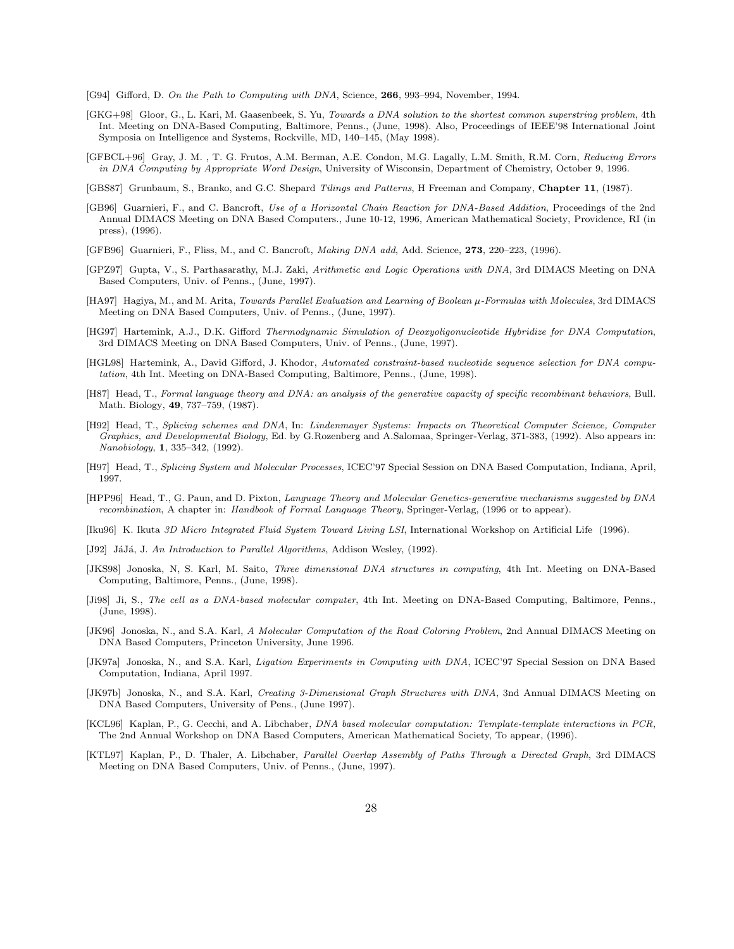- [G94] Gifford, D. On the Path to Computing with DNA, Science, 266, 993–994, November, 1994.
- [GKG+98] Gloor, G., L. Kari, M. Gaasenbeek, S. Yu, Towards a DNA solution to the shortest common superstring problem, 4th Int. Meeting on DNA-Based Computing, Baltimore, Penns., (June, 1998). Also, Proceedings of IEEE'98 International Joint Symposia on Intelligence and Systems, Rockville, MD, 140–145, (May 1998).
- [GFBCL+96] Gray, J. M. , T. G. Frutos, A.M. Berman, A.E. Condon, M.G. Lagally, L.M. Smith, R.M. Corn, Reducing Errors in DNA Computing by Appropriate Word Design, University of Wisconsin, Department of Chemistry, October 9, 1996.
- [GBS87] Grunbaum, S., Branko, and G.C. Shepard Tilings and Patterns, H Freeman and Company, Chapter 11, (1987).
- [GB96] Guarnieri, F., and C. Bancroft, Use of a Horizontal Chain Reaction for DNA-Based Addition, Proceedings of the 2nd Annual DIMACS Meeting on DNA Based Computers., June 10-12, 1996, American Mathematical Society, Providence, RI (in press), (1996).
- [GFB96] Guarnieri, F., Fliss, M., and C. Bancroft, *Making DNA add*, Add. Science, **273**, 220–223, (1996).
- [GPZ97] Gupta, V., S. Parthasarathy, M.J. Zaki, Arithmetic and Logic Operations with DNA, 3rd DIMACS Meeting on DNA Based Computers, Univ. of Penns., (June, 1997).
- [HA97] Hagiya, M., and M. Arita, Towards Parallel Evaluation and Learning of Boolean µ-Formulas with Molecules, 3rd DIMACS Meeting on DNA Based Computers, Univ. of Penns., (June, 1997).
- [HG97] Hartemink, A.J., D.K. Gifford Thermodynamic Simulation of Deoxyoligonucleotide Hybridize for DNA Computation, 3rd DIMACS Meeting on DNA Based Computers, Univ. of Penns., (June, 1997).
- [HGL98] Hartemink, A., David Gifford, J. Khodor, Automated constraint-based nucleotide sequence selection for DNA computation, 4th Int. Meeting on DNA-Based Computing, Baltimore, Penns., (June, 1998).
- [H87] Head, T., Formal language theory and DNA: an analysis of the generative capacity of specific recombinant behaviors, Bull. Math. Biology, 49, 737–759, (1987).
- [H92] Head, T., Splicing schemes and DNA, In: Lindenmayer Systems: Impacts on Theoretical Computer Science, Computer Graphics, and Developmental Biology, Ed. by G.Rozenberg and A.Salomaa, Springer-Verlag, 371-383, (1992). Also appears in: Nanobiology, 1, 335–342, (1992).
- [H97] Head, T., Splicing System and Molecular Processes, ICEC'97 Special Session on DNA Based Computation, Indiana, April, 1997.
- [HPP96] Head, T., G. Paun, and D. Pixton, Language Theory and Molecular Genetics-generative mechanisms suggested by DNA recombination, A chapter in: Handbook of Formal Language Theory, Springer-Verlag, (1996 or to appear).
- [Iku96] K. Ikuta 3D Micro Integrated Fluid System Toward Living LSI, International Workshop on Artificial Life (1996).
- [J92] JáJá, J. An Introduction to Parallel Algorithms, Addison Wesley, (1992).
- [JKS98] Jonoska, N, S. Karl, M. Saito, Three dimensional DNA structures in computing, 4th Int. Meeting on DNA-Based Computing, Baltimore, Penns., (June, 1998).
- [Ji98] Ji, S., The cell as a DNA-based molecular computer, 4th Int. Meeting on DNA-Based Computing, Baltimore, Penns., (June, 1998).
- [JK96] Jonoska, N., and S.A. Karl, A Molecular Computation of the Road Coloring Problem, 2nd Annual DIMACS Meeting on DNA Based Computers, Princeton University, June 1996.
- [JK97a] Jonoska, N., and S.A. Karl, Ligation Experiments in Computing with DNA, ICEC'97 Special Session on DNA Based Computation, Indiana, April 1997.
- [JK97b] Jonoska, N., and S.A. Karl, Creating 3-Dimensional Graph Structures with DNA, 3nd Annual DIMACS Meeting on DNA Based Computers, University of Pens., (June 1997).
- [KCL96] Kaplan, P., G. Cecchi, and A. Libchaber, DNA based molecular computation: Template-template interactions in PCR, The 2nd Annual Workshop on DNA Based Computers, American Mathematical Society, To appear, (1996).
- [KTL97] Kaplan, P., D. Thaler, A. Libchaber, Parallel Overlap Assembly of Paths Through a Directed Graph, 3rd DIMACS Meeting on DNA Based Computers, Univ. of Penns., (June, 1997).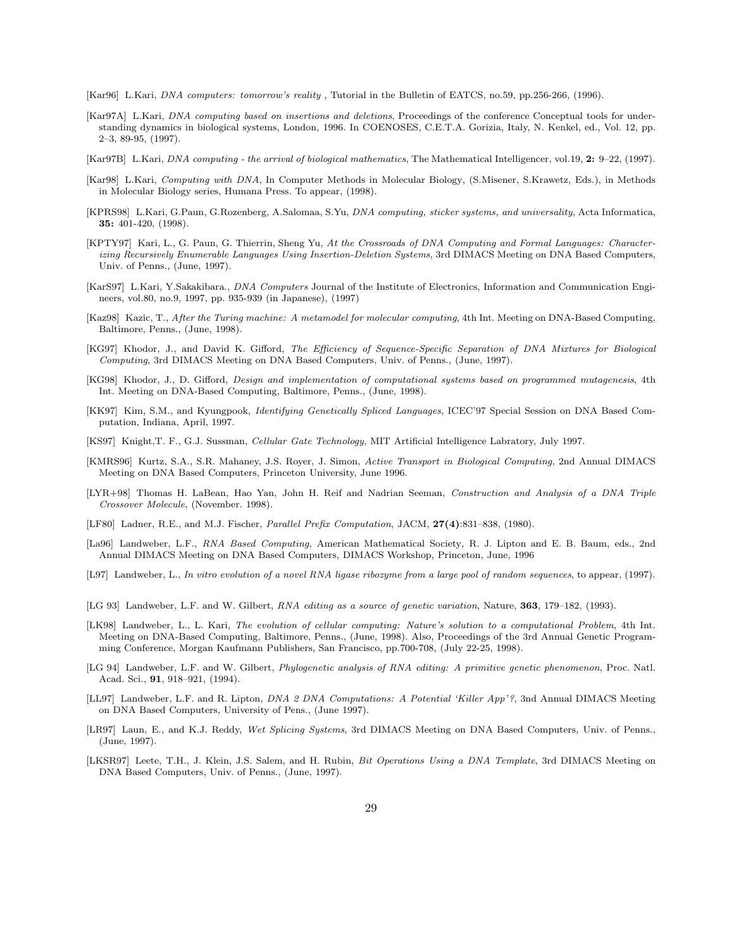[Kar96] L.Kari, DNA computers: tomorrow's reality , Tutorial in the Bulletin of EATCS, no.59, pp.256-266, (1996).

- [Kar97A] L.Kari, DNA computing based on insertions and deletions, Proceedings of the conference Conceptual tools for understanding dynamics in biological systems, London, 1996. In COENOSES, C.E.T.A. Gorizia, Italy, N. Kenkel, ed., Vol. 12, pp. 2–3, 89-95, (1997).
- [Kar97B] L.Kari, DNA computing the arrival of biological mathematics, The Mathematical Intelligencer, vol.19, 2: 9–22, (1997).
- [Kar98] L.Kari, Computing with DNA, In Computer Methods in Molecular Biology, (S.Misener, S.Krawetz, Eds.), in Methods in Molecular Biology series, Humana Press. To appear, (1998).
- [KPRS98] L.Kari, G.Paun, G.Rozenberg, A.Salomaa, S.Yu, DNA computing, sticker systems, and universality, Acta Informatica, 35: 401-420, (1998).
- [KPTY97] Kari, L., G. Paun, G. Thierrin, Sheng Yu, At the Crossroads of DNA Computing and Formal Languages: Characterizing Recursively Enumerable Languages Using Insertion-Deletion Systems, 3rd DIMACS Meeting on DNA Based Computers, Univ. of Penns., (June, 1997).
- [KarS97] L.Kari, Y.Sakakibara., DNA Computers Journal of the Institute of Electronics, Information and Communication Engineers, vol.80, no.9, 1997, pp. 935-939 (in Japanese), (1997)
- [Kaz98] Kazic, T., After the Turing machine: A metamodel for molecular computing, 4th Int. Meeting on DNA-Based Computing, Baltimore, Penns., (June, 1998).
- [KG97] Khodor, J., and David K. Gifford, The Efficiency of Sequence-Specific Separation of DNA Mixtures for Biological Computing, 3rd DIMACS Meeting on DNA Based Computers, Univ. of Penns., (June, 1997).
- [KG98] Khodor, J., D. Gifford, Design and implementation of computational systems based on programmed mutagenesis, 4th Int. Meeting on DNA-Based Computing, Baltimore, Penns., (June, 1998).
- [KK97] Kim, S.M., and Kyungpook, Identifying Genetically Spliced Languages, ICEC'97 Special Session on DNA Based Computation, Indiana, April, 1997.
- [KS97] Knight,T. F., G.J. Sussman, Cellular Gate Technology, MIT Artificial Intelligence Labratory, July 1997.
- [KMRS96] Kurtz, S.A., S.R. Mahaney, J.S. Royer, J. Simon, Active Transport in Biological Computing, 2nd Annual DIMACS Meeting on DNA Based Computers, Princeton University, June 1996.
- [LYR+98] Thomas H. LaBean, Hao Yan, John H. Reif and Nadrian Seeman, Construction and Analysis of a DNA Triple Crossover Molecule, (November. 1998).
- [LF80] Ladner, R.E., and M.J. Fischer, Parallel Prefix Computation, JACM, 27(4):831–838, (1980).
- [La96] Landweber, L.F., RNA Based Computing, American Mathematical Society, R. J. Lipton and E. B. Baum, eds., 2nd Annual DIMACS Meeting on DNA Based Computers, DIMACS Workshop, Princeton, June, 1996
- [L97] Landweber, L., In vitro evolution of a novel RNA ligase ribozyme from a large pool of random sequences, to appear, (1997).
- [LG 93] Landweber, L.F. and W. Gilbert, RNA editing as a source of genetic variation, Nature, 363, 179–182, (1993).
- [LK98] Landweber, L., L. Kari, The evolution of cellular computing: Nature's solution to a computational Problem, 4th Int. Meeting on DNA-Based Computing, Baltimore, Penns., (June, 1998). Also, Proceedings of the 3rd Annual Genetic Programming Conference, Morgan Kaufmann Publishers, San Francisco, pp.700-708, (July 22-25, 1998).
- [LG 94] Landweber, L.F. and W. Gilbert, Phylogenetic analysis of RNA editing: A primitive genetic phenomenon, Proc. Natl. Acad. Sci., 91, 918–921, (1994).
- [LL97] Landweber, L.F. and R. Lipton, DNA 2 DNA Computations: A Potential 'Killer App'?, 3nd Annual DIMACS Meeting on DNA Based Computers, University of Pens., (June 1997).
- [LR97] Laun, E., and K.J. Reddy, Wet Splicing Systems, 3rd DIMACS Meeting on DNA Based Computers, Univ. of Penns., (June, 1997).
- [LKSR97] Leete, T.H., J. Klein, J.S. Salem, and H. Rubin, Bit Operations Using a DNA Template, 3rd DIMACS Meeting on DNA Based Computers, Univ. of Penns., (June, 1997).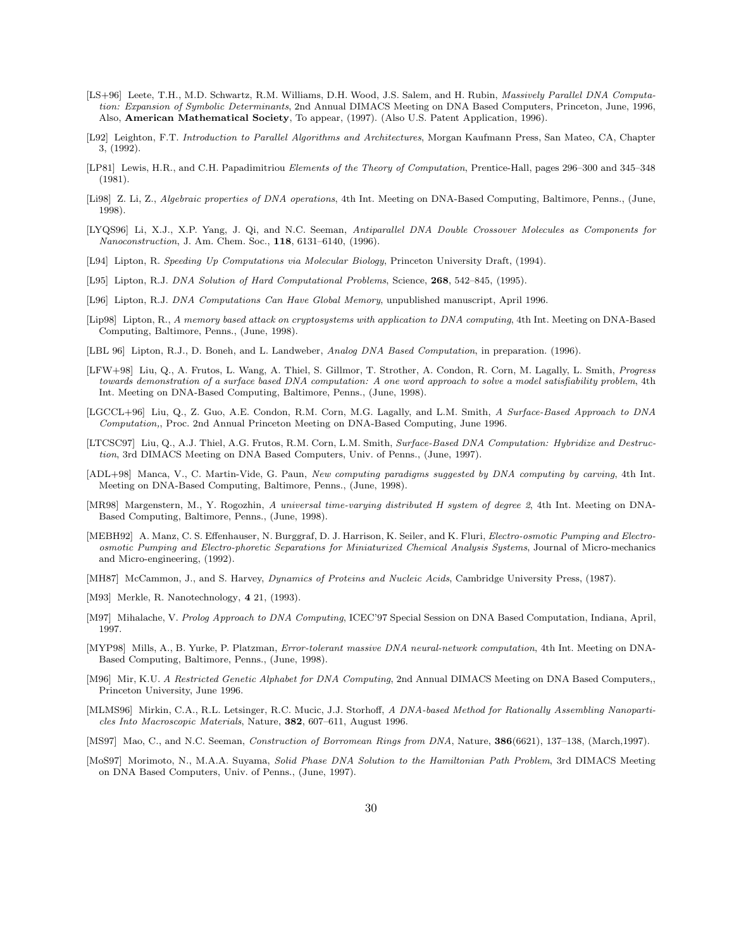- [LS+96] Leete, T.H., M.D. Schwartz, R.M. Williams, D.H. Wood, J.S. Salem, and H. Rubin, Massively Parallel DNA Computation: Expansion of Symbolic Determinants, 2nd Annual DIMACS Meeting on DNA Based Computers, Princeton, June, 1996, Also, American Mathematical Society, To appear, (1997). (Also U.S. Patent Application, 1996).
- [L92] Leighton, F.T. Introduction to Parallel Algorithms and Architectures, Morgan Kaufmann Press, San Mateo, CA, Chapter 3, (1992).
- [LP81] Lewis, H.R., and C.H. Papadimitriou Elements of the Theory of Computation, Prentice-Hall, pages 296–300 and 345–348 (1981).
- [Li98] Z. Li, Z., Algebraic properties of DNA operations, 4th Int. Meeting on DNA-Based Computing, Baltimore, Penns., (June, 1998).
- [LYQS96] Li, X.J., X.P. Yang, J. Qi, and N.C. Seeman, Antiparallel DNA Double Crossover Molecules as Components for Nanoconstruction, J. Am. Chem. Soc., 118, 6131–6140, (1996).
- [L94] Lipton, R. Speeding Up Computations via Molecular Biology, Princeton University Draft, (1994).
- [L95] Lipton, R.J. DNA Solution of Hard Computational Problems, Science, 268, 542–845, (1995).
- [L96] Lipton, R.J. DNA Computations Can Have Global Memory, unpublished manuscript, April 1996.
- [Lip98] Lipton, R., A memory based attack on cryptosystems with application to DNA computing, 4th Int. Meeting on DNA-Based Computing, Baltimore, Penns., (June, 1998).
- [LBL 96] Lipton, R.J., D. Boneh, and L. Landweber, Analog DNA Based Computation, in preparation. (1996).
- [LFW+98] Liu, Q., A. Frutos, L. Wang, A. Thiel, S. Gillmor, T. Strother, A. Condon, R. Corn, M. Lagally, L. Smith, Progress towards demonstration of a surface based DNA computation: A one word approach to solve a model satisfiability problem, 4th Int. Meeting on DNA-Based Computing, Baltimore, Penns., (June, 1998).
- [LGCCL+96] Liu, Q., Z. Guo, A.E. Condon, R.M. Corn, M.G. Lagally, and L.M. Smith, A Surface-Based Approach to DNA Computation,, Proc. 2nd Annual Princeton Meeting on DNA-Based Computing, June 1996.
- [LTCSC97] Liu, Q., A.J. Thiel, A.G. Frutos, R.M. Corn, L.M. Smith, Surface-Based DNA Computation: Hybridize and Destruction, 3rd DIMACS Meeting on DNA Based Computers, Univ. of Penns., (June, 1997).
- [ADL+98] Manca, V., C. Martin-Vide, G. Paun, New computing paradigms suggested by DNA computing by carving, 4th Int. Meeting on DNA-Based Computing, Baltimore, Penns., (June, 1998).
- [MR98] Margenstern, M., Y. Rogozhin, A universal time-varying distributed H system of degree 2, 4th Int. Meeting on DNA-Based Computing, Baltimore, Penns., (June, 1998).
- [MEBH92] A. Manz, C. S. Effenhauser, N. Burggraf, D. J. Harrison, K. Seiler, and K. Fluri, Electro-osmotic Pumping and Electroosmotic Pumping and Electro-phoretic Separations for Miniaturized Chemical Analysis Systems, Journal of Micro-mechanics and Micro-engineering, (1992).
- [MH87] McCammon, J., and S. Harvey, Dynamics of Proteins and Nucleic Acids, Cambridge University Press, (1987).
- [M93] Merkle, R. Nanotechnology, 4 21, (1993).
- [M97] Mihalache, V. Prolog Approach to DNA Computing, ICEC'97 Special Session on DNA Based Computation, Indiana, April, 1997.
- [MYP98] Mills, A., B. Yurke, P. Platzman, Error-tolerant massive DNA neural-network computation, 4th Int. Meeting on DNA-Based Computing, Baltimore, Penns., (June, 1998).
- [M96] Mir, K.U. A Restricted Genetic Alphabet for DNA Computing, 2nd Annual DIMACS Meeting on DNA Based Computers,, Princeton University, June 1996.
- [MLMS96] Mirkin, C.A., R.L. Letsinger, R.C. Mucic, J.J. Storhoff, A DNA-based Method for Rationally Assembling Nanoparticles Into Macroscopic Materials, Nature, 382, 607–611, August 1996.
- [MS97] Mao, C., and N.C. Seeman, Construction of Borromean Rings from DNA, Nature, 386(6621), 137–138, (March,1997).
- [MoS97] Morimoto, N., M.A.A. Suyama, Solid Phase DNA Solution to the Hamiltonian Path Problem, 3rd DIMACS Meeting on DNA Based Computers, Univ. of Penns., (June, 1997).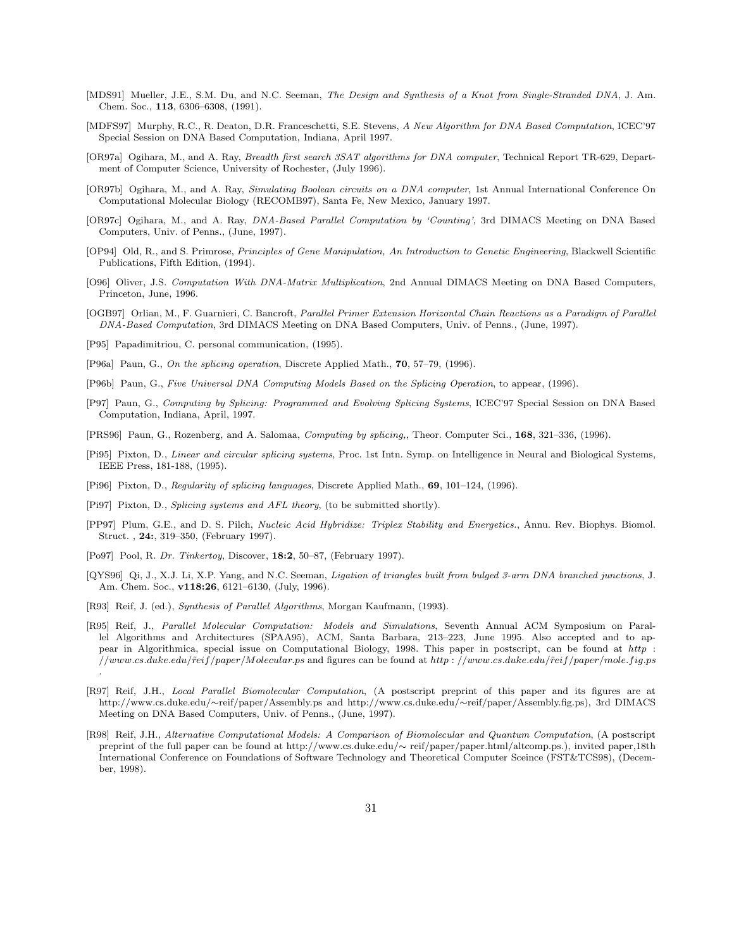- [MDS91] Mueller, J.E., S.M. Du, and N.C. Seeman, The Design and Synthesis of a Knot from Single-Stranded DNA, J. Am. Chem. Soc., 113, 6306–6308, (1991).
- [MDFS97] Murphy, R.C., R. Deaton, D.R. Franceschetti, S.E. Stevens, A New Algorithm for DNA Based Computation, ICEC'97 Special Session on DNA Based Computation, Indiana, April 1997.
- [OR97a] Ogihara, M., and A. Ray, Breadth first search 3SAT algorithms for DNA computer, Technical Report TR-629, Department of Computer Science, University of Rochester, (July 1996).
- [OR97b] Ogihara, M., and A. Ray, Simulating Boolean circuits on a DNA computer, 1st Annual International Conference On Computational Molecular Biology (RECOMB97), Santa Fe, New Mexico, January 1997.
- [OR97c] Ogihara, M., and A. Ray, DNA-Based Parallel Computation by 'Counting', 3rd DIMACS Meeting on DNA Based Computers, Univ. of Penns., (June, 1997).
- [OP94] Old, R., and S. Primrose, Principles of Gene Manipulation, An Introduction to Genetic Engineering, Blackwell Scientific Publications, Fifth Edition, (1994).
- [O96] Oliver, J.S. Computation With DNA-Matrix Multiplication, 2nd Annual DIMACS Meeting on DNA Based Computers, Princeton, June, 1996.
- [OGB97] Orlian, M., F. Guarnieri, C. Bancroft, Parallel Primer Extension Horizontal Chain Reactions as a Paradigm of Parallel DNA-Based Computation, 3rd DIMACS Meeting on DNA Based Computers, Univ. of Penns., (June, 1997).
- [P95] Papadimitriou, C. personal communication, (1995).
- [P96a] Paun, G., On the splicing operation, Discrete Applied Math., 70, 57–79, (1996).
- [P96b] Paun, G., Five Universal DNA Computing Models Based on the Splicing Operation, to appear, (1996).
- [P97] Paun, G., Computing by Splicing: Programmed and Evolving Splicing Systems, ICEC'97 Special Session on DNA Based Computation, Indiana, April, 1997.
- [PRS96] Paun, G., Rozenberg, and A. Salomaa, Computing by splicing,, Theor. Computer Sci., 168, 321–336, (1996).
- [Pi95] Pixton, D., Linear and circular splicing systems, Proc. 1st Intn. Symp. on Intelligence in Neural and Biological Systems, IEEE Press, 181-188, (1995).
- [Pi96] Pixton, D., Regularity of splicing languages, Discrete Applied Math., 69, 101–124, (1996).
- [Pi97] Pixton, D., Splicing systems and AFL theory, (to be submitted shortly).
- [PP97] Plum, G.E., and D. S. Pilch, Nucleic Acid Hybridize: Triplex Stability and Energetics., Annu. Rev. Biophys. Biomol. Struct. , 24:, 319–350, (February 1997).
- [Po97] Pool, R. Dr. Tinkertoy, Discover, 18:2, 50–87, (February 1997).
- [QYS96] Qi, J., X.J. Li, X.P. Yang, and N.C. Seeman, Ligation of triangles built from bulged 3-arm DNA branched junctions, J. Am. Chem. Soc., v118:26, 6121–6130, (July, 1996).
- [R93] Reif, J. (ed.), Synthesis of Parallel Algorithms, Morgan Kaufmann, (1993).
- [R95] Reif, J., Parallel Molecular Computation: Models and Simulations, Seventh Annual ACM Symposium on Parallel Algorithms and Architectures (SPAA95), ACM, Santa Barbara, 213–223, June 1995. Also accepted and to appear in Algorithmica, special issue on Computational Biology, 1998. This paper in postscript, can be found at http : //www.cs.duke.edu/reif/paper/Molecular.ps and figures can be found at http://www.cs.duke.edu/reif/paper/mole.fig.ps .
- [R97] Reif, J.H., Local Parallel Biomolecular Computation, (A postscript preprint of this paper and its figures are at http://www.cs.duke.edu/∼reif/paper/Assembly.ps and http://www.cs.duke.edu/∼reif/paper/Assembly.fig.ps), 3rd DIMACS Meeting on DNA Based Computers, Univ. of Penns., (June, 1997).
- [R98] Reif, J.H., Alternative Computational Models: A Comparison of Biomolecular and Quantum Computation, (A postscript preprint of the full paper can be found at http://www.cs.duke.edu/∼ reif/paper/paper.html/altcomp.ps.), invited paper,18th International Conference on Foundations of Software Technology and Theoretical Computer Sceince (FST&TCS98), (December, 1998).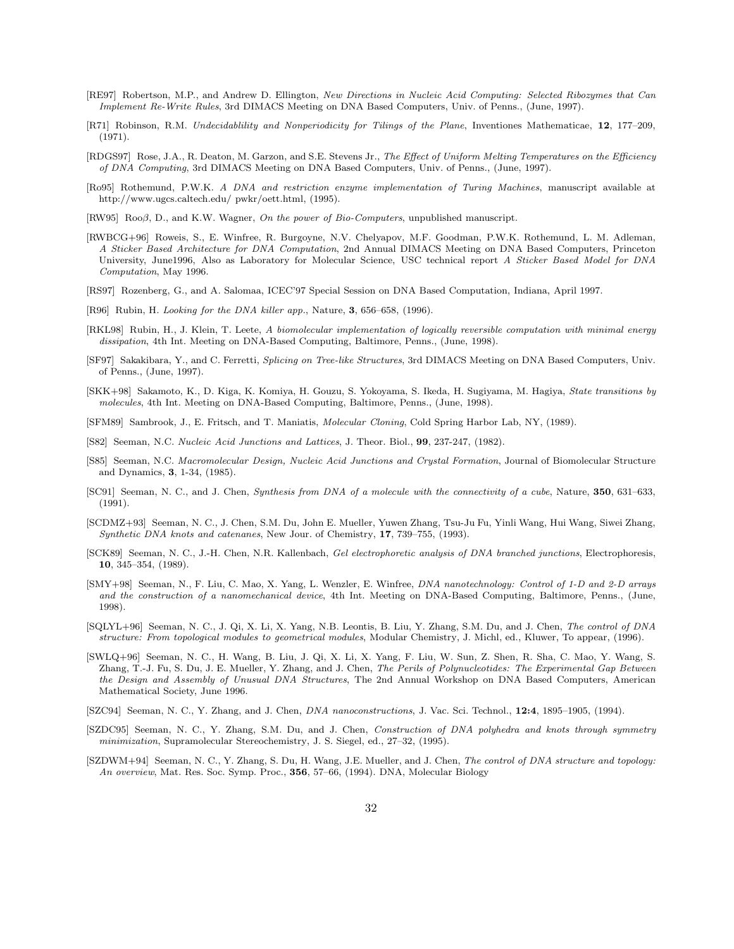- [RE97] Robertson, M.P., and Andrew D. Ellington, New Directions in Nucleic Acid Computing: Selected Ribozymes that Can Implement Re-Write Rules, 3rd DIMACS Meeting on DNA Based Computers, Univ. of Penns., (June, 1997).
- [R71] Robinson, R.M. Undecidablility and Nonperiodicity for Tilings of the Plane, Inventiones Mathematicae, 12, 177–209, (1971).
- [RDGS97] Rose, J.A., R. Deaton, M. Garzon, and S.E. Stevens Jr., The Effect of Uniform Melting Temperatures on the Efficiency of DNA Computing, 3rd DIMACS Meeting on DNA Based Computers, Univ. of Penns., (June, 1997).
- [Ro95] Rothemund, P.W.K. A DNA and restriction enzyme implementation of Turing Machines, manuscript available at http://www.ugcs.caltech.edu/ pwkr/oett.html, (1995).
- [RW95] Rooβ, D., and K.W. Wagner, On the power of Bio-Computers, unpublished manuscript.
- [RWBCG+96] Roweis, S., E. Winfree, R. Burgoyne, N.V. Chelyapov, M.F. Goodman, P.W.K. Rothemund, L. M. Adleman, A Sticker Based Architecture for DNA Computation, 2nd Annual DIMACS Meeting on DNA Based Computers, Princeton University, June1996, Also as Laboratory for Molecular Science, USC technical report A Sticker Based Model for DNA Computation, May 1996.
- [RS97] Rozenberg, G., and A. Salomaa, ICEC'97 Special Session on DNA Based Computation, Indiana, April 1997.
- [R96] Rubin, H. Looking for the DNA killer app., Nature, 3, 656–658, (1996).
- [RKL98] Rubin, H., J. Klein, T. Leete, A biomolecular implementation of logically reversible computation with minimal energy dissipation, 4th Int. Meeting on DNA-Based Computing, Baltimore, Penns., (June, 1998).
- [SF97] Sakakibara, Y., and C. Ferretti, Splicing on Tree-like Structures, 3rd DIMACS Meeting on DNA Based Computers, Univ. of Penns., (June, 1997).
- [SKK+98] Sakamoto, K., D. Kiga, K. Komiya, H. Gouzu, S. Yokoyama, S. Ikeda, H. Sugiyama, M. Hagiya, State transitions by molecules, 4th Int. Meeting on DNA-Based Computing, Baltimore, Penns., (June, 1998).
- [SFM89] Sambrook, J., E. Fritsch, and T. Maniatis, Molecular Cloning, Cold Spring Harbor Lab, NY, (1989).
- [S82] Seeman, N.C. Nucleic Acid Junctions and Lattices, J. Theor. Biol., 99, 237-247, (1982).
- [S85] Seeman, N.C. Macromolecular Design, Nucleic Acid Junctions and Crystal Formation, Journal of Biomolecular Structure and Dynamics, 3, 1-34, (1985).
- [SC91] Seeman, N. C., and J. Chen, Synthesis from DNA of a molecule with the connectivity of a cube, Nature, 350, 631–633, (1991).
- [SCDMZ+93] Seeman, N. C., J. Chen, S.M. Du, John E. Mueller, Yuwen Zhang, Tsu-Ju Fu, Yinli Wang, Hui Wang, Siwei Zhang, Synthetic DNA knots and catenanes, New Jour. of Chemistry, 17, 739–755, (1993).
- [SCK89] Seeman, N. C., J.-H. Chen, N.R. Kallenbach, Gel electrophoretic analysis of DNA branched junctions, Electrophoresis, 10, 345–354, (1989).
- [SMY+98] Seeman, N., F. Liu, C. Mao, X. Yang, L. Wenzler, E. Winfree, DNA nanotechnology: Control of 1-D and 2-D arrays and the construction of a nanomechanical device, 4th Int. Meeting on DNA-Based Computing, Baltimore, Penns., (June, 1998).
- [SQLYL+96] Seeman, N. C., J. Qi, X. Li, X. Yang, N.B. Leontis, B. Liu, Y. Zhang, S.M. Du, and J. Chen, The control of DNA structure: From topological modules to geometrical modules, Modular Chemistry, J. Michl, ed., Kluwer, To appear, (1996).
- [SWLQ+96] Seeman, N. C., H. Wang, B. Liu, J. Qi, X. Li, X. Yang, F. Liu, W. Sun, Z. Shen, R. Sha, C. Mao, Y. Wang, S. Zhang, T.-J. Fu, S. Du, J. E. Mueller, Y. Zhang, and J. Chen, The Perils of Polynucleotides: The Experimental Gap Between the Design and Assembly of Unusual DNA Structures, The 2nd Annual Workshop on DNA Based Computers, American Mathematical Society, June 1996.

[SZC94] Seeman, N. C., Y. Zhang, and J. Chen, DNA nanoconstructions, J. Vac. Sci. Technol., 12:4, 1895–1905, (1994).

- [SZDC95] Seeman, N. C., Y. Zhang, S.M. Du, and J. Chen, Construction of DNA polyhedra and knots through symmetry minimization, Supramolecular Stereochemistry, J. S. Siegel, ed., 27–32, (1995).
- [SZDWM+94] Seeman, N. C., Y. Zhang, S. Du, H. Wang, J.E. Mueller, and J. Chen, The control of DNA structure and topology: An overview, Mat. Res. Soc. Symp. Proc., 356, 57–66, (1994). DNA, Molecular Biology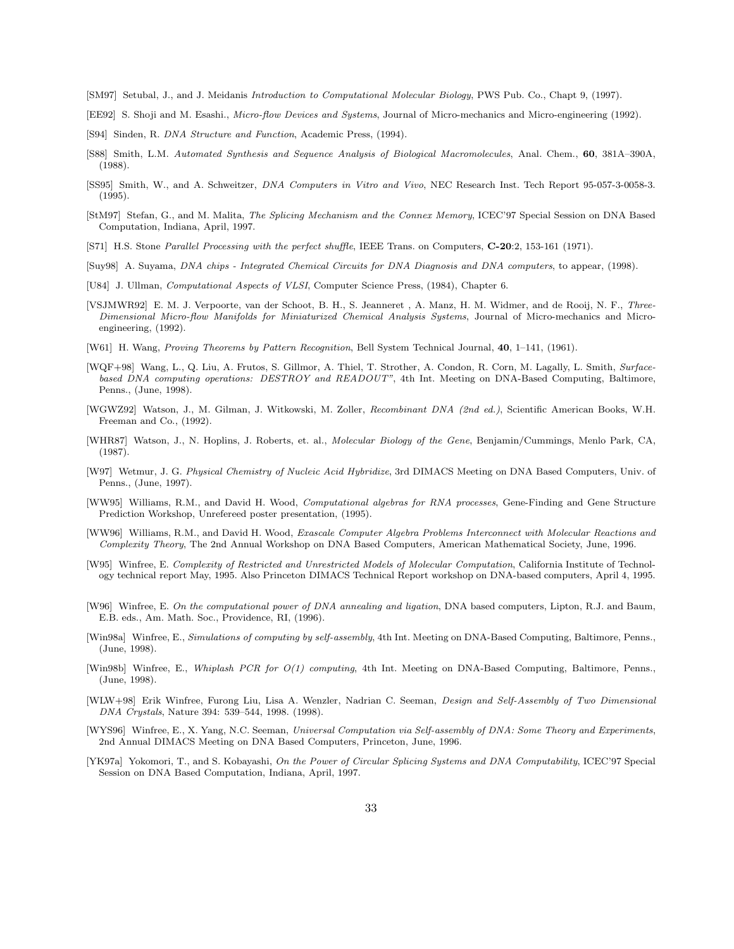- [SM97] Setubal, J., and J. Meidanis Introduction to Computational Molecular Biology, PWS Pub. Co., Chapt 9, (1997).
- [EE92] S. Shoji and M. Esashi., Micro-flow Devices and Systems, Journal of Micro-mechanics and Micro-engineering (1992).
- [S94] Sinden, R. DNA Structure and Function, Academic Press, (1994).
- [S88] Smith, L.M. Automated Synthesis and Sequence Analysis of Biological Macromolecules, Anal. Chem., 60, 381A–390A, (1988).
- [SS95] Smith, W., and A. Schweitzer, DNA Computers in Vitro and Vivo, NEC Research Inst. Tech Report 95-057-3-0058-3. (1995).
- [StM97] Stefan, G., and M. Malita, The Splicing Mechanism and the Connex Memory, ICEC'97 Special Session on DNA Based Computation, Indiana, April, 1997.
- [S71] H.S. Stone Parallel Processing with the perfect shuffle, IEEE Trans. on Computers, C-20:2, 153-161 (1971).
- [Suy98] A. Suyama, DNA chips Integrated Chemical Circuits for DNA Diagnosis and DNA computers, to appear, (1998).
- [U84] J. Ullman, Computational Aspects of VLSI, Computer Science Press, (1984), Chapter 6.
- [VSJMWR92] E. M. J. Verpoorte, van der Schoot, B. H., S. Jeanneret , A. Manz, H. M. Widmer, and de Rooij, N. F., Three-Dimensional Micro-flow Manifolds for Miniaturized Chemical Analysis Systems, Journal of Micro-mechanics and Microengineering, (1992).
- [W61] H. Wang, Proving Theorems by Pattern Recognition, Bell System Technical Journal, 40, 1–141, (1961).
- [WQF+98] Wang, L., Q. Liu, A. Frutos, S. Gillmor, A. Thiel, T. Strother, A. Condon, R. Corn, M. Lagally, L. Smith, Surfacebased DNA computing operations: DESTROY and READOUT", 4th Int. Meeting on DNA-Based Computing, Baltimore, Penns., (June, 1998).
- [WGWZ92] Watson, J., M. Gilman, J. Witkowski, M. Zoller, Recombinant DNA (2nd ed.), Scientific American Books, W.H. Freeman and Co., (1992).
- [WHR87] Watson, J., N. Hoplins, J. Roberts, et. al., Molecular Biology of the Gene, Benjamin/Cummings, Menlo Park, CA, (1987).
- [W97] Wetmur, J. G. Physical Chemistry of Nucleic Acid Hybridize, 3rd DIMACS Meeting on DNA Based Computers, Univ. of Penns., (June, 1997).
- [WW95] Williams, R.M., and David H. Wood, Computational algebras for RNA processes, Gene-Finding and Gene Structure Prediction Workshop, Unrefereed poster presentation, (1995).
- [WW96] Williams, R.M., and David H. Wood, Exascale Computer Algebra Problems Interconnect with Molecular Reactions and Complexity Theory, The 2nd Annual Workshop on DNA Based Computers, American Mathematical Society, June, 1996.
- [W95] Winfree, E. Complexity of Restricted and Unrestricted Models of Molecular Computation, California Institute of Technology technical report May, 1995. Also Princeton DIMACS Technical Report workshop on DNA-based computers, April 4, 1995.
- [W96] Winfree, E. On the computational power of DNA annealing and ligation, DNA based computers, Lipton, R.J. and Baum, E.B. eds., Am. Math. Soc., Providence, RI, (1996).
- [Win98a] Winfree, E., Simulations of computing by self-assembly, 4th Int. Meeting on DNA-Based Computing, Baltimore, Penns., (June, 1998).
- [Win98b] Winfree, E., Whiplash PCR for  $O(1)$  computing, 4th Int. Meeting on DNA-Based Computing, Baltimore, Penns., (June, 1998).
- [WLW+98] Erik Winfree, Furong Liu, Lisa A. Wenzler, Nadrian C. Seeman, Design and Self-Assembly of Two Dimensional DNA Crystals, Nature 394: 539–544, 1998. (1998).
- [WYS96] Winfree, E., X. Yang, N.C. Seeman, Universal Computation via Self-assembly of DNA: Some Theory and Experiments, 2nd Annual DIMACS Meeting on DNA Based Computers, Princeton, June, 1996.
- [YK97a] Yokomori, T., and S. Kobayashi, On the Power of Circular Splicing Systems and DNA Computability, ICEC'97 Special Session on DNA Based Computation, Indiana, April, 1997.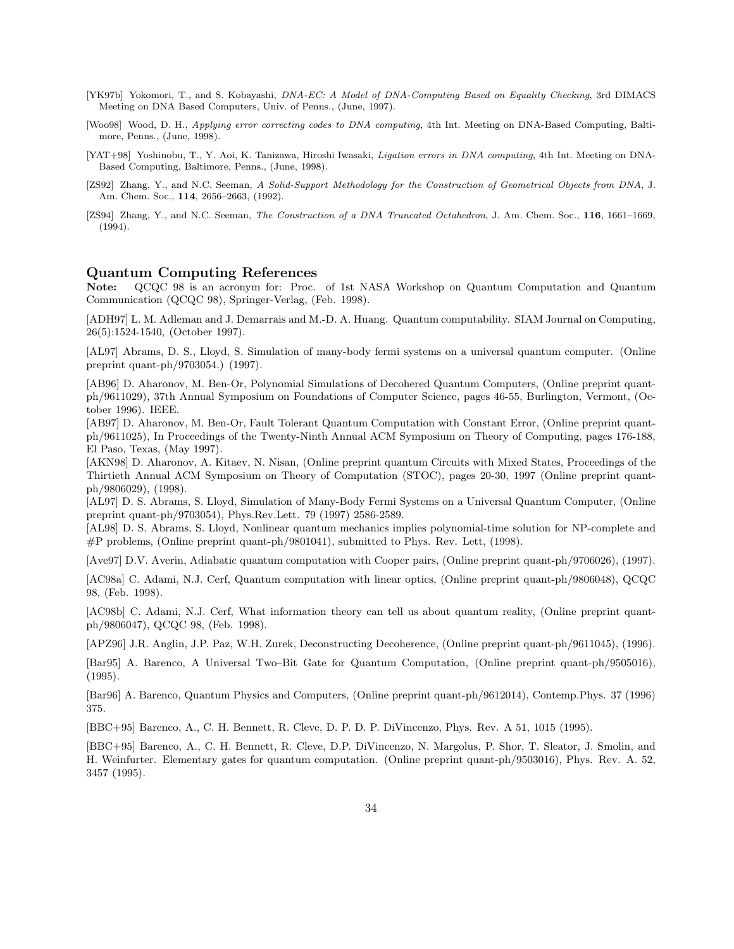- [YK97b] Yokomori, T., and S. Kobayashi, DNA-EC: A Model of DNA-Computing Based on Equality Checking, 3rd DIMACS Meeting on DNA Based Computers, Univ. of Penns., (June, 1997).
- [Woo98] Wood, D. H., Applying error correcting codes to DNA computing, 4th Int. Meeting on DNA-Based Computing, Baltimore, Penns., (June, 1998).
- [YAT+98] Yoshinobu, T., Y. Aoi, K. Tanizawa, Hiroshi Iwasaki, Ligation errors in DNA computing, 4th Int. Meeting on DNA-Based Computing, Baltimore, Penns., (June, 1998).
- [ZS92] Zhang, Y., and N.C. Seeman, A Solid-Support Methodology for the Construction of Geometrical Objects from DNA, J. Am. Chem. Soc., 114, 2656–2663, (1992).
- [ZS94] Zhang, Y., and N.C. Seeman, The Construction of a DNA Truncated Octahedron, J. Am. Chem. Soc., 116, 1661–1669, (1994).

### Quantum Computing References

Note: QCQC 98 is an acronym for: Proc. of 1st NASA Workshop on Quantum Computation and Quantum Communication (QCQC 98), Springer-Verlag, (Feb. 1998).

[ADH97] L. M. Adleman and J. Demarrais and M.-D. A. Huang. Quantum computability. SIAM Journal on Computing, 26(5):1524-1540, (October 1997).

[AL97] Abrams, D. S., Lloyd, S. Simulation of many-body fermi systems on a universal quantum computer. (Online preprint quant-ph/9703054.) (1997).

[AB96] D. Aharonov, M. Ben-Or, Polynomial Simulations of Decohered Quantum Computers, (Online preprint quantph/9611029), 37th Annual Symposium on Foundations of Computer Science, pages 46-55, Burlington, Vermont, (October 1996). IEEE.

[AB97] D. Aharonov, M. Ben-Or, Fault Tolerant Quantum Computation with Constant Error, (Online preprint quantph/9611025), In Proceedings of the Twenty-Ninth Annual ACM Symposium on Theory of Computing, pages 176-188, El Paso, Texas, (May 1997).

[AKN98] D. Aharonov, A. Kitaev, N. Nisan, (Online preprint quantum Circuits with Mixed States, Proceedings of the Thirtieth Annual ACM Symposium on Theory of Computation (STOC), pages 20-30, 1997 (Online preprint quantph/9806029), (1998).

[AL97] D. S. Abrams, S. Lloyd, Simulation of Many-Body Fermi Systems on a Universal Quantum Computer, (Online preprint quant-ph/9703054), Phys.Rev.Lett. 79 (1997) 2586-2589.

[AL98] D. S. Abrams, S. Lloyd, Nonlinear quantum mechanics implies polynomial-time solution for NP-complete and #P problems, (Online preprint quant-ph/9801041), submitted to Phys. Rev. Lett, (1998).

[Ave97] D.V. Averin, Adiabatic quantum computation with Cooper pairs, (Online preprint quant-ph/9706026), (1997).

[AC98a] C. Adami, N.J. Cerf, Quantum computation with linear optics, (Online preprint quant-ph/9806048), QCQC 98, (Feb. 1998).

[AC98b] C. Adami, N.J. Cerf, What information theory can tell us about quantum reality, (Online preprint quantph/9806047), QCQC 98, (Feb. 1998).

[APZ96] J.R. Anglin, J.P. Paz, W.H. Zurek, Deconstructing Decoherence, (Online preprint quant-ph/9611045), (1996).

[Bar95] A. Barenco, A Universal Two–Bit Gate for Quantum Computation, (Online preprint quant-ph/9505016), (1995).

[Bar96] A. Barenco, Quantum Physics and Computers, (Online preprint quant-ph/9612014), Contemp.Phys. 37 (1996) 375.

[BBC+95] Barenco, A., C. H. Bennett, R. Cleve, D. P. D. P. DiVincenzo, Phys. Rev. A 51, 1015 (1995).

[BBC+95] Barenco, A., C. H. Bennett, R. Cleve, D.P. DiVincenzo, N. Margolus, P. Shor, T. Sleator, J. Smolin, and H. Weinfurter. Elementary gates for quantum computation. (Online preprint quant-ph/9503016), Phys. Rev. A. 52, 3457 (1995).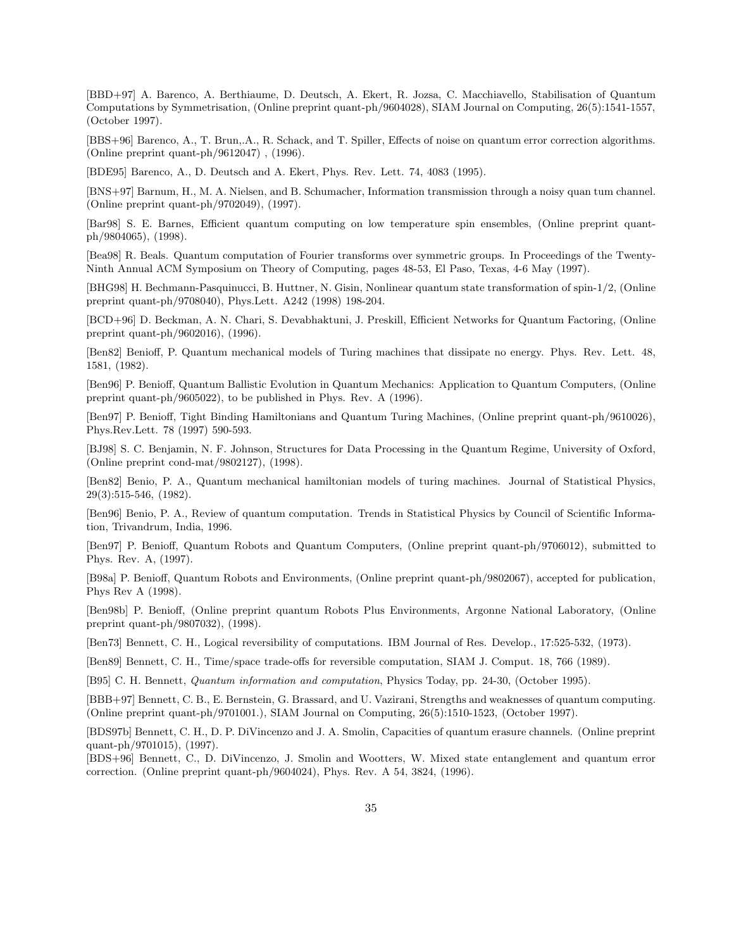[BBD+97] A. Barenco, A. Berthiaume, D. Deutsch, A. Ekert, R. Jozsa, C. Macchiavello, Stabilisation of Quantum Computations by Symmetrisation, (Online preprint quant-ph/9604028), SIAM Journal on Computing, 26(5):1541-1557, (October 1997).

[BBS+96] Barenco, A., T. Brun,.A., R. Schack, and T. Spiller, Effects of noise on quantum error correction algorithms. (Online preprint quant-ph/9612047) , (1996).

[BDE95] Barenco, A., D. Deutsch and A. Ekert, Phys. Rev. Lett. 74, 4083 (1995).

[BNS+97] Barnum, H., M. A. Nielsen, and B. Schumacher, Information transmission through a noisy quan tum channel. (Online preprint quant-ph/9702049), (1997).

[Bar98] S. E. Barnes, Efficient quantum computing on low temperature spin ensembles, (Online preprint quantph/9804065), (1998).

[Bea98] R. Beals. Quantum computation of Fourier transforms over symmetric groups. In Proceedings of the Twenty-Ninth Annual ACM Symposium on Theory of Computing, pages 48-53, El Paso, Texas, 4-6 May (1997).

[BHG98] H. Bechmann-Pasquinucci, B. Huttner, N. Gisin, Nonlinear quantum state transformation of spin-1/2, (Online preprint quant-ph/9708040), Phys.Lett. A242 (1998) 198-204.

[BCD+96] D. Beckman, A. N. Chari, S. Devabhaktuni, J. Preskill, Efficient Networks for Quantum Factoring, (Online preprint quant-ph/9602016), (1996).

[Ben82] Benioff, P. Quantum mechanical models of Turing machines that dissipate no energy. Phys. Rev. Lett. 48, 1581, (1982).

[Ben96] P. Benioff, Quantum Ballistic Evolution in Quantum Mechanics: Application to Quantum Computers, (Online preprint quant-ph/9605022), to be published in Phys. Rev. A (1996).

[Ben97] P. Benioff, Tight Binding Hamiltonians and Quantum Turing Machines, (Online preprint quant-ph/9610026), Phys.Rev.Lett. 78 (1997) 590-593.

[BJ98] S. C. Benjamin, N. F. Johnson, Structures for Data Processing in the Quantum Regime, University of Oxford, (Online preprint cond-mat/9802127), (1998).

[Ben82] Benio, P. A., Quantum mechanical hamiltonian models of turing machines. Journal of Statistical Physics, 29(3):515-546, (1982).

[Ben96] Benio, P. A., Review of quantum computation. Trends in Statistical Physics by Council of Scientific Information, Trivandrum, India, 1996.

[Ben97] P. Benioff, Quantum Robots and Quantum Computers, (Online preprint quant-ph/9706012), submitted to Phys. Rev. A, (1997).

[B98a] P. Benioff, Quantum Robots and Environments, (Online preprint quant-ph/9802067), accepted for publication, Phys Rev A (1998).

[Ben98b] P. Benioff, (Online preprint quantum Robots Plus Environments, Argonne National Laboratory, (Online preprint quant-ph/9807032), (1998).

[Ben73] Bennett, C. H., Logical reversibility of computations. IBM Journal of Res. Develop., 17:525-532, (1973).

[Ben89] Bennett, C. H., Time/space trade-offs for reversible computation, SIAM J. Comput. 18, 766 (1989).

[B95] C. H. Bennett, Quantum information and computation, Physics Today, pp. 24-30, (October 1995).

[BBB+97] Bennett, C. B., E. Bernstein, G. Brassard, and U. Vazirani, Strengths and weaknesses of quantum computing. (Online preprint quant-ph/9701001.), SIAM Journal on Computing, 26(5):1510-1523, (October 1997).

[BDS97b] Bennett, C. H., D. P. DiVincenzo and J. A. Smolin, Capacities of quantum erasure channels. (Online preprint quant-ph/9701015), (1997).

[BDS+96] Bennett, C., D. DiVincenzo, J. Smolin and Wootters, W. Mixed state entanglement and quantum error correction. (Online preprint quant-ph/9604024), Phys. Rev. A 54, 3824, (1996).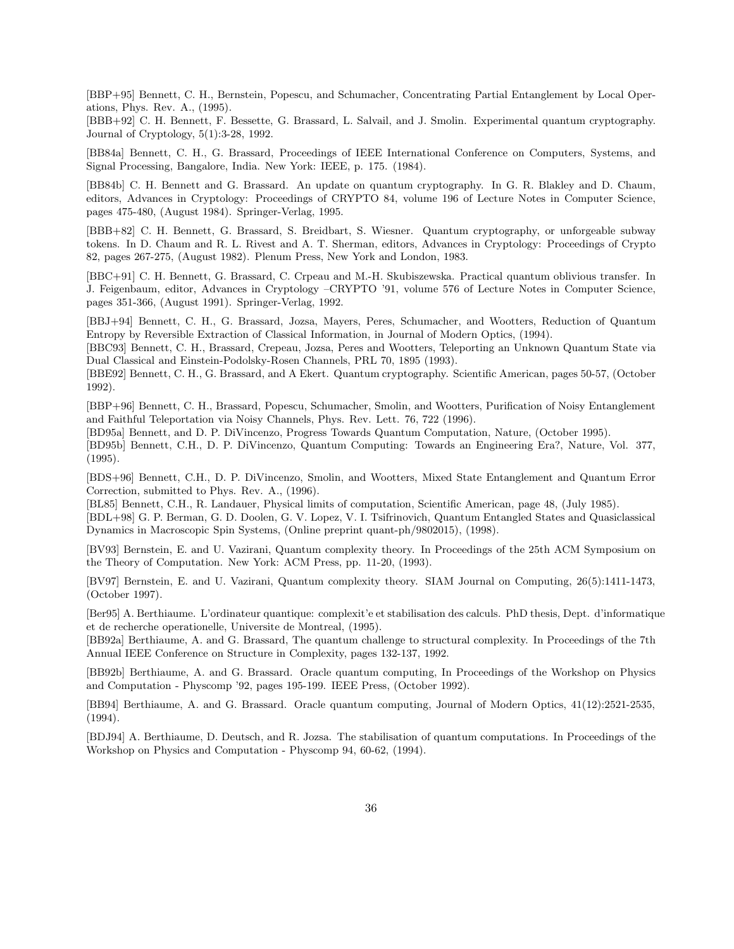[BBP+95] Bennett, C. H., Bernstein, Popescu, and Schumacher, Concentrating Partial Entanglement by Local Operations, Phys. Rev. A., (1995).

[BBB+92] C. H. Bennett, F. Bessette, G. Brassard, L. Salvail, and J. Smolin. Experimental quantum cryptography. Journal of Cryptology, 5(1):3-28, 1992.

[BB84a] Bennett, C. H., G. Brassard, Proceedings of IEEE International Conference on Computers, Systems, and Signal Processing, Bangalore, India. New York: IEEE, p. 175. (1984).

[BB84b] C. H. Bennett and G. Brassard. An update on quantum cryptography. In G. R. Blakley and D. Chaum, editors, Advances in Cryptology: Proceedings of CRYPTO 84, volume 196 of Lecture Notes in Computer Science, pages 475-480, (August 1984). Springer-Verlag, 1995.

[BBB+82] C. H. Bennett, G. Brassard, S. Breidbart, S. Wiesner. Quantum cryptography, or unforgeable subway tokens. In D. Chaum and R. L. Rivest and A. T. Sherman, editors, Advances in Cryptology: Proceedings of Crypto 82, pages 267-275, (August 1982). Plenum Press, New York and London, 1983.

[BBC+91] C. H. Bennett, G. Brassard, C. Crpeau and M.-H. Skubiszewska. Practical quantum oblivious transfer. In J. Feigenbaum, editor, Advances in Cryptology –CRYPTO '91, volume 576 of Lecture Notes in Computer Science, pages 351-366, (August 1991). Springer-Verlag, 1992.

[BBJ+94] Bennett, C. H., G. Brassard, Jozsa, Mayers, Peres, Schumacher, and Wootters, Reduction of Quantum Entropy by Reversible Extraction of Classical Information, in Journal of Modern Optics, (1994).

[BBC93] Bennett, C. H., Brassard, Crepeau, Jozsa, Peres and Wootters, Teleporting an Unknown Quantum State via Dual Classical and Einstein-Podolsky-Rosen Channels, PRL 70, 1895 (1993).

[BBE92] Bennett, C. H., G. Brassard, and A Ekert. Quantum cryptography. Scientific American, pages 50-57, (October 1992).

[BBP+96] Bennett, C. H., Brassard, Popescu, Schumacher, Smolin, and Wootters, Purification of Noisy Entanglement and Faithful Teleportation via Noisy Channels, Phys. Rev. Lett. 76, 722 (1996).

[BD95a] Bennett, and D. P. DiVincenzo, Progress Towards Quantum Computation, Nature, (October 1995).

[BD95b] Bennett, C.H., D. P. DiVincenzo, Quantum Computing: Towards an Engineering Era?, Nature, Vol. 377, (1995).

[BDS+96] Bennett, C.H., D. P. DiVincenzo, Smolin, and Wootters, Mixed State Entanglement and Quantum Error Correction, submitted to Phys. Rev. A., (1996).

[BL85] Bennett, C.H., R. Landauer, Physical limits of computation, Scientific American, page 48, (July 1985).

[BDL+98] G. P. Berman, G. D. Doolen, G. V. Lopez, V. I. Tsifrinovich, Quantum Entangled States and Quasiclassical Dynamics in Macroscopic Spin Systems, (Online preprint quant-ph/9802015), (1998).

[BV93] Bernstein, E. and U. Vazirani, Quantum complexity theory. In Proceedings of the 25th ACM Symposium on the Theory of Computation. New York: ACM Press, pp. 11-20, (1993).

[BV97] Bernstein, E. and U. Vazirani, Quantum complexity theory. SIAM Journal on Computing, 26(5):1411-1473, (October 1997).

[Ber95] A. Berthiaume. L'ordinateur quantique: complexit'e et stabilisation des calculs. PhD thesis, Dept. d'informatique et de recherche operationelle, Universite de Montreal, (1995).

[BB92a] Berthiaume, A. and G. Brassard, The quantum challenge to structural complexity. In Proceedings of the 7th Annual IEEE Conference on Structure in Complexity, pages 132-137, 1992.

[BB92b] Berthiaume, A. and G. Brassard. Oracle quantum computing, In Proceedings of the Workshop on Physics and Computation - Physcomp '92, pages 195-199. IEEE Press, (October 1992).

[BB94] Berthiaume, A. and G. Brassard. Oracle quantum computing, Journal of Modern Optics, 41(12):2521-2535, (1994).

[BDJ94] A. Berthiaume, D. Deutsch, and R. Jozsa. The stabilisation of quantum computations. In Proceedings of the Workshop on Physics and Computation - Physcomp 94, 60-62, (1994).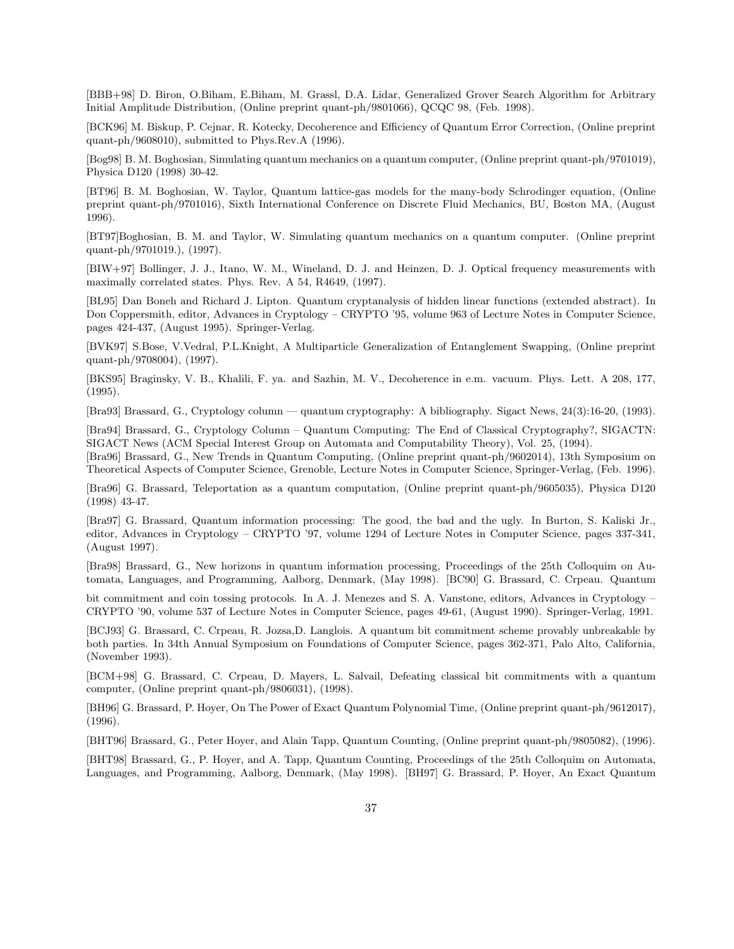[BBB+98] D. Biron, O.Biham, E.Biham, M. Grassl, D.A. Lidar, Generalized Grover Search Algorithm for Arbitrary Initial Amplitude Distribution, (Online preprint quant-ph/9801066), QCQC 98, (Feb. 1998).

[BCK96] M. Biskup, P. Cejnar, R. Kotecky, Decoherence and Efficiency of Quantum Error Correction, (Online preprint quant-ph/9608010), submitted to Phys.Rev.A (1996).

[Bog98] B. M. Boghosian, Simulating quantum mechanics on a quantum computer, (Online preprint quant-ph/9701019), Physica D120 (1998) 30-42.

[BT96] B. M. Boghosian, W. Taylor, Quantum lattice-gas models for the many-body Schrodinger equation, (Online preprint quant-ph/9701016), Sixth International Conference on Discrete Fluid Mechanics, BU, Boston MA, (August 1996).

[BT97]Boghosian, B. M. and Taylor, W. Simulating quantum mechanics on a quantum computer. (Online preprint quant-ph/9701019.), (1997).

[BIW+97] Bollinger, J. J., Itano, W. M., Wineland, D. J. and Heinzen, D. J. Optical frequency measurements with maximally correlated states. Phys. Rev. A 54, R4649, (1997).

[BL95] Dan Boneh and Richard J. Lipton. Quantum cryptanalysis of hidden linear functions (extended abstract). In Don Coppersmith, editor, Advances in Cryptology – CRYPTO '95, volume 963 of Lecture Notes in Computer Science, pages 424-437, (August 1995). Springer-Verlag.

[BVK97] S.Bose, V.Vedral, P.L.Knight, A Multiparticle Generalization of Entanglement Swapping, (Online preprint quant-ph/9708004), (1997).

[BKS95] Braginsky, V. B., Khalili, F. ya. and Sazhin, M. V., Decoherence in e.m. vacuum. Phys. Lett. A 208, 177, (1995).

[Bra93] Brassard, G., Cryptology column — quantum cryptography: A bibliography. Sigact News, 24(3):16-20, (1993).

[Bra94] Brassard, G., Cryptology Column – Quantum Computing: The End of Classical Cryptography?, SIGACTN: SIGACT News (ACM Special Interest Group on Automata and Computability Theory), Vol. 25, (1994).

[Bra96] Brassard, G., New Trends in Quantum Computing, (Online preprint quant-ph/9602014), 13th Symposium on Theoretical Aspects of Computer Science, Grenoble, Lecture Notes in Computer Science, Springer-Verlag, (Feb. 1996).

[Bra96] G. Brassard, Teleportation as a quantum computation, (Online preprint quant-ph/9605035), Physica D120 (1998) 43-47.

[Bra97] G. Brassard, Quantum information processing: The good, the bad and the ugly. In Burton, S. Kaliski Jr., editor, Advances in Cryptology – CRYPTO '97, volume 1294 of Lecture Notes in Computer Science, pages 337-341, (August 1997).

[Bra98] Brassard, G., New horizons in quantum information processing, Proceedings of the 25th Colloquim on Automata, Languages, and Programming, Aalborg, Denmark, (May 1998). [BC90] G. Brassard, C. Crpeau. Quantum

bit commitment and coin tossing protocols. In A. J. Menezes and S. A. Vanstone, editors, Advances in Cryptology – CRYPTO '90, volume 537 of Lecture Notes in Computer Science, pages 49-61, (August 1990). Springer-Verlag, 1991.

[BCJ93] G. Brassard, C. Crpeau, R. Jozsa,D. Langlois. A quantum bit commitment scheme provably unbreakable by both parties. In 34th Annual Symposium on Foundations of Computer Science, pages 362-371, Palo Alto, California, (November 1993).

[BCM+98] G. Brassard, C. Crpeau, D. Mayers, L. Salvail, Defeating classical bit commitments with a quantum computer, (Online preprint quant-ph/9806031), (1998).

[BH96] G. Brassard, P. Hoyer, On The Power of Exact Quantum Polynomial Time, (Online preprint quant-ph/9612017), (1996).

[BHT96] Brassard, G., Peter Hoyer, and Alain Tapp, Quantum Counting, (Online preprint quant-ph/9805082), (1996).

[BHT98] Brassard, G., P. Hoyer, and A. Tapp, Quantum Counting, Proceedings of the 25th Colloquim on Automata, Languages, and Programming, Aalborg, Denmark, (May 1998). [BH97] G. Brassard, P. Hoyer, An Exact Quantum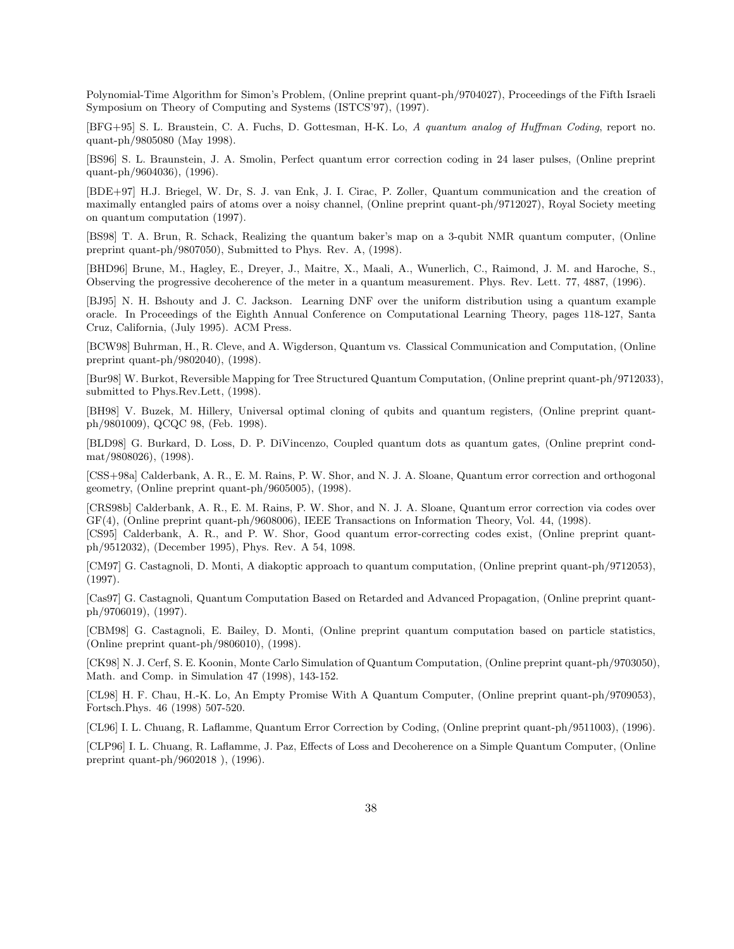Polynomial-Time Algorithm for Simon's Problem, (Online preprint quant-ph/9704027), Proceedings of the Fifth Israeli Symposium on Theory of Computing and Systems (ISTCS'97), (1997).

[BFG+95] S. L. Braustein, C. A. Fuchs, D. Gottesman, H-K. Lo, A quantum analog of Huffman Coding, report no. quant-ph/9805080 (May 1998).

[BS96] S. L. Braunstein, J. A. Smolin, Perfect quantum error correction coding in 24 laser pulses, (Online preprint quant-ph/9604036), (1996).

[BDE+97] H.J. Briegel, W. Dr, S. J. van Enk, J. I. Cirac, P. Zoller, Quantum communication and the creation of maximally entangled pairs of atoms over a noisy channel, (Online preprint quant-ph/9712027), Royal Society meeting on quantum computation (1997).

[BS98] T. A. Brun, R. Schack, Realizing the quantum baker's map on a 3-qubit NMR quantum computer, (Online preprint quant-ph/9807050), Submitted to Phys. Rev. A, (1998).

[BHD96] Brune, M., Hagley, E., Dreyer, J., Maitre, X., Maali, A., Wunerlich, C., Raimond, J. M. and Haroche, S., Observing the progressive decoherence of the meter in a quantum measurement. Phys. Rev. Lett. 77, 4887, (1996).

[BJ95] N. H. Bshouty and J. C. Jackson. Learning DNF over the uniform distribution using a quantum example oracle. In Proceedings of the Eighth Annual Conference on Computational Learning Theory, pages 118-127, Santa Cruz, California, (July 1995). ACM Press.

[BCW98] Buhrman, H., R. Cleve, and A. Wigderson, Quantum vs. Classical Communication and Computation, (Online preprint quant-ph/9802040), (1998).

[Bur98] W. Burkot, Reversible Mapping for Tree Structured Quantum Computation, (Online preprint quant-ph/9712033), submitted to Phys.Rev.Lett, (1998).

[BH98] V. Buzek, M. Hillery, Universal optimal cloning of qubits and quantum registers, (Online preprint quantph/9801009), QCQC 98, (Feb. 1998).

[BLD98] G. Burkard, D. Loss, D. P. DiVincenzo, Coupled quantum dots as quantum gates, (Online preprint condmat/9808026), (1998).

[CSS+98a] Calderbank, A. R., E. M. Rains, P. W. Shor, and N. J. A. Sloane, Quantum error correction and orthogonal geometry, (Online preprint quant-ph/9605005), (1998).

[CRS98b] Calderbank, A. R., E. M. Rains, P. W. Shor, and N. J. A. Sloane, Quantum error correction via codes over GF(4), (Online preprint quant-ph/9608006), IEEE Transactions on Information Theory, Vol. 44, (1998).

[CS95] Calderbank, A. R., and P. W. Shor, Good quantum error-correcting codes exist, (Online preprint quantph/9512032), (December 1995), Phys. Rev. A 54, 1098.

[CM97] G. Castagnoli, D. Monti, A diakoptic approach to quantum computation, (Online preprint quant-ph/9712053), (1997).

[Cas97] G. Castagnoli, Quantum Computation Based on Retarded and Advanced Propagation, (Online preprint quantph/9706019), (1997).

[CBM98] G. Castagnoli, E. Bailey, D. Monti, (Online preprint quantum computation based on particle statistics, (Online preprint quant-ph/9806010), (1998).

[CK98] N. J. Cerf, S. E. Koonin, Monte Carlo Simulation of Quantum Computation, (Online preprint quant-ph/9703050), Math. and Comp. in Simulation 47 (1998), 143-152.

[CL98] H. F. Chau, H.-K. Lo, An Empty Promise With A Quantum Computer, (Online preprint quant-ph/9709053), Fortsch.Phys. 46 (1998) 507-520.

[CL96] I. L. Chuang, R. Laflamme, Quantum Error Correction by Coding, (Online preprint quant-ph/9511003), (1996).

[CLP96] I. L. Chuang, R. Laflamme, J. Paz, Effects of Loss and Decoherence on a Simple Quantum Computer, (Online preprint quant-ph/9602018 ), (1996).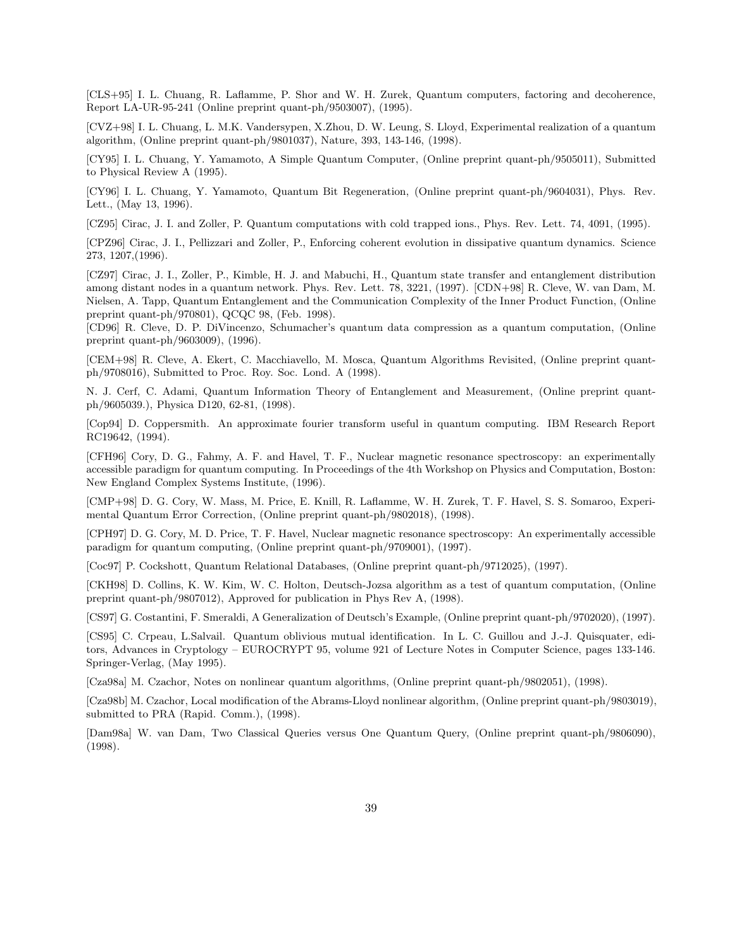[CLS+95] I. L. Chuang, R. Laflamme, P. Shor and W. H. Zurek, Quantum computers, factoring and decoherence, Report LA-UR-95-241 (Online preprint quant-ph/9503007), (1995).

[CVZ+98] I. L. Chuang, L. M.K. Vandersypen, X.Zhou, D. W. Leung, S. Lloyd, Experimental realization of a quantum algorithm, (Online preprint quant-ph/9801037), Nature, 393, 143-146, (1998).

[CY95] I. L. Chuang, Y. Yamamoto, A Simple Quantum Computer, (Online preprint quant-ph/9505011), Submitted to Physical Review A (1995).

[CY96] I. L. Chuang, Y. Yamamoto, Quantum Bit Regeneration, (Online preprint quant-ph/9604031), Phys. Rev. Lett., (May 13, 1996).

[CZ95] Cirac, J. I. and Zoller, P. Quantum computations with cold trapped ions., Phys. Rev. Lett. 74, 4091, (1995).

[CPZ96] Cirac, J. I., Pellizzari and Zoller, P., Enforcing coherent evolution in dissipative quantum dynamics. Science 273, 1207,(1996).

[CZ97] Cirac, J. I., Zoller, P., Kimble, H. J. and Mabuchi, H., Quantum state transfer and entanglement distribution among distant nodes in a quantum network. Phys. Rev. Lett. 78, 3221, (1997). [CDN+98] R. Cleve, W. van Dam, M. Nielsen, A. Tapp, Quantum Entanglement and the Communication Complexity of the Inner Product Function, (Online preprint quant-ph/970801), QCQC 98, (Feb. 1998).

[CD96] R. Cleve, D. P. DiVincenzo, Schumacher's quantum data compression as a quantum computation, (Online preprint quant-ph/9603009), (1996).

[CEM+98] R. Cleve, A. Ekert, C. Macchiavello, M. Mosca, Quantum Algorithms Revisited, (Online preprint quantph/9708016), Submitted to Proc. Roy. Soc. Lond. A (1998).

N. J. Cerf, C. Adami, Quantum Information Theory of Entanglement and Measurement, (Online preprint quantph/9605039.), Physica D120, 62-81, (1998).

[Cop94] D. Coppersmith. An approximate fourier transform useful in quantum computing. IBM Research Report RC19642, (1994).

[CFH96] Cory, D. G., Fahmy, A. F. and Havel, T. F., Nuclear magnetic resonance spectroscopy: an experimentally accessible paradigm for quantum computing. In Proceedings of the 4th Workshop on Physics and Computation, Boston: New England Complex Systems Institute, (1996).

[CMP+98] D. G. Cory, W. Mass, M. Price, E. Knill, R. Laflamme, W. H. Zurek, T. F. Havel, S. S. Somaroo, Experimental Quantum Error Correction, (Online preprint quant-ph/9802018), (1998).

[CPH97] D. G. Cory, M. D. Price, T. F. Havel, Nuclear magnetic resonance spectroscopy: An experimentally accessible paradigm for quantum computing, (Online preprint quant-ph/9709001), (1997).

[Coc97] P. Cockshott, Quantum Relational Databases, (Online preprint quant-ph/9712025), (1997).

[CKH98] D. Collins, K. W. Kim, W. C. Holton, Deutsch-Jozsa algorithm as a test of quantum computation, (Online preprint quant-ph/9807012), Approved for publication in Phys Rev A, (1998).

[CS97] G. Costantini, F. Smeraldi, A Generalization of Deutsch's Example, (Online preprint quant-ph/9702020), (1997).

[CS95] C. Crpeau, L.Salvail. Quantum oblivious mutual identification. In L. C. Guillou and J.-J. Quisquater, editors, Advances in Cryptology – EUROCRYPT 95, volume 921 of Lecture Notes in Computer Science, pages 133-146. Springer-Verlag, (May 1995).

[Cza98a] M. Czachor, Notes on nonlinear quantum algorithms, (Online preprint quant-ph/9802051), (1998).

[Cza98b] M. Czachor, Local modification of the Abrams-Lloyd nonlinear algorithm, (Online preprint quant-ph/9803019), submitted to PRA (Rapid. Comm.), (1998).

[Dam98a] W. van Dam, Two Classical Queries versus One Quantum Query, (Online preprint quant-ph/9806090), (1998).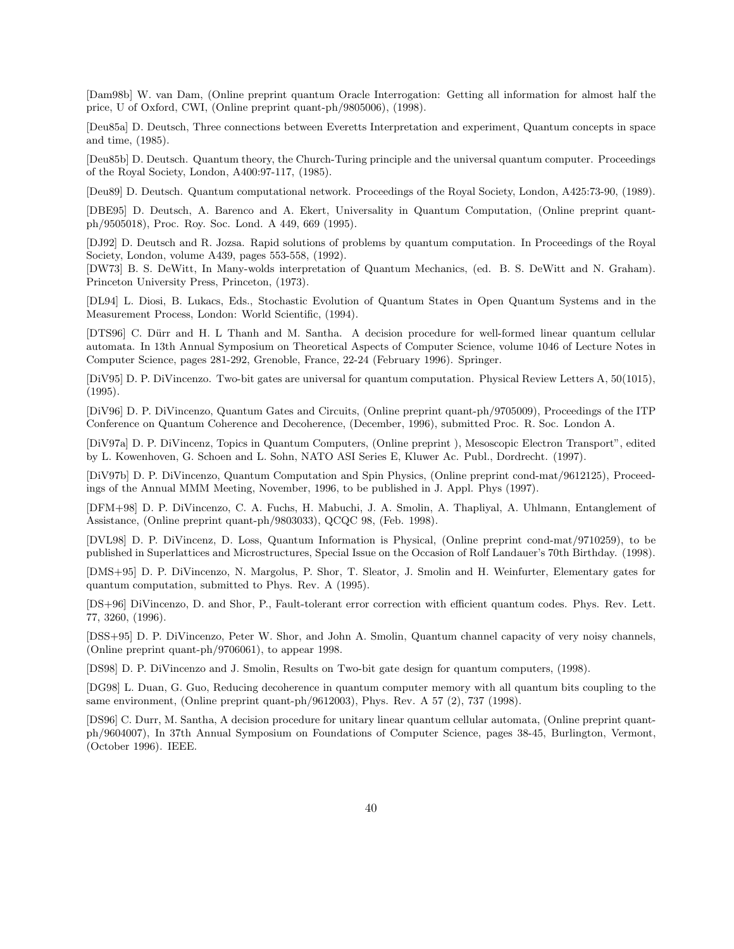[Dam98b] W. van Dam, (Online preprint quantum Oracle Interrogation: Getting all information for almost half the price, U of Oxford, CWI, (Online preprint quant-ph/9805006), (1998).

[Deu85a] D. Deutsch, Three connections between Everetts Interpretation and experiment, Quantum concepts in space and time, (1985).

[Deu85b] D. Deutsch. Quantum theory, the Church-Turing principle and the universal quantum computer. Proceedings of the Royal Society, London, A400:97-117, (1985).

[Deu89] D. Deutsch. Quantum computational network. Proceedings of the Royal Society, London, A425:73-90, (1989).

[DBE95] D. Deutsch, A. Barenco and A. Ekert, Universality in Quantum Computation, (Online preprint quantph/9505018), Proc. Roy. Soc. Lond. A 449, 669 (1995).

[DJ92] D. Deutsch and R. Jozsa. Rapid solutions of problems by quantum computation. In Proceedings of the Royal Society, London, volume A439, pages 553-558, (1992).

[DW73] B. S. DeWitt, In Many-wolds interpretation of Quantum Mechanics, (ed. B. S. DeWitt and N. Graham). Princeton University Press, Princeton, (1973).

[DL94] L. Diosi, B. Lukacs, Eds., Stochastic Evolution of Quantum States in Open Quantum Systems and in the Measurement Process, London: World Scientific, (1994).

[DTS96] C. Dürr and H. L Thanh and M. Santha. A decision procedure for well-formed linear quantum cellular automata. In 13th Annual Symposium on Theoretical Aspects of Computer Science, volume 1046 of Lecture Notes in Computer Science, pages 281-292, Grenoble, France, 22-24 (February 1996). Springer.

[DiV95] D. P. DiVincenzo. Two-bit gates are universal for quantum computation. Physical Review Letters A, 50(1015), (1995).

[DiV96] D. P. DiVincenzo, Quantum Gates and Circuits, (Online preprint quant-ph/9705009), Proceedings of the ITP Conference on Quantum Coherence and Decoherence, (December, 1996), submitted Proc. R. Soc. London A.

[DiV97a] D. P. DiVincenz, Topics in Quantum Computers, (Online preprint ), Mesoscopic Electron Transport", edited by L. Kowenhoven, G. Schoen and L. Sohn, NATO ASI Series E, Kluwer Ac. Publ., Dordrecht. (1997).

[DiV97b] D. P. DiVincenzo, Quantum Computation and Spin Physics, (Online preprint cond-mat/9612125), Proceedings of the Annual MMM Meeting, November, 1996, to be published in J. Appl. Phys (1997).

[DFM+98] D. P. DiVincenzo, C. A. Fuchs, H. Mabuchi, J. A. Smolin, A. Thapliyal, A. Uhlmann, Entanglement of Assistance, (Online preprint quant-ph/9803033), QCQC 98, (Feb. 1998).

[DVL98] D. P. DiVincenz, D. Loss, Quantum Information is Physical, (Online preprint cond-mat/9710259), to be published in Superlattices and Microstructures, Special Issue on the Occasion of Rolf Landauer's 70th Birthday. (1998).

[DMS+95] D. P. DiVincenzo, N. Margolus, P. Shor, T. Sleator, J. Smolin and H. Weinfurter, Elementary gates for quantum computation, submitted to Phys. Rev. A (1995).

[DS+96] DiVincenzo, D. and Shor, P., Fault-tolerant error correction with efficient quantum codes. Phys. Rev. Lett. 77, 3260, (1996).

[DSS+95] D. P. DiVincenzo, Peter W. Shor, and John A. Smolin, Quantum channel capacity of very noisy channels, (Online preprint quant-ph/9706061), to appear 1998.

[DS98] D. P. DiVincenzo and J. Smolin, Results on Two-bit gate design for quantum computers, (1998).

[DG98] L. Duan, G. Guo, Reducing decoherence in quantum computer memory with all quantum bits coupling to the same environment, (Online preprint quant-ph/9612003), Phys. Rev. A 57 (2), 737 (1998).

[DS96] C. Durr, M. Santha, A decision procedure for unitary linear quantum cellular automata, (Online preprint quantph/9604007), In 37th Annual Symposium on Foundations of Computer Science, pages 38-45, Burlington, Vermont, (October 1996). IEEE.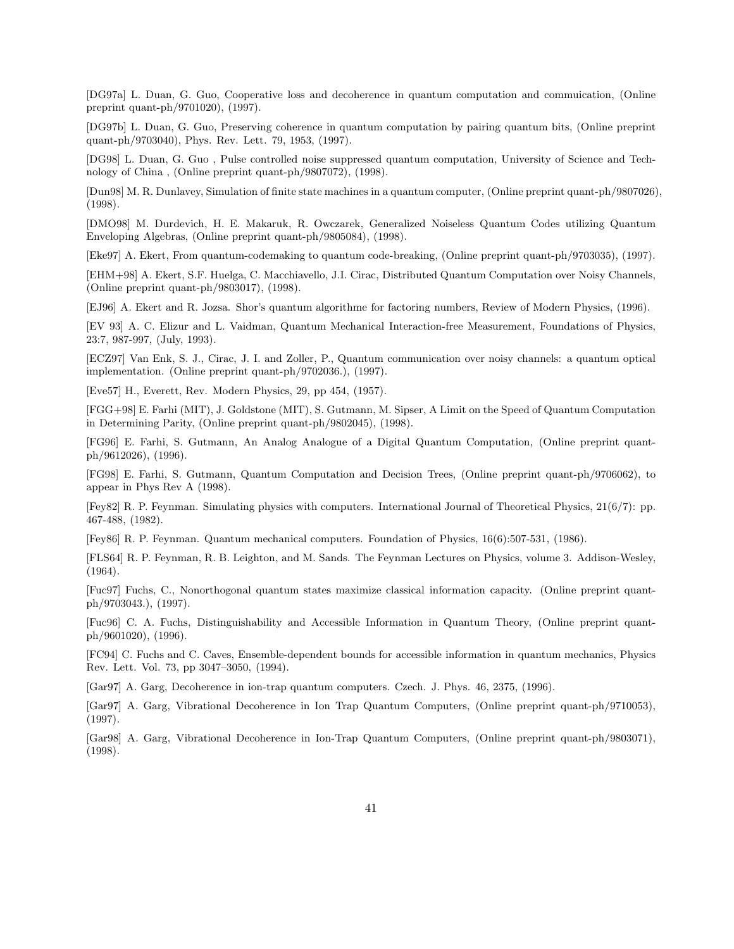[DG97a] L. Duan, G. Guo, Cooperative loss and decoherence in quantum computation and commuication, (Online preprint quant-ph/9701020), (1997).

[DG97b] L. Duan, G. Guo, Preserving coherence in quantum computation by pairing quantum bits, (Online preprint quant-ph/9703040), Phys. Rev. Lett. 79, 1953, (1997).

[DG98] L. Duan, G. Guo , Pulse controlled noise suppressed quantum computation, University of Science and Technology of China , (Online preprint quant-ph/9807072), (1998).

[Dun98] M. R. Dunlavey, Simulation of finite state machines in a quantum computer, (Online preprint quant-ph/9807026), (1998).

[DMO98] M. Durdevich, H. E. Makaruk, R. Owczarek, Generalized Noiseless Quantum Codes utilizing Quantum Enveloping Algebras, (Online preprint quant-ph/9805084), (1998).

[Eke97] A. Ekert, From quantum-codemaking to quantum code-breaking, (Online preprint quant-ph/9703035), (1997).

[EHM+98] A. Ekert, S.F. Huelga, C. Macchiavello, J.I. Cirac, Distributed Quantum Computation over Noisy Channels, (Online preprint quant-ph/9803017), (1998).

[EJ96] A. Ekert and R. Jozsa. Shor's quantum algorithme for factoring numbers, Review of Modern Physics, (1996).

[EV 93] A. C. Elizur and L. Vaidman, Quantum Mechanical Interaction-free Measurement, Foundations of Physics, 23:7, 987-997, (July, 1993).

[ECZ97] Van Enk, S. J., Cirac, J. I. and Zoller, P., Quantum communication over noisy channels: a quantum optical implementation. (Online preprint quant-ph/9702036.), (1997).

[Eve57] H., Everett, Rev. Modern Physics, 29, pp 454, (1957).

[FGG+98] E. Farhi (MIT), J. Goldstone (MIT), S. Gutmann, M. Sipser, A Limit on the Speed of Quantum Computation in Determining Parity, (Online preprint quant-ph/9802045), (1998).

[FG96] E. Farhi, S. Gutmann, An Analog Analogue of a Digital Quantum Computation, (Online preprint quantph/9612026), (1996).

[FG98] E. Farhi, S. Gutmann, Quantum Computation and Decision Trees, (Online preprint quant-ph/9706062), to appear in Phys Rev A (1998).

[Fey82] R. P. Feynman. Simulating physics with computers. International Journal of Theoretical Physics, 21(6/7): pp. 467-488, (1982).

[Fey86] R. P. Feynman. Quantum mechanical computers. Foundation of Physics, 16(6):507-531, (1986).

[FLS64] R. P. Feynman, R. B. Leighton, and M. Sands. The Feynman Lectures on Physics, volume 3. Addison-Wesley, (1964).

[Fuc97] Fuchs, C., Nonorthogonal quantum states maximize classical information capacity. (Online preprint quantph/9703043.), (1997).

[Fuc96] C. A. Fuchs, Distinguishability and Accessible Information in Quantum Theory, (Online preprint quantph/9601020), (1996).

[FC94] C. Fuchs and C. Caves, Ensemble-dependent bounds for accessible information in quantum mechanics, Physics Rev. Lett. Vol. 73, pp 3047–3050, (1994).

[Gar97] A. Garg, Decoherence in ion-trap quantum computers. Czech. J. Phys. 46, 2375, (1996).

[Gar97] A. Garg, Vibrational Decoherence in Ion Trap Quantum Computers, (Online preprint quant-ph/9710053), (1997).

[Gar98] A. Garg, Vibrational Decoherence in Ion-Trap Quantum Computers, (Online preprint quant-ph/9803071), (1998).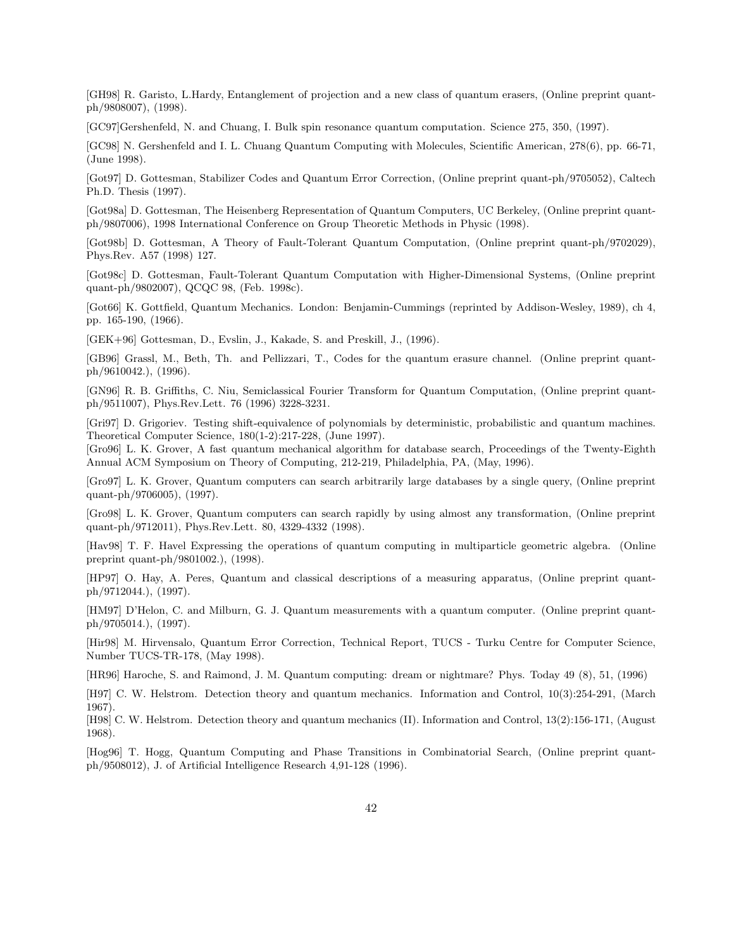[GH98] R. Garisto, L.Hardy, Entanglement of projection and a new class of quantum erasers, (Online preprint quantph/9808007), (1998).

[GC97]Gershenfeld, N. and Chuang, I. Bulk spin resonance quantum computation. Science 275, 350, (1997).

[GC98] N. Gershenfeld and I. L. Chuang Quantum Computing with Molecules, Scientific American, 278(6), pp. 66-71, (June 1998).

[Got97] D. Gottesman, Stabilizer Codes and Quantum Error Correction, (Online preprint quant-ph/9705052), Caltech Ph.D. Thesis (1997).

[Got98a] D. Gottesman, The Heisenberg Representation of Quantum Computers, UC Berkeley, (Online preprint quantph/9807006), 1998 International Conference on Group Theoretic Methods in Physic (1998).

[Got98b] D. Gottesman, A Theory of Fault-Tolerant Quantum Computation, (Online preprint quant-ph/9702029), Phys.Rev. A57 (1998) 127.

[Got98c] D. Gottesman, Fault-Tolerant Quantum Computation with Higher-Dimensional Systems, (Online preprint quant-ph/9802007), QCQC 98, (Feb. 1998c).

[Got66] K. Gottfield, Quantum Mechanics. London: Benjamin-Cummings (reprinted by Addison-Wesley, 1989), ch 4, pp. 165-190, (1966).

[GEK+96] Gottesman, D., Evslin, J., Kakade, S. and Preskill, J., (1996).

[GB96] Grassl, M., Beth, Th. and Pellizzari, T., Codes for the quantum erasure channel. (Online preprint quantph/9610042.), (1996).

[GN96] R. B. Griffiths, C. Niu, Semiclassical Fourier Transform for Quantum Computation, (Online preprint quantph/9511007), Phys.Rev.Lett. 76 (1996) 3228-3231.

[Gri97] D. Grigoriev. Testing shift-equivalence of polynomials by deterministic, probabilistic and quantum machines. Theoretical Computer Science, 180(1-2):217-228, (June 1997).

[Gro96] L. K. Grover, A fast quantum mechanical algorithm for database search, Proceedings of the Twenty-Eighth Annual ACM Symposium on Theory of Computing, 212-219, Philadelphia, PA, (May, 1996).

[Gro97] L. K. Grover, Quantum computers can search arbitrarily large databases by a single query, (Online preprint quant-ph/9706005), (1997).

[Gro98] L. K. Grover, Quantum computers can search rapidly by using almost any transformation, (Online preprint quant-ph/9712011), Phys.Rev.Lett. 80, 4329-4332 (1998).

[Hav98] T. F. Havel Expressing the operations of quantum computing in multiparticle geometric algebra. (Online preprint quant-ph/9801002.), (1998).

[HP97] O. Hay, A. Peres, Quantum and classical descriptions of a measuring apparatus, (Online preprint quantph/9712044.), (1997).

[HM97] D'Helon, C. and Milburn, G. J. Quantum measurements with a quantum computer. (Online preprint quantph/9705014.), (1997).

[Hir98] M. Hirvensalo, Quantum Error Correction, Technical Report, TUCS - Turku Centre for Computer Science, Number TUCS-TR-178, (May 1998).

[HR96] Haroche, S. and Raimond, J. M. Quantum computing: dream or nightmare? Phys. Today 49 (8), 51, (1996)

[H97] C. W. Helstrom. Detection theory and quantum mechanics. Information and Control, 10(3):254-291, (March 1967).

[H98] C. W. Helstrom. Detection theory and quantum mechanics (II). Information and Control, 13(2):156-171, (August 1968).

[Hog96] T. Hogg, Quantum Computing and Phase Transitions in Combinatorial Search, (Online preprint quantph/9508012), J. of Artificial Intelligence Research 4,91-128 (1996).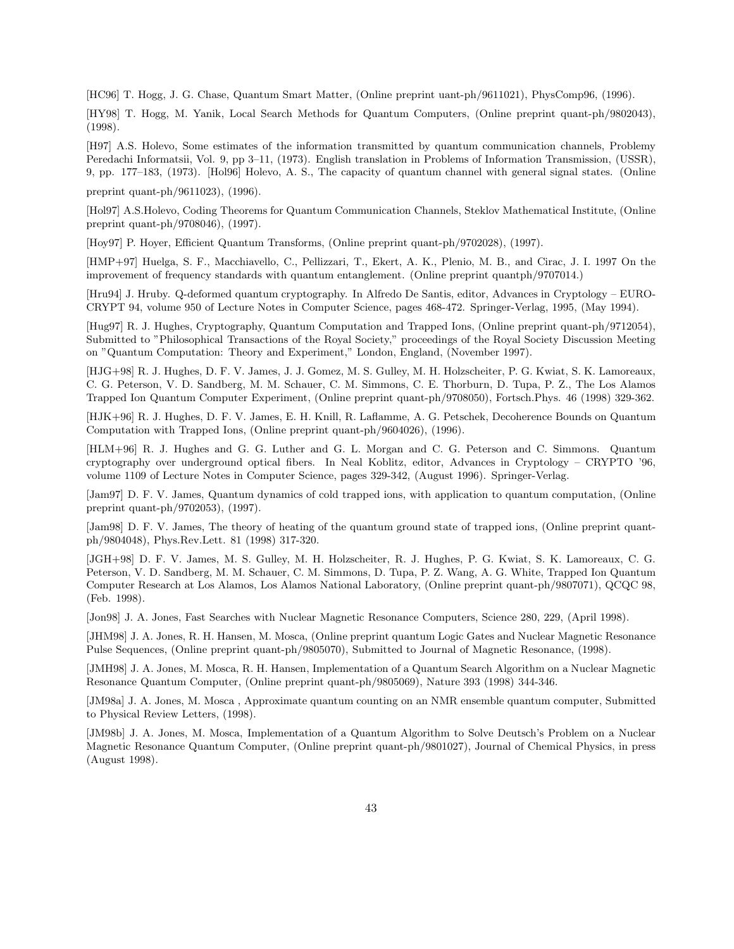[HC96] T. Hogg, J. G. Chase, Quantum Smart Matter, (Online preprint uant-ph/9611021), PhysComp96, (1996).

[HY98] T. Hogg, M. Yanik, Local Search Methods for Quantum Computers, (Online preprint quant-ph/9802043), (1998).

[H97] A.S. Holevo, Some estimates of the information transmitted by quantum communication channels, Problemy Peredachi Informatsii, Vol. 9, pp 3–11, (1973). English translation in Problems of Information Transmission, (USSR), 9, pp. 177–183, (1973). [Hol96] Holevo, A. S., The capacity of quantum channel with general signal states. (Online

preprint quant-ph/9611023), (1996).

[Hol97] A.S.Holevo, Coding Theorems for Quantum Communication Channels, Steklov Mathematical Institute, (Online preprint quant-ph/9708046), (1997).

[Hoy97] P. Hoyer, Efficient Quantum Transforms, (Online preprint quant-ph/9702028), (1997).

[HMP+97] Huelga, S. F., Macchiavello, C., Pellizzari, T., Ekert, A. K., Plenio, M. B., and Cirac, J. I. 1997 On the improvement of frequency standards with quantum entanglement. (Online preprint quantph/9707014.)

[Hru94] J. Hruby. Q-deformed quantum cryptography. In Alfredo De Santis, editor, Advances in Cryptology – EURO-CRYPT 94, volume 950 of Lecture Notes in Computer Science, pages 468-472. Springer-Verlag, 1995, (May 1994).

[Hug97] R. J. Hughes, Cryptography, Quantum Computation and Trapped Ions, (Online preprint quant-ph/9712054), Submitted to "Philosophical Transactions of the Royal Society," proceedings of the Royal Society Discussion Meeting on "Quantum Computation: Theory and Experiment," London, England, (November 1997).

[HJG+98] R. J. Hughes, D. F. V. James, J. J. Gomez, M. S. Gulley, M. H. Holzscheiter, P. G. Kwiat, S. K. Lamoreaux, C. G. Peterson, V. D. Sandberg, M. M. Schauer, C. M. Simmons, C. E. Thorburn, D. Tupa, P. Z., The Los Alamos Trapped Ion Quantum Computer Experiment, (Online preprint quant-ph/9708050), Fortsch.Phys. 46 (1998) 329-362.

[HJK+96] R. J. Hughes, D. F. V. James, E. H. Knill, R. Laflamme, A. G. Petschek, Decoherence Bounds on Quantum Computation with Trapped Ions, (Online preprint quant-ph/9604026), (1996).

[HLM+96] R. J. Hughes and G. G. Luther and G. L. Morgan and C. G. Peterson and C. Simmons. Quantum cryptography over underground optical fibers. In Neal Koblitz, editor, Advances in Cryptology – CRYPTO '96, volume 1109 of Lecture Notes in Computer Science, pages 329-342, (August 1996). Springer-Verlag.

[Jam97] D. F. V. James, Quantum dynamics of cold trapped ions, with application to quantum computation, (Online preprint quant-ph/9702053), (1997).

[Jam98] D. F. V. James, The theory of heating of the quantum ground state of trapped ions, (Online preprint quantph/9804048), Phys.Rev.Lett. 81 (1998) 317-320.

[JGH+98] D. F. V. James, M. S. Gulley, M. H. Holzscheiter, R. J. Hughes, P. G. Kwiat, S. K. Lamoreaux, C. G. Peterson, V. D. Sandberg, M. M. Schauer, C. M. Simmons, D. Tupa, P. Z. Wang, A. G. White, Trapped Ion Quantum Computer Research at Los Alamos, Los Alamos National Laboratory, (Online preprint quant-ph/9807071), QCQC 98, (Feb. 1998).

[Jon98] J. A. Jones, Fast Searches with Nuclear Magnetic Resonance Computers, Science 280, 229, (April 1998).

[JHM98] J. A. Jones, R. H. Hansen, M. Mosca, (Online preprint quantum Logic Gates and Nuclear Magnetic Resonance Pulse Sequences, (Online preprint quant-ph/9805070), Submitted to Journal of Magnetic Resonance, (1998).

[JMH98] J. A. Jones, M. Mosca, R. H. Hansen, Implementation of a Quantum Search Algorithm on a Nuclear Magnetic Resonance Quantum Computer, (Online preprint quant-ph/9805069), Nature 393 (1998) 344-346.

[JM98a] J. A. Jones, M. Mosca , Approximate quantum counting on an NMR ensemble quantum computer, Submitted to Physical Review Letters, (1998).

[JM98b] J. A. Jones, M. Mosca, Implementation of a Quantum Algorithm to Solve Deutsch's Problem on a Nuclear Magnetic Resonance Quantum Computer, (Online preprint quant-ph/9801027), Journal of Chemical Physics, in press (August 1998).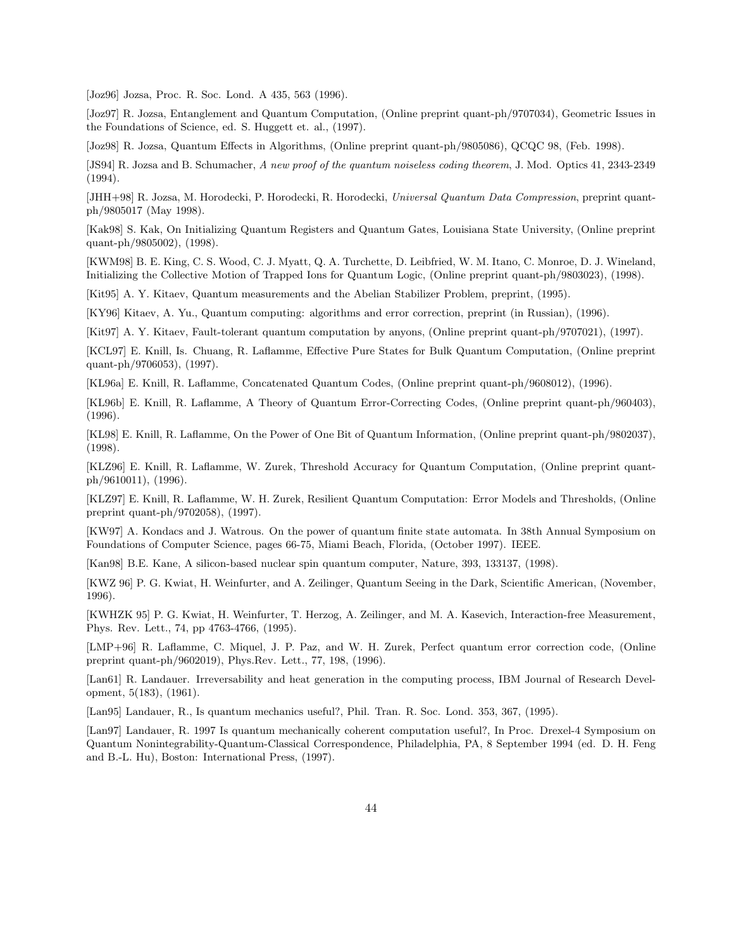[Joz96] Jozsa, Proc. R. Soc. Lond. A 435, 563 (1996).

[Joz97] R. Jozsa, Entanglement and Quantum Computation, (Online preprint quant-ph/9707034), Geometric Issues in the Foundations of Science, ed. S. Huggett et. al., (1997).

[Joz98] R. Jozsa, Quantum Effects in Algorithms, (Online preprint quant-ph/9805086), QCQC 98, (Feb. 1998).

[JS94] R. Jozsa and B. Schumacher, A new proof of the quantum noiseless coding theorem, J. Mod. Optics 41, 2343-2349 (1994).

[JHH+98] R. Jozsa, M. Horodecki, P. Horodecki, R. Horodecki, Universal Quantum Data Compression, preprint quantph/9805017 (May 1998).

[Kak98] S. Kak, On Initializing Quantum Registers and Quantum Gates, Louisiana State University, (Online preprint quant-ph/9805002), (1998).

[KWM98] B. E. King, C. S. Wood, C. J. Myatt, Q. A. Turchette, D. Leibfried, W. M. Itano, C. Monroe, D. J. Wineland, Initializing the Collective Motion of Trapped Ions for Quantum Logic, (Online preprint quant-ph/9803023), (1998).

[Kit95] A. Y. Kitaev, Quantum measurements and the Abelian Stabilizer Problem, preprint, (1995).

[KY96] Kitaev, A. Yu., Quantum computing: algorithms and error correction, preprint (in Russian), (1996).

[Kit97] A. Y. Kitaev, Fault-tolerant quantum computation by anyons, (Online preprint quant-ph/9707021), (1997).

[KCL97] E. Knill, Is. Chuang, R. Laflamme, Effective Pure States for Bulk Quantum Computation, (Online preprint quant-ph/9706053), (1997).

[KL96a] E. Knill, R. Laflamme, Concatenated Quantum Codes, (Online preprint quant-ph/9608012), (1996).

[KL96b] E. Knill, R. Laflamme, A Theory of Quantum Error-Correcting Codes, (Online preprint quant-ph/960403), (1996).

[KL98] E. Knill, R. Laflamme, On the Power of One Bit of Quantum Information, (Online preprint quant-ph/9802037), (1998).

[KLZ96] E. Knill, R. Laflamme, W. Zurek, Threshold Accuracy for Quantum Computation, (Online preprint quantph/9610011), (1996).

[KLZ97] E. Knill, R. Laflamme, W. H. Zurek, Resilient Quantum Computation: Error Models and Thresholds, (Online preprint quant-ph/9702058), (1997).

[KW97] A. Kondacs and J. Watrous. On the power of quantum finite state automata. In 38th Annual Symposium on Foundations of Computer Science, pages 66-75, Miami Beach, Florida, (October 1997). IEEE.

[Kan98] B.E. Kane, A silicon-based nuclear spin quantum computer, Nature, 393, 133137, (1998).

[KWZ 96] P. G. Kwiat, H. Weinfurter, and A. Zeilinger, Quantum Seeing in the Dark, Scientific American, (November, 1996).

[KWHZK 95] P. G. Kwiat, H. Weinfurter, T. Herzog, A. Zeilinger, and M. A. Kasevich, Interaction-free Measurement, Phys. Rev. Lett., 74, pp 4763-4766, (1995).

[LMP+96] R. Laflamme, C. Miquel, J. P. Paz, and W. H. Zurek, Perfect quantum error correction code, (Online preprint quant-ph/9602019), Phys.Rev. Lett., 77, 198, (1996).

[Lan61] R. Landauer. Irreversability and heat generation in the computing process, IBM Journal of Research Development, 5(183), (1961).

[Lan95] Landauer, R., Is quantum mechanics useful?, Phil. Tran. R. Soc. Lond. 353, 367, (1995).

[Lan97] Landauer, R. 1997 Is quantum mechanically coherent computation useful?, In Proc. Drexel-4 Symposium on Quantum Nonintegrability-Quantum-Classical Correspondence, Philadelphia, PA, 8 September 1994 (ed. D. H. Feng and B.-L. Hu), Boston: International Press, (1997).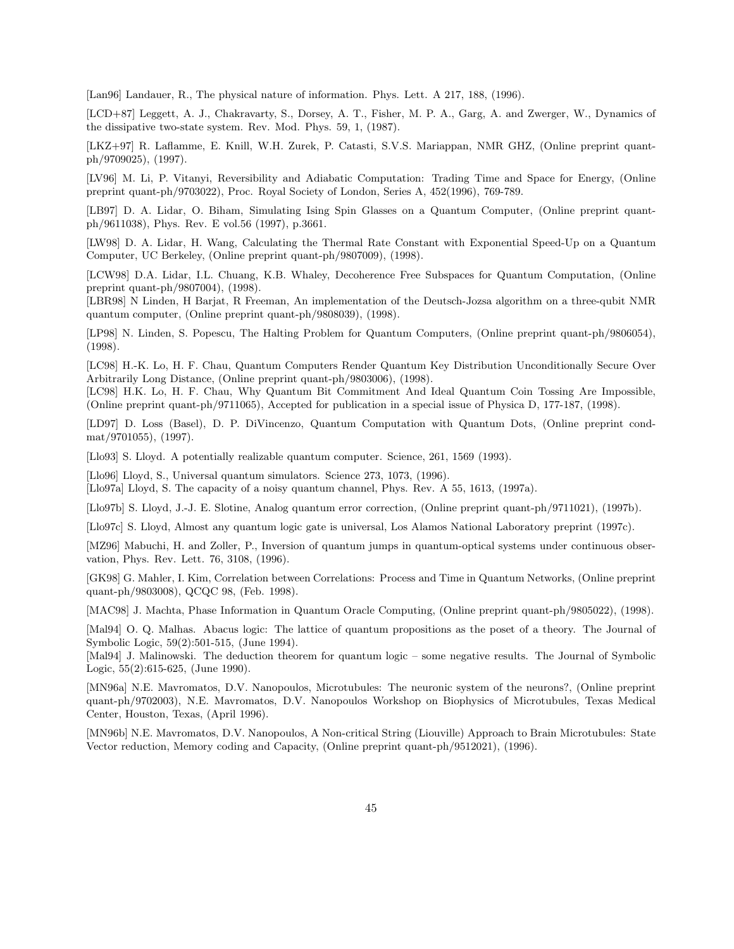[Lan96] Landauer, R., The physical nature of information. Phys. Lett. A 217, 188, (1996).

[LCD+87] Leggett, A. J., Chakravarty, S., Dorsey, A. T., Fisher, M. P. A., Garg, A. and Zwerger, W., Dynamics of the dissipative two-state system. Rev. Mod. Phys. 59, 1, (1987).

[LKZ+97] R. Laflamme, E. Knill, W.H. Zurek, P. Catasti, S.V.S. Mariappan, NMR GHZ, (Online preprint quantph/9709025), (1997).

[LV96] M. Li, P. Vitanyi, Reversibility and Adiabatic Computation: Trading Time and Space for Energy, (Online preprint quant-ph/9703022), Proc. Royal Society of London, Series A, 452(1996), 769-789.

[LB97] D. A. Lidar, O. Biham, Simulating Ising Spin Glasses on a Quantum Computer, (Online preprint quantph/9611038), Phys. Rev. E vol.56 (1997), p.3661.

[LW98] D. A. Lidar, H. Wang, Calculating the Thermal Rate Constant with Exponential Speed-Up on a Quantum Computer, UC Berkeley, (Online preprint quant-ph/9807009), (1998).

[LCW98] D.A. Lidar, I.L. Chuang, K.B. Whaley, Decoherence Free Subspaces for Quantum Computation, (Online preprint quant-ph/9807004), (1998).

[LBR98] N Linden, H Barjat, R Freeman, An implementation of the Deutsch-Jozsa algorithm on a three-qubit NMR quantum computer, (Online preprint quant-ph/9808039), (1998).

[LP98] N. Linden, S. Popescu, The Halting Problem for Quantum Computers, (Online preprint quant-ph/9806054), (1998).

[LC98] H.-K. Lo, H. F. Chau, Quantum Computers Render Quantum Key Distribution Unconditionally Secure Over Arbitrarily Long Distance, (Online preprint quant-ph/9803006), (1998).

[LC98] H.K. Lo, H. F. Chau, Why Quantum Bit Commitment And Ideal Quantum Coin Tossing Are Impossible, (Online preprint quant-ph/9711065), Accepted for publication in a special issue of Physica D, 177-187, (1998).

[LD97] D. Loss (Basel), D. P. DiVincenzo, Quantum Computation with Quantum Dots, (Online preprint condmat/9701055), (1997).

[Llo93] S. Lloyd. A potentially realizable quantum computer. Science, 261, 1569 (1993).

[Llo96] Lloyd, S., Universal quantum simulators. Science 273, 1073, (1996).

[Llo97a] Lloyd, S. The capacity of a noisy quantum channel, Phys. Rev. A 55, 1613, (1997a).

[Llo97b] S. Lloyd, J.-J. E. Slotine, Analog quantum error correction, (Online preprint quant-ph/9711021), (1997b).

[Llo97c] S. Lloyd, Almost any quantum logic gate is universal, Los Alamos National Laboratory preprint (1997c).

[MZ96] Mabuchi, H. and Zoller, P., Inversion of quantum jumps in quantum-optical systems under continuous observation, Phys. Rev. Lett. 76, 3108, (1996).

[GK98] G. Mahler, I. Kim, Correlation between Correlations: Process and Time in Quantum Networks, (Online preprint quant-ph/9803008), QCQC 98, (Feb. 1998).

[MAC98] J. Machta, Phase Information in Quantum Oracle Computing, (Online preprint quant-ph/9805022), (1998).

[Mal94] O. Q. Malhas. Abacus logic: The lattice of quantum propositions as the poset of a theory. The Journal of Symbolic Logic, 59(2):501-515, (June 1994).

[Mal94] J. Malinowski. The deduction theorem for quantum logic – some negative results. The Journal of Symbolic Logic, 55(2):615-625, (June 1990).

[MN96a] N.E. Mavromatos, D.V. Nanopoulos, Microtubules: The neuronic system of the neurons?, (Online preprint quant-ph/9702003), N.E. Mavromatos, D.V. Nanopoulos Workshop on Biophysics of Microtubules, Texas Medical Center, Houston, Texas, (April 1996).

[MN96b] N.E. Mavromatos, D.V. Nanopoulos, A Non-critical String (Liouville) Approach to Brain Microtubules: State Vector reduction, Memory coding and Capacity, (Online preprint quant-ph/9512021), (1996).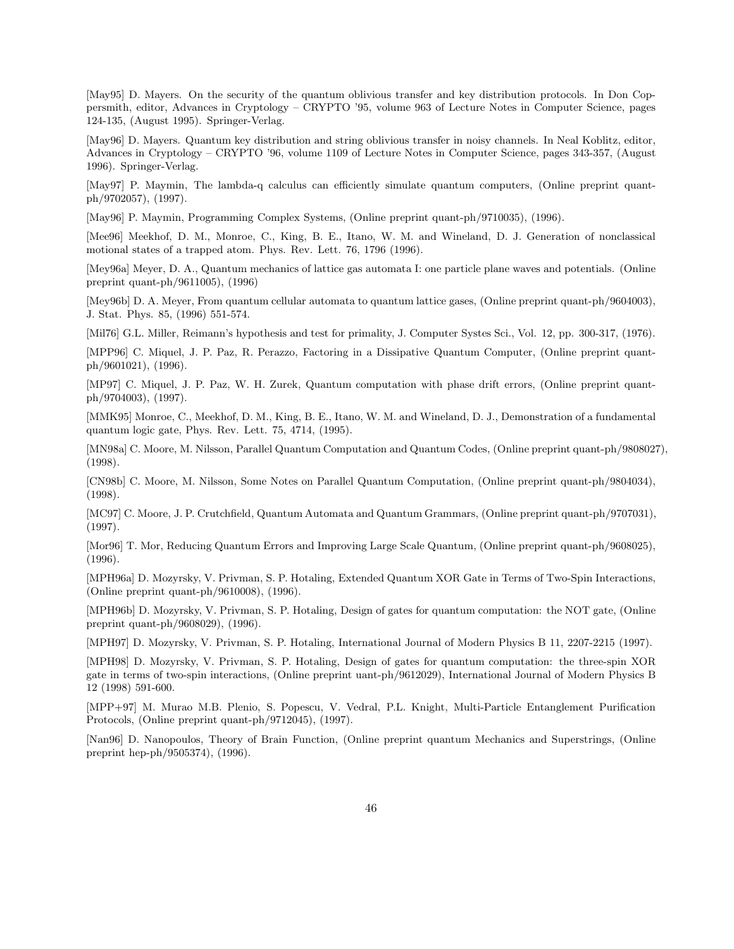[May95] D. Mayers. On the security of the quantum oblivious transfer and key distribution protocols. In Don Coppersmith, editor, Advances in Cryptology – CRYPTO '95, volume 963 of Lecture Notes in Computer Science, pages 124-135, (August 1995). Springer-Verlag.

[May96] D. Mayers. Quantum key distribution and string oblivious transfer in noisy channels. In Neal Koblitz, editor, Advances in Cryptology – CRYPTO '96, volume 1109 of Lecture Notes in Computer Science, pages 343-357, (August 1996). Springer-Verlag.

[May97] P. Maymin, The lambda-q calculus can efficiently simulate quantum computers, (Online preprint quantph/9702057), (1997).

[May96] P. Maymin, Programming Complex Systems, (Online preprint quant-ph/9710035), (1996).

[Mee96] Meekhof, D. M., Monroe, C., King, B. E., Itano, W. M. and Wineland, D. J. Generation of nonclassical motional states of a trapped atom. Phys. Rev. Lett. 76, 1796 (1996).

[Mey96a] Meyer, D. A., Quantum mechanics of lattice gas automata I: one particle plane waves and potentials. (Online preprint quant-ph/9611005), (1996)

[Mey96b] D. A. Meyer, From quantum cellular automata to quantum lattice gases, (Online preprint quant-ph/9604003), J. Stat. Phys. 85, (1996) 551-574.

[Mil76] G.L. Miller, Reimann's hypothesis and test for primality, J. Computer Systes Sci., Vol. 12, pp. 300-317, (1976).

[MPP96] C. Miquel, J. P. Paz, R. Perazzo, Factoring in a Dissipative Quantum Computer, (Online preprint quantph/9601021), (1996).

[MP97] C. Miquel, J. P. Paz, W. H. Zurek, Quantum computation with phase drift errors, (Online preprint quantph/9704003), (1997).

[MMK95] Monroe, C., Meekhof, D. M., King, B. E., Itano, W. M. and Wineland, D. J., Demonstration of a fundamental quantum logic gate, Phys. Rev. Lett. 75, 4714, (1995).

[MN98a] C. Moore, M. Nilsson, Parallel Quantum Computation and Quantum Codes, (Online preprint quant-ph/9808027), (1998).

[CN98b] C. Moore, M. Nilsson, Some Notes on Parallel Quantum Computation, (Online preprint quant-ph/9804034), (1998).

[MC97] C. Moore, J. P. Crutchfield, Quantum Automata and Quantum Grammars, (Online preprint quant-ph/9707031), (1997).

[Mor96] T. Mor, Reducing Quantum Errors and Improving Large Scale Quantum, (Online preprint quant-ph/9608025), (1996).

[MPH96a] D. Mozyrsky, V. Privman, S. P. Hotaling, Extended Quantum XOR Gate in Terms of Two-Spin Interactions, (Online preprint quant-ph/9610008), (1996).

[MPH96b] D. Mozyrsky, V. Privman, S. P. Hotaling, Design of gates for quantum computation: the NOT gate, (Online preprint quant-ph/9608029), (1996).

[MPH97] D. Mozyrsky, V. Privman, S. P. Hotaling, International Journal of Modern Physics B 11, 2207-2215 (1997).

[MPH98] D. Mozyrsky, V. Privman, S. P. Hotaling, Design of gates for quantum computation: the three-spin XOR gate in terms of two-spin interactions, (Online preprint uant-ph/9612029), International Journal of Modern Physics B 12 (1998) 591-600.

[MPP+97] M. Murao M.B. Plenio, S. Popescu, V. Vedral, P.L. Knight, Multi-Particle Entanglement Purification Protocols, (Online preprint quant-ph/9712045), (1997).

[Nan96] D. Nanopoulos, Theory of Brain Function, (Online preprint quantum Mechanics and Superstrings, (Online preprint hep-ph/9505374), (1996).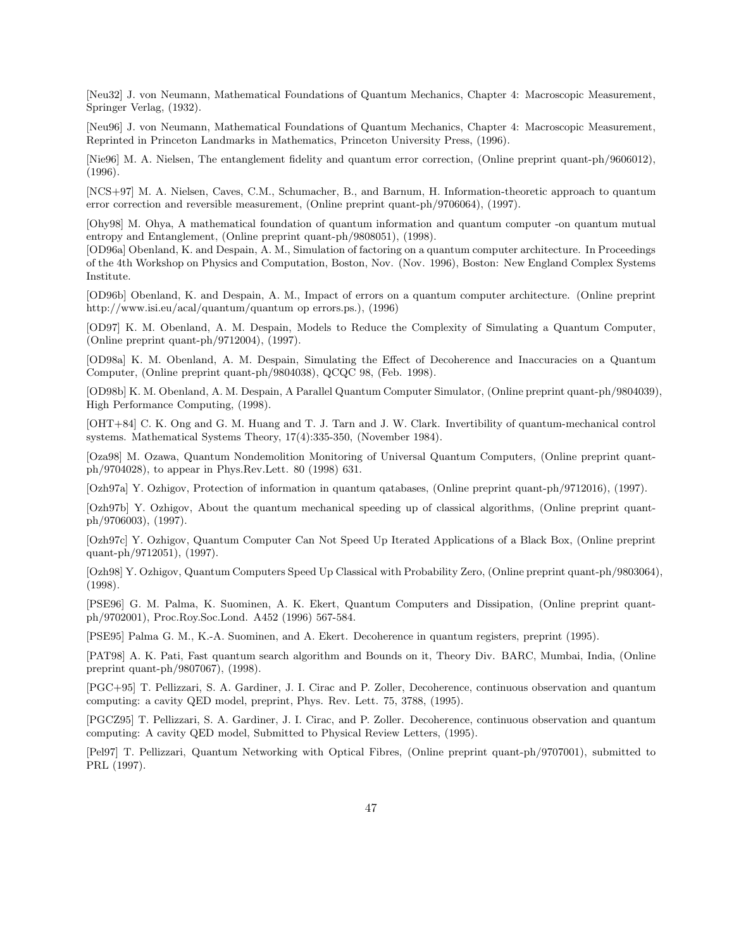[Neu32] J. von Neumann, Mathematical Foundations of Quantum Mechanics, Chapter 4: Macroscopic Measurement, Springer Verlag, (1932).

[Neu96] J. von Neumann, Mathematical Foundations of Quantum Mechanics, Chapter 4: Macroscopic Measurement, Reprinted in Princeton Landmarks in Mathematics, Princeton University Press, (1996).

[Nie96] M. A. Nielsen, The entanglement fidelity and quantum error correction, (Online preprint quant-ph/9606012), (1996).

[NCS+97] M. A. Nielsen, Caves, C.M., Schumacher, B., and Barnum, H. Information-theoretic approach to quantum error correction and reversible measurement, (Online preprint quant-ph/9706064), (1997).

[Ohy98] M. Ohya, A mathematical foundation of quantum information and quantum computer -on quantum mutual entropy and Entanglement, (Online preprint quant-ph/9808051), (1998).

[OD96a] Obenland, K. and Despain, A. M., Simulation of factoring on a quantum computer architecture. In Proceedings of the 4th Workshop on Physics and Computation, Boston, Nov. (Nov. 1996), Boston: New England Complex Systems Institute.

[OD96b] Obenland, K. and Despain, A. M., Impact of errors on a quantum computer architecture. (Online preprint http://www.isi.eu/acal/quantum/quantum op errors.ps.), (1996)

[OD97] K. M. Obenland, A. M. Despain, Models to Reduce the Complexity of Simulating a Quantum Computer, (Online preprint quant-ph/9712004), (1997).

[OD98a] K. M. Obenland, A. M. Despain, Simulating the Effect of Decoherence and Inaccuracies on a Quantum Computer, (Online preprint quant-ph/9804038), QCQC 98, (Feb. 1998).

[OD98b] K. M. Obenland, A. M. Despain, A Parallel Quantum Computer Simulator, (Online preprint quant-ph/9804039), High Performance Computing, (1998).

[OHT+84] C. K. Ong and G. M. Huang and T. J. Tarn and J. W. Clark. Invertibility of quantum-mechanical control systems. Mathematical Systems Theory, 17(4):335-350, (November 1984).

[Oza98] M. Ozawa, Quantum Nondemolition Monitoring of Universal Quantum Computers, (Online preprint quantph/9704028), to appear in Phys.Rev.Lett. 80 (1998) 631.

[Ozh97a] Y. Ozhigov, Protection of information in quantum qatabases, (Online preprint quant-ph/9712016), (1997).

[Ozh97b] Y. Ozhigov, About the quantum mechanical speeding up of classical algorithms, (Online preprint quantph/9706003), (1997).

[Ozh97c] Y. Ozhigov, Quantum Computer Can Not Speed Up Iterated Applications of a Black Box, (Online preprint quant-ph/9712051), (1997).

[Ozh98] Y. Ozhigov, Quantum Computers Speed Up Classical with Probability Zero, (Online preprint quant-ph/9803064), (1998).

[PSE96] G. M. Palma, K. Suominen, A. K. Ekert, Quantum Computers and Dissipation, (Online preprint quantph/9702001), Proc.Roy.Soc.Lond. A452 (1996) 567-584.

[PSE95] Palma G. M., K.-A. Suominen, and A. Ekert. Decoherence in quantum registers, preprint (1995).

[PAT98] A. K. Pati, Fast quantum search algorithm and Bounds on it, Theory Div. BARC, Mumbai, India, (Online preprint quant-ph/9807067), (1998).

[PGC+95] T. Pellizzari, S. A. Gardiner, J. I. Cirac and P. Zoller, Decoherence, continuous observation and quantum computing: a cavity QED model, preprint, Phys. Rev. Lett. 75, 3788, (1995).

[PGCZ95] T. Pellizzari, S. A. Gardiner, J. I. Cirac, and P. Zoller. Decoherence, continuous observation and quantum computing: A cavity QED model, Submitted to Physical Review Letters, (1995).

[Pel97] T. Pellizzari, Quantum Networking with Optical Fibres, (Online preprint quant-ph/9707001), submitted to PRL (1997).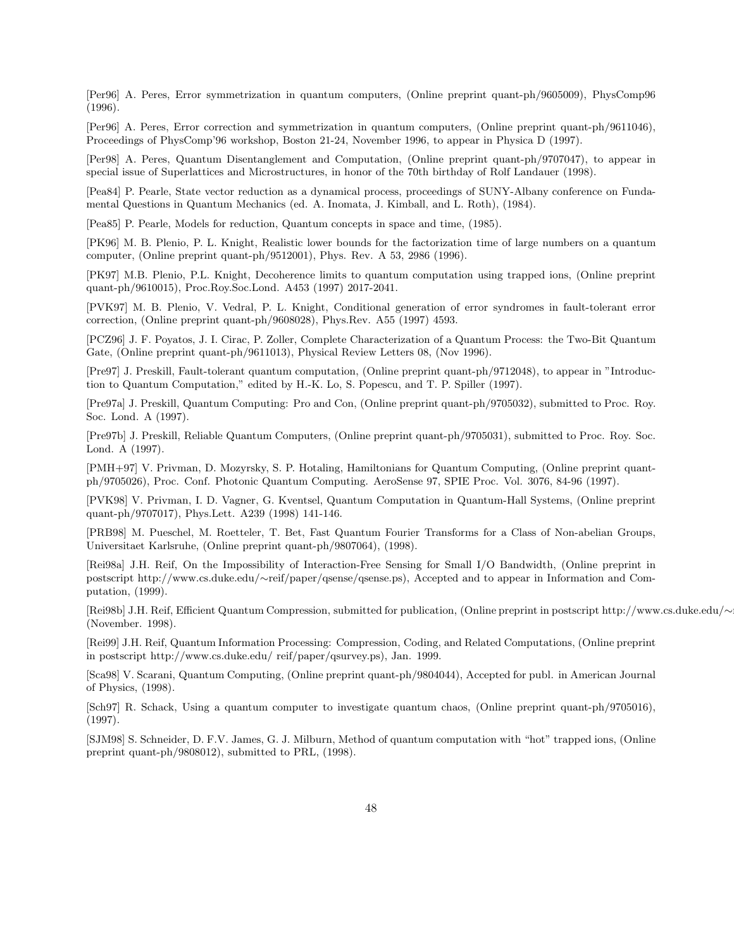[Per96] A. Peres, Error symmetrization in quantum computers, (Online preprint quant-ph/9605009), PhysComp96 (1996).

[Per96] A. Peres, Error correction and symmetrization in quantum computers, (Online preprint quant-ph/9611046), Proceedings of PhysComp'96 workshop, Boston 21-24, November 1996, to appear in Physica D (1997).

[Per98] A. Peres, Quantum Disentanglement and Computation, (Online preprint quant-ph/9707047), to appear in special issue of Superlattices and Microstructures, in honor of the 70th birthday of Rolf Landauer (1998).

[Pea84] P. Pearle, State vector reduction as a dynamical process, proceedings of SUNY-Albany conference on Fundamental Questions in Quantum Mechanics (ed. A. Inomata, J. Kimball, and L. Roth), (1984).

[Pea85] P. Pearle, Models for reduction, Quantum concepts in space and time, (1985).

[PK96] M. B. Plenio, P. L. Knight, Realistic lower bounds for the factorization time of large numbers on a quantum computer, (Online preprint quant-ph/9512001), Phys. Rev. A 53, 2986 (1996).

[PK97] M.B. Plenio, P.L. Knight, Decoherence limits to quantum computation using trapped ions, (Online preprint quant-ph/9610015), Proc.Roy.Soc.Lond. A453 (1997) 2017-2041.

[PVK97] M. B. Plenio, V. Vedral, P. L. Knight, Conditional generation of error syndromes in fault-tolerant error correction, (Online preprint quant-ph/9608028), Phys.Rev. A55 (1997) 4593.

[PCZ96] J. F. Poyatos, J. I. Cirac, P. Zoller, Complete Characterization of a Quantum Process: the Two-Bit Quantum Gate, (Online preprint quant-ph/9611013), Physical Review Letters 08, (Nov 1996).

[Pre97] J. Preskill, Fault-tolerant quantum computation, (Online preprint quant-ph/9712048), to appear in "Introduction to Quantum Computation," edited by H.-K. Lo, S. Popescu, and T. P. Spiller (1997).

[Pre97a] J. Preskill, Quantum Computing: Pro and Con, (Online preprint quant-ph/9705032), submitted to Proc. Roy. Soc. Lond. A (1997).

[Pre97b] J. Preskill, Reliable Quantum Computers, (Online preprint quant-ph/9705031), submitted to Proc. Roy. Soc. Lond. A (1997).

[PMH+97] V. Privman, D. Mozyrsky, S. P. Hotaling, Hamiltonians for Quantum Computing, (Online preprint quantph/9705026), Proc. Conf. Photonic Quantum Computing. AeroSense 97, SPIE Proc. Vol. 3076, 84-96 (1997).

[PVK98] V. Privman, I. D. Vagner, G. Kventsel, Quantum Computation in Quantum-Hall Systems, (Online preprint quant-ph/9707017), Phys.Lett. A239 (1998) 141-146.

[PRB98] M. Pueschel, M. Roetteler, T. Bet, Fast Quantum Fourier Transforms for a Class of Non-abelian Groups, Universitaet Karlsruhe, (Online preprint quant-ph/9807064), (1998).

[Rei98a] J.H. Reif, On the Impossibility of Interaction-Free Sensing for Small I/O Bandwidth, (Online preprint in postscript http://www.cs.duke.edu/∼reif/paper/qsense/qsense.ps), Accepted and to appear in Information and Computation, (1999).

[Rei98b] J.H. Reif, Efficient Quantum Compression, submitted for publication, (Online preprint in postscript http://www.cs.duke.edu/∼reif/pap (November. 1998).

[Rei99] J.H. Reif, Quantum Information Processing: Compression, Coding, and Related Computations, (Online preprint in postscript http://www.cs.duke.edu/ reif/paper/qsurvey.ps), Jan. 1999.

[Sca98] V. Scarani, Quantum Computing, (Online preprint quant-ph/9804044), Accepted for publ. in American Journal of Physics, (1998).

[Sch97] R. Schack, Using a quantum computer to investigate quantum chaos, (Online preprint quant-ph/9705016), (1997).

[SJM98] S. Schneider, D. F.V. James, G. J. Milburn, Method of quantum computation with "hot" trapped ions, (Online preprint quant-ph/9808012), submitted to PRL, (1998).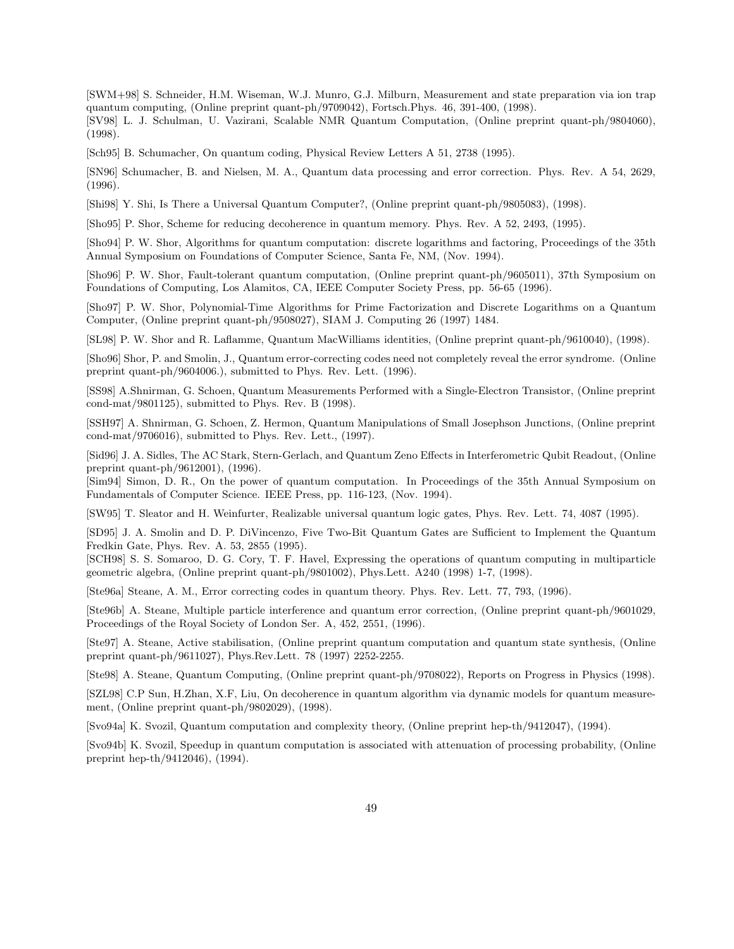[SWM+98] S. Schneider, H.M. Wiseman, W.J. Munro, G.J. Milburn, Measurement and state preparation via ion trap quantum computing, (Online preprint quant-ph/9709042), Fortsch.Phys. 46, 391-400, (1998).

[SV98] L. J. Schulman, U. Vazirani, Scalable NMR Quantum Computation, (Online preprint quant-ph/9804060), (1998).

[Sch95] B. Schumacher, On quantum coding, Physical Review Letters A 51, 2738 (1995).

[SN96] Schumacher, B. and Nielsen, M. A., Quantum data processing and error correction. Phys. Rev. A 54, 2629, (1996).

[Shi98] Y. Shi, Is There a Universal Quantum Computer?, (Online preprint quant-ph/9805083), (1998).

[Sho95] P. Shor, Scheme for reducing decoherence in quantum memory. Phys. Rev. A 52, 2493, (1995).

[Sho94] P. W. Shor, Algorithms for quantum computation: discrete logarithms and factoring, Proceedings of the 35th Annual Symposium on Foundations of Computer Science, Santa Fe, NM, (Nov. 1994).

[Sho96] P. W. Shor, Fault-tolerant quantum computation, (Online preprint quant-ph/9605011), 37th Symposium on Foundations of Computing, Los Alamitos, CA, IEEE Computer Society Press, pp. 56-65 (1996).

[Sho97] P. W. Shor, Polynomial-Time Algorithms for Prime Factorization and Discrete Logarithms on a Quantum Computer, (Online preprint quant-ph/9508027), SIAM J. Computing 26 (1997) 1484.

[SL98] P. W. Shor and R. Laflamme, Quantum MacWilliams identities, (Online preprint quant-ph/9610040), (1998).

[Sho96] Shor, P. and Smolin, J., Quantum error-correcting codes need not completely reveal the error syndrome. (Online preprint quant-ph/9604006.), submitted to Phys. Rev. Lett. (1996).

[SS98] A.Shnirman, G. Schoen, Quantum Measurements Performed with a Single-Electron Transistor, (Online preprint cond-mat/9801125), submitted to Phys. Rev. B (1998).

[SSH97] A. Shnirman, G. Schoen, Z. Hermon, Quantum Manipulations of Small Josephson Junctions, (Online preprint cond-mat/9706016), submitted to Phys. Rev. Lett., (1997).

[Sid96] J. A. Sidles, The AC Stark, Stern-Gerlach, and Quantum Zeno Effects in Interferometric Qubit Readout, (Online preprint quant-ph/9612001), (1996).

[Sim94] Simon, D. R., On the power of quantum computation. In Proceedings of the 35th Annual Symposium on Fundamentals of Computer Science. IEEE Press, pp. 116-123, (Nov. 1994).

[SW95] T. Sleator and H. Weinfurter, Realizable universal quantum logic gates, Phys. Rev. Lett. 74, 4087 (1995).

[SD95] J. A. Smolin and D. P. DiVincenzo, Five Two-Bit Quantum Gates are Sufficient to Implement the Quantum Fredkin Gate, Phys. Rev. A. 53, 2855 (1995).

[SCH98] S. S. Somaroo, D. G. Cory, T. F. Havel, Expressing the operations of quantum computing in multiparticle geometric algebra, (Online preprint quant-ph/9801002), Phys.Lett. A240 (1998) 1-7, (1998).

[Ste96a] Steane, A. M., Error correcting codes in quantum theory. Phys. Rev. Lett. 77, 793, (1996).

[Ste96b] A. Steane, Multiple particle interference and quantum error correction, (Online preprint quant-ph/9601029, Proceedings of the Royal Society of London Ser. A, 452, 2551, (1996).

[Ste97] A. Steane, Active stabilisation, (Online preprint quantum computation and quantum state synthesis, (Online preprint quant-ph/9611027), Phys.Rev.Lett. 78 (1997) 2252-2255.

[Ste98] A. Steane, Quantum Computing, (Online preprint quant-ph/9708022), Reports on Progress in Physics (1998).

[SZL98] C.P Sun, H.Zhan, X.F, Liu, On decoherence in quantum algorithm via dynamic models for quantum measurement, (Online preprint quant-ph/9802029), (1998).

[Svo94a] K. Svozil, Quantum computation and complexity theory, (Online preprint hep-th/9412047), (1994).

[Svo94b] K. Svozil, Speedup in quantum computation is associated with attenuation of processing probability, (Online preprint hep-th/9412046), (1994).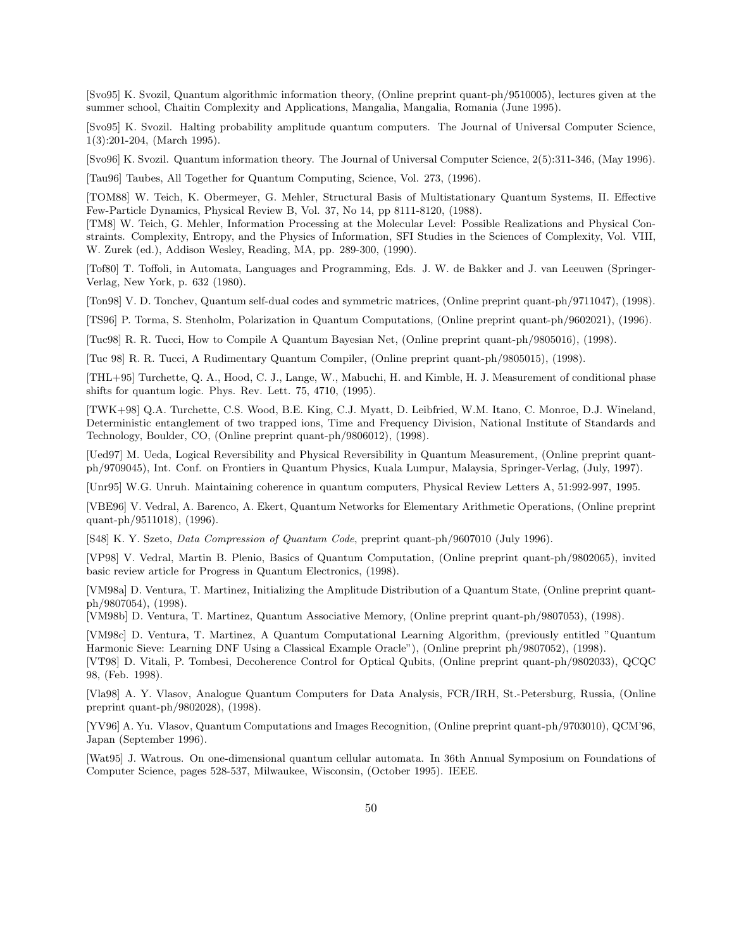[Svo95] K. Svozil, Quantum algorithmic information theory, (Online preprint quant-ph/9510005), lectures given at the summer school, Chaitin Complexity and Applications, Mangalia, Mangalia, Romania (June 1995).

[Svo95] K. Svozil. Halting probability amplitude quantum computers. The Journal of Universal Computer Science, 1(3):201-204, (March 1995).

[Svo96] K. Svozil. Quantum information theory. The Journal of Universal Computer Science, 2(5):311-346, (May 1996).

[Tau96] Taubes, All Together for Quantum Computing, Science, Vol. 273, (1996).

[TOM88] W. Teich, K. Obermeyer, G. Mehler, Structural Basis of Multistationary Quantum Systems, II. Effective Few-Particle Dynamics, Physical Review B, Vol. 37, No 14, pp 8111-8120, (1988).

[TM8] W. Teich, G. Mehler, Information Processing at the Molecular Level: Possible Realizations and Physical Constraints. Complexity, Entropy, and the Physics of Information, SFI Studies in the Sciences of Complexity, Vol. VIII, W. Zurek (ed.), Addison Wesley, Reading, MA, pp. 289-300, (1990).

[Tof80] T. Toffoli, in Automata, Languages and Programming, Eds. J. W. de Bakker and J. van Leeuwen (Springer-Verlag, New York, p. 632 (1980).

[Ton98] V. D. Tonchev, Quantum self-dual codes and symmetric matrices, (Online preprint quant-ph/9711047), (1998).

[TS96] P. Torma, S. Stenholm, Polarization in Quantum Computations, (Online preprint quant-ph/9602021), (1996).

[Tuc98] R. R. Tucci, How to Compile A Quantum Bayesian Net, (Online preprint quant-ph/9805016), (1998).

[Tuc 98] R. R. Tucci, A Rudimentary Quantum Compiler, (Online preprint quant-ph/9805015), (1998).

[THL+95] Turchette, Q. A., Hood, C. J., Lange, W., Mabuchi, H. and Kimble, H. J. Measurement of conditional phase shifts for quantum logic. Phys. Rev. Lett. 75, 4710, (1995).

[TWK+98] Q.A. Turchette, C.S. Wood, B.E. King, C.J. Myatt, D. Leibfried, W.M. Itano, C. Monroe, D.J. Wineland, Deterministic entanglement of two trapped ions, Time and Frequency Division, National Institute of Standards and Technology, Boulder, CO, (Online preprint quant-ph/9806012), (1998).

[Ued97] M. Ueda, Logical Reversibility and Physical Reversibility in Quantum Measurement, (Online preprint quantph/9709045), Int. Conf. on Frontiers in Quantum Physics, Kuala Lumpur, Malaysia, Springer-Verlag, (July, 1997).

[Unr95] W.G. Unruh. Maintaining coherence in quantum computers, Physical Review Letters A, 51:992-997, 1995.

[VBE96] V. Vedral, A. Barenco, A. Ekert, Quantum Networks for Elementary Arithmetic Operations, (Online preprint quant-ph/9511018), (1996).

[S48] K. Y. Szeto, Data Compression of Quantum Code, preprint quant-ph/9607010 (July 1996).

[VP98] V. Vedral, Martin B. Plenio, Basics of Quantum Computation, (Online preprint quant-ph/9802065), invited basic review article for Progress in Quantum Electronics, (1998).

[VM98a] D. Ventura, T. Martinez, Initializing the Amplitude Distribution of a Quantum State, (Online preprint quantph/9807054), (1998).

[VM98b] D. Ventura, T. Martinez, Quantum Associative Memory, (Online preprint quant-ph/9807053), (1998).

[VM98c] D. Ventura, T. Martinez, A Quantum Computational Learning Algorithm, (previously entitled "Quantum Harmonic Sieve: Learning DNF Using a Classical Example Oracle"), (Online preprint ph/9807052), (1998). [VT98] D. Vitali, P. Tombesi, Decoherence Control for Optical Qubits, (Online preprint quant-ph/9802033), QCQC 98, (Feb. 1998).

[Vla98] A. Y. Vlasov, Analogue Quantum Computers for Data Analysis, FCR/IRH, St.-Petersburg, Russia, (Online preprint quant-ph/9802028), (1998).

[YV96] A. Yu. Vlasov, Quantum Computations and Images Recognition, (Online preprint quant-ph/9703010), QCM'96, Japan (September 1996).

[Wat95] J. Watrous. On one-dimensional quantum cellular automata. In 36th Annual Symposium on Foundations of Computer Science, pages 528-537, Milwaukee, Wisconsin, (October 1995). IEEE.